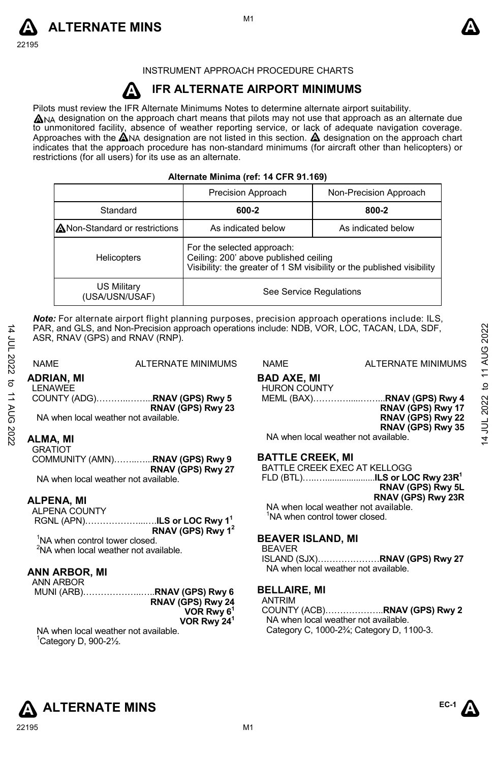



INSTRUMENT APPROACH PROCEDURE CHARTS

#### **A IFR ALTERNATE AIRPORT MINIMUMS**

Pilots must review the IFR Alternate Minimums Notes to determine alternate airport suitability.

 $\Delta$ NA designation on the approach chart means that pilots may not use that approach as an alternate due to unmonitored facility, absence of weather reporting service, or lack of adequate navigation coverage. Approaches with the  $\triangle$ NA designation are not listed in this section.  $\triangle$  designation on the approach chart indicates that the approach procedure has non-standard minimums (for aircraft other than helicopters) or restrictions (for all users) for its use as an alternate.

| Alternate Minima (ref: 14 CFR 91.169) |  |  |  |  |  |
|---------------------------------------|--|--|--|--|--|
|---------------------------------------|--|--|--|--|--|

|                                      | Precision Approach                                                                                                                            | Non-Precision Approach |
|--------------------------------------|-----------------------------------------------------------------------------------------------------------------------------------------------|------------------------|
| Standard                             | 600-2                                                                                                                                         | 800-2                  |
| ANon-Standard or restrictions        | As indicated below                                                                                                                            | As indicated below     |
| <b>Helicopters</b>                   | For the selected approach:<br>Ceiling: 200' above published ceiling<br>Visibility: the greater of 1 SM visibility or the published visibility |                        |
| <b>US Military</b><br>(USA/USN/USAF) | See Service Regulations                                                                                                                       |                        |

*Note:* For alternate airport flight planning purposes, precision approach operations include: ILS, PAR, and GLS, and Non-Precision approach operations include: NDB, VOR, LOC, TACAN, LDA, SDF, ASR, RNAV (GPS) and RNAV (RNP).

14 JUL 2022 to 11 AUG 2022

14 JUL 2022 to 11 AUG 2022

### **ADRIAN, MI**

LENAWEE COUNTY (ADG)………..……...**RNAV (GPS) Rwy 5 RNAV (GPS) Rwy 23**  NA when local weather not available.

#### **ALMA, MI**

**GRATIOT** COMMUNITY (AMN)……..…...**RNAV (GPS) Rwy 9 RNAV (GPS) Rwy 27** 

NA when local weather not available.

### **ALPENA, MI**

ALPENA COUNTY RGNL (APN)………………...….**ILS or LOC Rwy 1<sup>1</sup> RNAV (GPS) Rwy 1<sup>2</sup>** <sup>1</sup>NA when control tower closed.

<sup>2</sup>NA when local weather not available.

#### **ANN ARBOR, MI**

ANN ARBOR

 MUNI (ARB)………………..…..**RNAV (GPS) Rwy 6 RNAV (GPS) Rwy 24 VOR Rwy 6<sup>1</sup> VOR Rwy 24<sup>1</sup>**

NA when local weather not available.  $^1$ Category D, 900-2 $\frac{1}{2}$ .

NAME ALTERNATE MINIMUMS NAME ALTERNATE MINIMUMS

#### **BAD AXE, MI**  HURON COUNTY

MEML (BAX)………….....……...**RNAV (GPS) Rwy 4** 

**RNAV (GPS) Rwy 17 RNAV (GPS) Rwy 22 RNAV (GPS) Rwy 35** 

NA when local weather not available.

### **BATTLE CREEK, MI**

BATTLE CREEK EXEC AT KELLOGG FLD (BTL)…..….....................**ILS or LOC Rwy 23R<sup>1</sup> RNAV (GPS) Rwy 5L RNAV (GPS) Rwy 23R**  NA when local weather not available. <sup>1</sup>NA when control tower closed.

**BEAVER ISLAND, MI** 

#### BEAVER

ISLAND (SJX)…………………**RNAV (GPS) Rwy 27**  NA when local weather not available.

### **BELLAIRE, MI**

ANTRIM COUNTY (ACB)………………..**RNAV (GPS) Rwy 2**  NA when local weather not available. Category C, 1000-2¾; Category D, 1100-3.

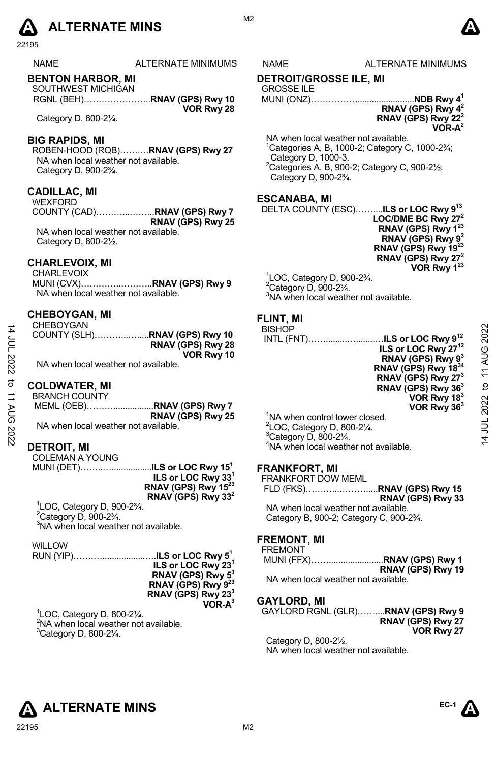# $\Delta$  ALTERNATE MINS  $\Delta$

22195

### NAME ALTERNATE MINIMUMS NAME ALTERNATE MINIMUMS

#### **BENTON HARBOR, MI**

| SOUTHWEST MICHIGAN |            |
|--------------------|------------|
|                    |            |
|                    | VOR Rwy 28 |

Category D, 800-2¼.

#### **BIG RAPIDS, MI**

ROBEN-HOOD (RQB)…….…**RNAV (GPS) Rwy 27** NA when local weather not available. Category D, 900-2¾.

### **CADILLAC, MI**

WEXFORD COUNTY (CAD)………...……...**RNAV (GPS) Rwy 7 RNAV (GPS) Rwy 25**  NA when local weather not available. Category D, 800-2½.

### **CHARLEVOIX, MI**

CHARLEVOIX MUNI (CVX)…………..………..**RNAV (GPS) Rwy 9**  NA when local weather not available.

#### **CHEBOYGAN, MI**

| <b>CHEBOYGAN</b> |                   |
|------------------|-------------------|
|                  |                   |
|                  | RNAV (GPS) Rwy 28 |
|                  | VOR Rwy 10        |
|                  |                   |

NA when local weather not available.

### **COLDWATER, MI**

14 JUL 2022 to 11 AUG 2022

to 11 AUG 2022

14 JUL 2022

| <b>BRANCH COUNTY</b>                 |                   |
|--------------------------------------|-------------------|
|                                      |                   |
|                                      | RNAV (GPS) Rwy 25 |
| NA when local weather not available. |                   |

#### **DETROIT, MI**

| COLEMAN A YOUNG                                          |                                 |
|----------------------------------------------------------|---------------------------------|
| MUNI (DET)…………………… <b>.ILS or LOC Rwy 15<sup>1</sup></b> |                                 |
|                                                          | ILS or LOC Rwy 331              |
|                                                          | RNAV (GPS) Rwy 15 <sup>23</sup> |
|                                                          | RNAV (GPS) Rwy 33 <sup>2</sup>  |
| $1$ LOC, Category D, 900-2 $\frac{3}{4}$ .               |                                 |

 $2^2$ Category D, 900-2 $\frac{3}{4}$ . <sup>3</sup>NA when local weather not available.

### WILLOW

RUN (YIP)…….…..................….**ILS or LOC Rwy 5<sup>1</sup> ILS or LOC Rwy 23<sup>1</sup> RNAV (GPS) Rwy 5<sup>3</sup> RNAV (GPS) Rwy 9<sup>23</sup> RNAV (GPS) Rwy 23<sup>3</sup> VOR-A<sup>3</sup>**

1 LOC, Category D, 800-2¼.  $2$ NA when local weather not available.  $3$ Category D, 800-2 $\frac{1}{4}$ .

M<sub>2</sub>

### **DETROIT/GROSSE ILE, MI**

### GROSSE ILE

MUNI (ONZ)…………….........................**NDB Rwy 4<sup>1</sup> RNAV (GPS) Rwy 4<sup>2</sup> RNAV (GPS) Rwy 22<sup>2</sup>**

**VOR-A<sup>2</sup>**

NA when local weather not available.  $1$ Categories A, B, 1000-2; Category C, 1000-2 $\frac{3}{4}$ ; Category D, 1000-3.  $2C$ ategories A, B, 900-2; Category C, 900-2 $\frac{1}{2}$ ; Category D, 900-2¾.

#### **ESCANABA, MI**

DELTA COUNTY (ESC)……....**ILS or LOC Rwy 9<sup>13</sup> LOC/DME BC Rwy 27<sup>2</sup> RNAV (GPS) Rwy 1<sup>23</sup> RNAV (GPS) Rwy 9<sup>2</sup> RNAV (GPS) Rwy 19<sup>23</sup> RNAV (GPS) Rwy 27<sup>2</sup> VOR Rwy 1<sup>23</sup>**

1 LOC, Category D, 900-2¾. <sup>2</sup>Category D, 900-2¾. <sup>3</sup>NA when local weather not available.

### **FLINT, MI**  BIS<br>INT

| <b>BISHOP</b>                     |                                          |
|-----------------------------------|------------------------------------------|
|                                   | INTL (FNT)ILS or LOC Rwy 9 <sup>12</sup> |
|                                   | ILS or LOC Rwy 27 <sup>12</sup>          |
|                                   | RNAV (GPS) Rwy 9 <sup>3</sup>            |
|                                   | RNAV (GPS) Rwy 1834                      |
|                                   | RNAV (GPS) Rwy 27 <sup>3</sup>           |
|                                   | RNAV (GPS) Rwy 36 <sup>3</sup>           |
|                                   | VOR Rwy 18 <sup>3</sup>                  |
|                                   | VOR Rwy $363$                            |
| $1$ NIA whon control tower closed |                                          |

 $1$ NA when control to  $2^2$ LOC, Category D, 800-2 $\frac{1}{4}$ .  $3C$ ategory D, 800-2 $\frac{1}{4}$ . <sup>4</sup>NA when local weather not available.

#### **FRANKFORT, MI**

FRANKFORT DOW MEML

 FLD (FKS)………...……….....**RNAV (GPS) Rwy 15 RNAV (GPS) Rwy 33**

NA when local weather not available. Category B, 900-2; Category C, 900-2¾.

#### **FREMONT, MI**

| <b>FREMONT</b>                      |                   |
|-------------------------------------|-------------------|
|                                     |                   |
|                                     | RNAV (GPS) Rwy 19 |
| NA when local weather not available |                   |

#### **GAYLORD, MI**

GAYLORD RGNL (GLR)……....**RNAV (GPS) Rwy 9 RNAV (GPS) Rwy 27 VOR Rwy 27** 

Category D, 800-2½. NA when local weather not available.



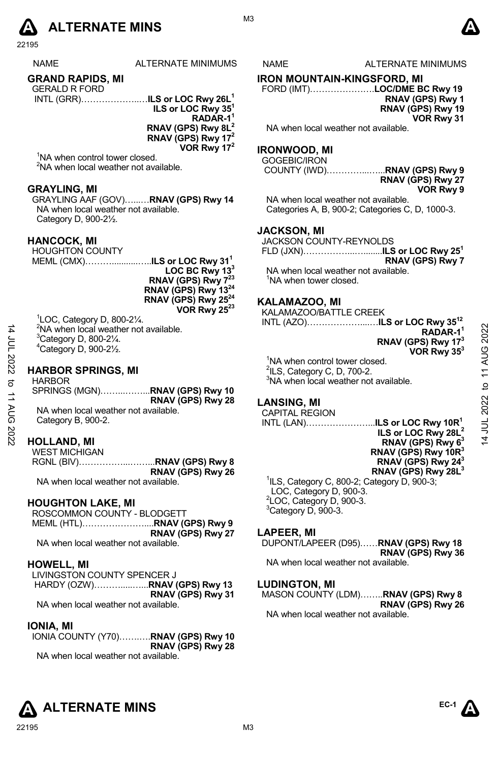

22195

| <b>NAMF</b>             | ALTERNATE MINIMU |
|-------------------------|------------------|
| <b>GRAND RAPIDS, MI</b> |                  |

#### GERALD R FORD

| ----------- |                                           |
|-------------|-------------------------------------------|
|             | INTL (GRR)ILS or LOC Rwy 26L <sup>1</sup> |
|             | ILS or LOC Rwy 35 <sup>1</sup>            |
|             | RADAR-1 <sup>1</sup>                      |

**RNAV (GPS) Rwy 8L<sup>2</sup>**

**RNAV (GPS) Rwy 17<sup>2</sup>**

**VOR Rwy 17<sup>2</sup>**

<sup>1</sup>NA when control tower closed. <sup>2</sup>NA when local weather not available.

#### **GRAYLING, MI**

GRAYLING AAF (GOV)…...…**RNAV (GPS) Rwy 14**  NA when local weather not available. Category D, 900-2½.

#### **HANCOCK, MI**

HOUGHTON COUNTY

MEML (CMX)………...........…..**ILS or LOC Rwy 31<sup>1</sup>**

**LOC BC Rwy 13<sup>3</sup> RNAV (GPS) Rwy 7<sup>23</sup> RNAV (GPS) Rwy 13<sup>24</sup> RNAV (GPS) Rwy 25<sup>24</sup> VOR Rwy 25<sup>23</sup>**

<sup>1</sup>LOC, Category D, 800-2¼.<br><sup>2</sup>NA when local weather not available. <sup>3</sup>Category D, 800-2¼. <sup>4</sup>Category D, 900-2½.

#### **HARBOR SPRINGS, MI**

HARBOR SPRINGS (MGN)……...……...**RNAV (GPS) Rwy 10 RNAV (GPS) Rwy 28**  NA when local weather not available. Category B, 900-2.

#### **HOLLAND, MI**

14 JUL 2022 to 11 AUG 2022

14 JUL 2022 to 11 AUG 2022

WEST MICHIGAN RGNL (BIV)……………...……...**RNAV (GPS) Rwy 8 RNAV (GPS) Rwy 26** 

NA when local weather not available.

### **HOUGHTON LAKE, MI**

ROSCOMMON COUNTY - BLODGETT MEML (HTL)…………………....**RNAV (GPS) Rwy 9 RNAV (GPS) Rwy 27**  NA when local weather not available.

### **HOWELL, MI**

LIVINGSTON COUNTY SPENCER J HARDY (OZW)……….....…...**RNAV (GPS) Rwy 13 RNAV (GPS) Rwy 31**  NA when local weather not available.

#### **IONIA, MI**

IONIA COUNTY (Y70)…….….**RNAV (GPS) Rwy 10 RNAV (GPS) Rwy 28**  NA when local weather not available.

M3

IMS NAME ALTERNATE MINIMUMS

### **IRON MOUNTAIN-KINGSFORD, MI**

FORD (IMT)………………….**LOC/DME BC Rwy 19** 

**RNAV (GPS) Rwy 1 RNAV (GPS) Rwy 19 VOR Rwy 31** 

NA when local weather not available.

### **IRONWOOD, MI**

GOGEBIC/IRON

#### COUNTY (IWD)…………...…...**RNAV (GPS) Rwy 9 RNAV (GPS) Rwy 27 VOR Rwy 9**

NA when local weather not available. Categories A, B, 900-2; Categories C, D, 1000-3.

#### **JACKSON, MI**

JACKSON COUNTY-REYNOLDS FLD (JXN)……………...…........**ILS or LOC Rwy 25<sup>1</sup> RNAV (GPS) Rwy 7**

NA when local weather not available. NA when tower closed.

#### **KALAMAZOO, MI**

KALAMAZOO/BATTLE CREEK

INTL (AZO)………………....…**ILS or LOC Rwy 35<sup>12</sup>**

**RADAR-1<sup>1</sup> RNAV (GPS) Rwy 17<sup>3</sup> VOR Rwy 35<sup>3</sup>**

<sup>1</sup>NA when control tower closed.  $2$ ILS, Category C, D, 700-2.  $3$ NA when local weather not available.

### **LANSING, MI**

CAPITAL REGION

INTL (LAN)…………………...**ILS or LOC Rwy 10R<sup>1</sup> ILS or LOC Rwy 28L<sup>2</sup> RNAV (GPS) Rwy 6<sup>3</sup> RNAV (GPS) Rwy 10R<sup>3</sup> RNAV (GPS) Rwy 24<sup>3</sup> RNAV (GPS) Rwy 28L<sup>3</sup>**

1 ILS, Category C, 800-2; Category D, 900-3; LOC, Category D, 900-3. 2 LOC, Category D, 900-3. <sup>3</sup>Category D, 900-3.

### **LAPEER, MI**

DUPONT/LAPEER (D95)……**RNAV (GPS) Rwy 18 RNAV (GPS) Rwy 36**  NA when local weather not available.

#### **LUDINGTON, MI**

MASON COUNTY (LDM)……..**RNAV (GPS) Rwy 8 RNAV (GPS) Rwy 26** NA when local weather not available.

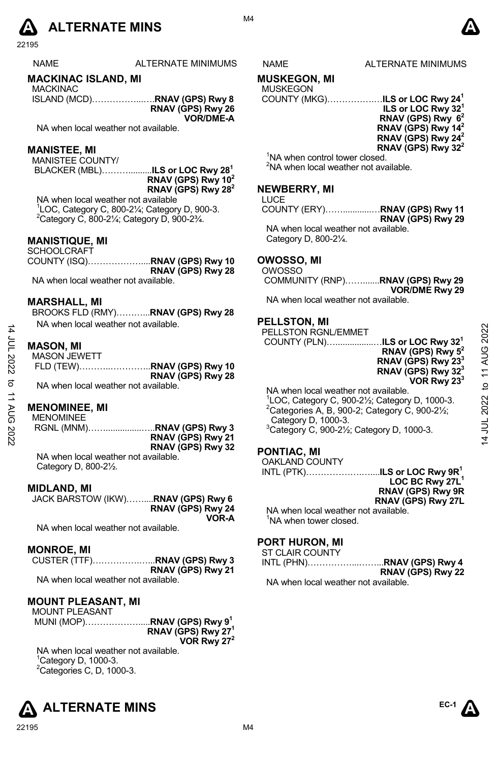# **A** ALTERNATE MINS  $\bullet$

22195

#### **MACKINAC ISLAND, MI**

MACKINAC ISLAND (MCD)……………...….**RNAV (GPS) Rwy 8 RNAV (GPS) Rwy 26 VOR/DME-A** 

NA when local weather not available.

#### **MANISTEE, MI**

MANISTEE COUNTY/

 BLACKER (MBL)………..........**ILS or LOC Rwy 28<sup>1</sup> RNAV (GPS) Rwy 10<sup>2</sup> RNAV (GPS) Rwy 28<sup>2</sup>**

NA when local weather not available 1 LOC, Category C, 800-2¼; Category D, 900-3.  $^{2}$ Category C, 800-21⁄<sub>4</sub>; Category D, 900-23⁄<sub>4</sub>.

### **MANISTIQUE, MI**

| SCHOOLCRAFT                          |                               |
|--------------------------------------|-------------------------------|
|                                      | COUNTY (ISQ)RNAV (GPS) Rwy 10 |
|                                      | RNAV (GPS) Rwy 28             |
| NA when local weather not available. |                               |

#### **MARSHALL, MI**

BROOKS FLD (RMY)………...**RNAV (GPS) Rwy 28**  NA when local weather not available.

#### **MASON, MI**

14 JUL 2022 to 11 AUG 2022

**11 AUG 2022** 

14 JUL 2022 to

| <b>MASON JEWETT</b>                  |                   |
|--------------------------------------|-------------------|
|                                      |                   |
|                                      | RNAV (GPS) Rwy 28 |
| NA when local weather not available. |                   |

#### **MENOMINEE, MI**

MENOMINEE

 RGNL (MNM)……...............…..**RNAV (GPS) Rwy 3 RNAV (GPS) Rwy 21 RNAV (GPS) Rwy 32**  NA when local weather not available.

Category D, 800-2½.

#### **MIDLAND, MI**

JACK BARSTOW (IKW)……....**RNAV (GPS) Rwy 6 RNAV (GPS) Rwy 24 VOR-A** 

NA when local weather not available.

### **MONROE, MI**

|   | CUSTER (TTF)RNAV (GPS) Rwy 3 |
|---|------------------------------|
|   | RNAV (GPS) Rwy 21            |
| . |                              |

NA when local weather not available.

#### **MOUNT PLEASANT, MI**

MOUNT PLEASANT MUNI (MOP)……………….....**RNAV (GPS) Rwy 9<sup>1</sup> RNAV (GPS) Rwy 27<sup>1</sup> VOR Rwy 27<sup>2</sup>**

NA when local weather not available.  $^1$ Category D, 1000-3. <sup>2</sup>Categories C, D, 1000-3.



#### **IS NAME ALTERNATE MINIMUMS**

#### **MUSKEGON, MI**

### MUSKEGON<br>COUNTY (MK

|                                          | COUNTY (MKG)……………… <b>ILS or LOC Rwy 24<sup>1</sup></b> |
|------------------------------------------|---------------------------------------------------------|
|                                          | ILS or LOC Rwy 32 <sup>1</sup>                          |
|                                          | RNAV (GPS) Rwy 6 <sup>2</sup>                           |
|                                          | RNAV (GPS) Rwy 14 <sup>2</sup>                          |
|                                          | RNAV (GPS) Rwy 24 <sup>2</sup>                          |
|                                          | RNAV (GPS) Rwy 32 <sup>2</sup>                          |
| المتحاجلة وحددتها ومقموحا وموطودة فالملأ |                                                         |

<sup>1</sup>NA when control tower closed.  ${}^{2}$ NA when local weather not available.

#### **NEWBERRY, MI**

| LUCE |                   |
|------|-------------------|
|      |                   |
|      | RNAV (GPS) Rwy 29 |

NA when local weather not available. Category D, 800-2¼.

### **OWOSSO, MI**

OWOSSO COMMUNITY (RNP)…….......**RNAV (GPS) Rwy 29 VOR/DME Rwy 29**  NA when local weather not available.

#### **PELLSTON, MI**

PELLSTON RGNL/EMMET COUNTY (PLN)…................…**ILS or LOC Rwy 32<sup>1</sup> RNAV (GPS) Rwy 5<sup>2</sup> RNAV (GPS) Rwy 23<sup>3</sup> RNAV (GPS) Rwy 32<sup>3</sup> VOR Rwy 23<sup>3</sup>**

NA when local weather not available. 1 LOC, Category C, 900-2½; Category D, 1000-3. <sup>2</sup>Categories A, B, 900-2; Category C, 900-2½; Category D, 1000-3. <sup>3</sup>Category C, 900-2½; Category D, 1000-3.

### **PONTIAC, MI**

OAKLAND COUNTY

INTL (PTK)……………….…....**ILS or LOC Rwy 9R<sup>1</sup> LOC BC Rwy 27L<sup>1</sup> RNAV (GPS) Rwy 9R RNAV (GPS) Rwy 27L** 

NA when local weather not available. <sup>1</sup>NA when tower closed.

### **PORT HURON, MI**

ST CLAIR COUNTY **DNAV (CDS) Run 4** 

|                                      | RNAV (GPS) Rwy 22 |
|--------------------------------------|-------------------|
| NA when local weather not available. |                   |



**EC-1** 



#### M4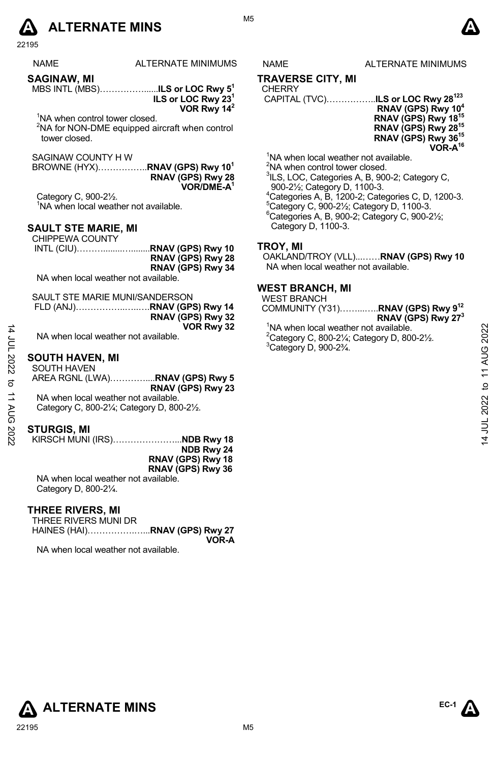# **A** ALTERNATE MINS  $\bullet$

22195

| NAME        | ALTERNATE MINIMUMS |
|-------------|--------------------|
| SAGINAW, MI |                    |

MBS INTL (MBS)……………......**ILS or LOC Rwy 5<sup>1</sup> ILS or LOC Rwy 23<sup>1</sup>**

**VOR Rwy 14<sup>2</sup>**

'NA when control tower closed. <sup>2</sup>NA for NON-DME equipped aircraft when control tower closed.

SAGINAW COUNTY H W

BROWNE (HYX)……………..**RNAV (GPS) Rwy 10<sup>1</sup> RNAV (GPS) Rwy 28 VOR/DME-A<sup>1</sup>**

Category C, 900-2½. <sup>1</sup>NA when local weather not available.

### **SAULT STE MARIE, MI**

CHIPPEWA COUNTY INTL (CIU)………........…........**RNAV (GPS) Rwy 10 RNAV (GPS) Rwy 28 RNAV (GPS) Rwy 34** 

NA when local weather not available.

| SAULT STE MARIE MUNI/SANDERSON |                   |
|--------------------------------|-------------------|
|                                |                   |
|                                | RNAV (GPS) Rwy 32 |
|                                | VOR Rwy 32        |

NA when local weather not available.

### **SOUTH HAVEN, MI**

SOUTH HAVEN AREA RGNL (LWA)…………....**RNAV (GPS) Rwy 5 RNAV (GPS) Rwy 23** NA when local weather not available. Category C, 800-2¼; Category D, 800-2½.

#### **STURGIS, MI**

14 JUL 2022 to 11 AUG 2022

14 JUL 2022 to 11 AUG 2022

KIRSCH MUNI (IRS)…………………...**NDB Rwy 18 NDB Rwy 24 RNAV (GPS) Rwy 18 RNAV (GPS) Rwy 36**

NA when local weather not available. Category D, 800-2¼.

### **THREE RIVERS, MI**

THREE RIVERS MUNI DR

HAINES (HAI)…………….…...**RNAV (GPS) Rwy 27 VOR-A** 

NA when local weather not available.

NAME ALTERNATE MINIMUMS

### **TRAVERSE CITY, MI**

#### CHERRY

 CAPITAL (TVC)……………..**ILS or LOC Rwy 28<sup>123</sup> RNAV (GPS) Rwy 10<sup>4</sup> RNAV (GPS) Rwy 18<sup>15</sup> RNAV (GPS) Rwy 28<sup>15</sup> RNAV (GPS) Rwy 36<sup>15</sup> VOR-A<sup>16</sup>**

<sup>1</sup>NA when local weather not available. <sup>2</sup>NA when control tower closed. <sup>3</sup>ILS, LOC, Categories A, B, 900-2; Category C, 900-2½; Category D, 1100-3. <sup>4</sup>Categories A, B, 1200-2; Categories C, D, 1200-3. <sup>5</sup>Category C, 900-2½; Category D, 1100-3.  $6$ Categories A, B, 900-2; Category C, 900-2 $\frac{1}{2}$ ; Category D, 1100-3.

### **TROY, MI**

OAKLAND/TROY (VLL)...……**RNAV (GPS) Rwy 10**  NA when local weather not available.

#### **WEST BRANCH, MI**

WEST BRANCH

COMMUNITY (Y31)……...…..**RNAV (GPS) Rwy 9<sup>12</sup> RNAV (GPS) Rwy 27<sup>3</sup>**

<sup>1</sup>NA when local weather not available.  $2^2$ Category C, 800-2 $\frac{1}{4}$ ; Category D, 800-2 $\frac{1}{2}$ .  $3$ Category D, 900-2 $\frac{3}{4}$ .



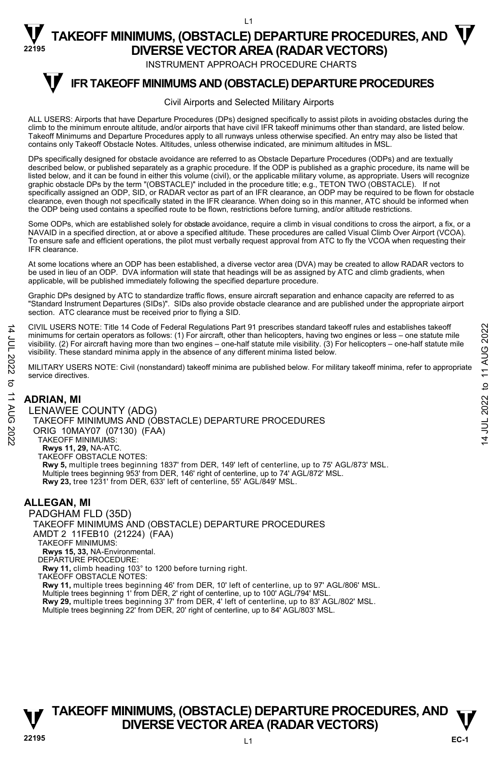INSTRUMENT APPROACH PROCEDURE CHARTS

#### **IFR TAKEOFF MINIMUMS AND (OBSTACLE) DEPARTURE PROCEDURES T**

#### Civil Airports and Selected Military Airports

ALL USERS: Airports that have Departure Procedures (DPs) designed specifically to assist pilots in avoiding obstacles during the climb to the minimum enroute altitude, and/or airports that have civil IFR takeoff minimums other than standard, are listed below. Takeoff Minimums and Departure Procedures apply to all runways unless otherwise specified. An entry may also be listed that contains only Takeoff Obstacle Notes. Altitudes, unless otherwise indicated, are minimum altitudes in MSL.

DPs specifically designed for obstacle avoidance are referred to as Obstacle Departure Procedures (ODPs) and are textually described below, or published separately as a graphic procedure. If the ODP is published as a graphic procedure, its name will be listed below, and it can be found in either this volume (civil), or the applicable military volume, as appropriate. Users will recognize<br>graphic obstacle DPs by the term "(OBSTACLE)" included in the procedure title; e.g., specifically assigned an ODP, SID, or RADAR vector as part of an IFR clearance, an ODP may be required to be flown for obstacle clearance, even though not specifically stated in the IFR clearance. When doing so in this manner, ATC should be informed when<br>the ODP being used contains a specified route to be flown, restrictions before turning, and/or

Some ODPs, which are established solely for obstacle avoidance, require a climb in visual conditions to cross the airport, a fix, or a NAVAID in a specified direction, at or above a specified altitude. These procedures are called Visual Climb Over Airport (VCOA). To ensure safe and efficient operations, the pilot must verbally request approval from ATC to fly the VCOA when requesting their IFR clearance.

At some locations where an ODP has been established, a diverse vector area (DVA) may be created to allow RADAR vectors to be used in lieu of an ODP. DVA information will state that headings will be as assigned by ATC and climb gradients, when applicable, will be published immediately following the specified departure procedure.

Graphic DPs designed by ATC to standardize traffic flows, ensure aircraft separation and enhance capacity are referred to as "Standard Instrument Departures (SIDs)". SIDs also provide obstacle clearance and are published under the appropriate airport section. ATC clearance must be received prior to flying a SID.

CIVIL USERS NOTE: Title 14 Code of Federal Regulations Part 91 prescribes standard takeoff rules and establishes takeoff minimums for certain operators as follows: (1) For aircraft, other than helicopters, having two engines or less – one statute mile<br>visibility. (2) For aircraft having more than two engines – one-half statute mile visibilit visibility. These standard minima apply in the absence of any different minima listed below.

MILITARY USERS NOTE: Civil (nonstandard) takeoff minima are published below. For military takeoff minima, refer to appropriate service directives.

### **ADRIAN, MI**

14 JUL 2022 to 11 AUG 2022

:2022

 $\vec{c}$ **11 AUG** 

14 JUL 2022

LENAWEE COUNTY (ADG) TAKEOFF MINIMUMS AND (OBSTACLE) DEPARTURE PROCEDURES ORIG 10MAY07 (07130) (FAA) TAKEOFF MINIMUMS: **Rwys 11, 29,** NA-ATC. TAKEOFF OBSTACLE NOTES: **Rwy 5,** multiple trees beginning 1837' from DER, 149' left of centerline, up to 75' AGL/873' MSL. Multiple trees beginning 953' from DER, 146' right of centerline, up to 74' AGL/872' MSL. **Rwy 23,** tree 1231' from DER, 633' left of centerline, 55' AGL/849' MSL.

### **ALLEGAN, MI**

PADGHAM FLD (35D) TAKEOFF MINIMUMS AND (OBSTACLE) DEPARTURE PROCEDURES AMDT 2 11FEB10 (21224) (FAA) TAKEOFF MINIMUMS: **Rwys 15, 33,** NA-Environmental. DEPARTURE PROCEDURE: **Rwy 11,** climb heading 103° to 1200 before turning right. TAKEOFF OBSTACLE NOTES: **Rwy 11,** multiple trees beginning 46' from DER, 10' left of centerline, up to 97' AGL/806' MSL. Multiple trees beginning 1' from DER, 2' right of centerline, up to 100' AGL/794' MSL. **Rwy 29,** multiple trees beginning 37' from DER, 4' left of centerline, up to 83' AGL/802' MSL. Multiple trees beginning 22' from DER, 20' right of centerline, up to 84' AGL/803' MSL.

### **TAKEOFF MINIMUMS, (OBSTACLE) DEPARTURE PROCEDURES, AND**  $\mathbf{\nabla}$ **DIVERSE VECTOR AREA (RADAR VECTORS)**

**EC-1**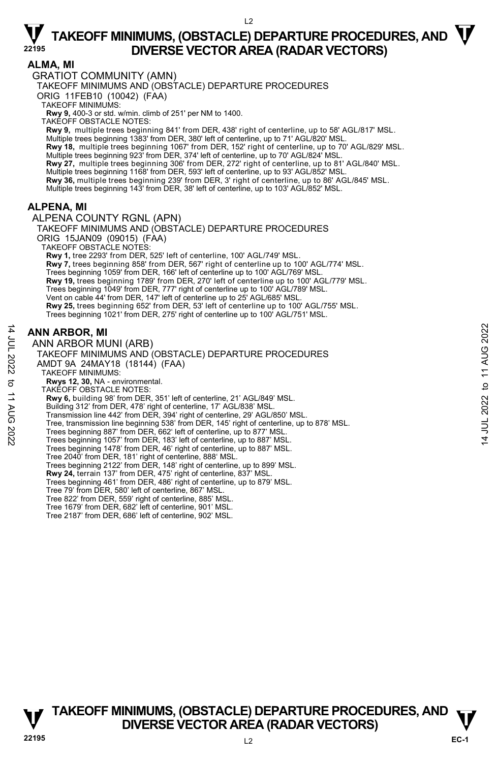#### $\overline{2}$

## $\nabla$  TAKEOFF MINIMUMS, (OBSTACLE) DEPARTURE PROCEDURES, AND  $\nabla$ **DIVERSE VECTOR AREA (RADAR VECTORS) <sup>22195</sup>**

### **ALMA, MI**

GRATIOT COMMUNITY (AMN)

TAKEOFF MINIMUMS AND (OBSTACLE) DEPARTURE PROCEDURES

ORIG 11FEB10 (10042) (FAA)

TAKEOFF MINIMUMS:

**Rwy 9,** 400-3 or std. w/min. climb of 251' per NM to 1400.

TAKEOFF OBSTACLE NOTES:

**Rwy 9,** multiple trees beginning 841' from DER, 438' right of centerline, up to 58' AGL/817' MSL. Multiple trees beginning 1383' from DER, 380' left of centerline, up to 71' AGL/820' MSL.

**Rwy 18,** multiple trees beginning 1067' from DER, 152' right of centerline, up to 70' AGL/829' MSL.<br>Multiple trees beginning 923' from DER, 374' left of centerline, up to 70' AGL/824' MSL.

**Rwy 27,** multiple trees beginning 306' from DER, 272' right of centerline, up to 81' AGL/840' MSL. Multiple trees beginning 1168' from DER, 593' left of centerline, up to 93' AGL/852' MSL.

**Rwy 36,** multiple trees beginning 239' from DER, 3' right of centerline, up to 86' AGL/845' MSL.

Multiple trees beginning 143' from DER, 38' left of centerline, up to 103' AGL/852' MSL.

### **ALPENA, MI**

ALPENA COUNTY RGNL (APN)

TAKEOFF MINIMUMS AND (OBSTACLE) DEPARTURE PROCEDURES ORIG 15JAN09 (09015) (FAA) TAKEOFF OBSTACLE NOTES: **Rwy 1,** tree 2293' from DER, 525' left of centerline, 100' AGL/749' MSL. **Rwy 7,** trees beginning 858' from DER, 567' right of centerline up to 100' AGL/774' MSL. Trees beginning 1059' from DER, 166' left of centerline up to 100' AGL/769' MSL. **Rwy 19,** trees beginning 1789' from DER, 270' left of centerline up to 100' AGL/779' MSL. Trees beginning 1049' from DER, 777' right of centerline up to 100' AGL/789' MSL. Vent on cable 44' from DER, 147' left of centerline up to 25' AGL/685' MSL. **Rwy 25,** trees beginning 652' from DER, 53' left of centerline up to 100' AGL/755' MSL. Trees beginning 1021' from DER, 275' right of centerline up to 100' AGL/751' MSL.

### **ANN ARBOR, MI**

14 JUL 2022 to 11 AUG 2022

to 11 AUG

:2022

14 JUL 2022

ANN ARBOR MUNI (ARB) TAKEOFF MINIMUMS AND (OBSTACLE) DEPARTURE PROCEDURES AMDT 9A 24MAY18 (18144) (FAA) TAKEOFF MINIMUMS: **Rwys 12, 30,** NA - environmental. TAKEOFF OBSTACLE NOTES: **Rwy 6,** building 98' from DER, 351' left of centerline, 21' AGL/849' MSL. Building 312' from DER, 478' right of centerline, 17' AGL/838' MSL. Transmission line 442' from DER, 394' right of centerline, 29' AGL/850' MSL. Tree, transmission line beginning 538' from DER, 145' right of centerline, up to 878' MSL. Trees beginning 887' from DER, 662' left of centerline, up to 877' MSL. Trees beginning 1057' from DER, 183' left of centerline, up to 887' MSL. Trees beginning 1478' from DER, 46' right of centerline, up to 887' MSL. Tree 2040' from DER, 181' right of centerline, 888' MSL. Trees beginning 2122' from DER, 148' right of centerline, up to 899' MSL. **Rwy 24,** terrain 137' from DER, 475' right of centerline, 837' MSL. Trees beginning 461' from DER, 486' right of centerline, up to 879' MSL. Tree 79' from DER, 580' left of centerline, 867' MSL. Tree 822' from DER, 559' right of centerline, 885' MSL. Tree 1679' from DER, 682' left of centerline, 901' MSL. Tree 2187' from DER, 686' left of centerline, 902' MSL.



14 JUL 2022 to 11 AUG 2022

 $\overline{4}$ 

JUL 2022 to 11 AUG 2022

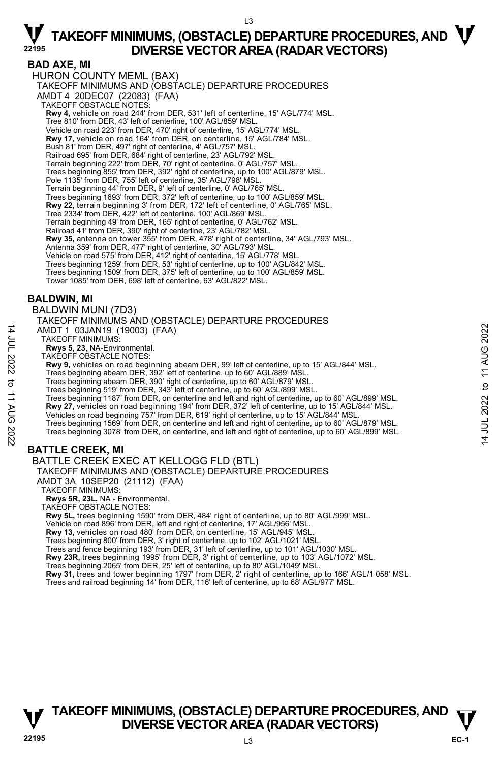L3

### **BAD AXE, MI**

HURON COUNTY MEML (BAX) TAKEOFF MINIMUMS AND (OBSTACLE) DEPARTURE PROCEDURES AMDT 4 20DEC07 (22083) (FAA) TAKEOFF OBSTACLE NOTES: **Rwy 4,** vehicle on road 244' from DER, 531' left of centerline, 15' AGL/774' MSL. Tree 810' from DER, 43' left of centerline, 100' AGL/859' MSL. Vehicle on road 223' from DER, 470' right of centerline, 15' AGL/774' MSL. **Rwy 17,** vehicle on road 164' from DER, on centerline, 15' AGL/784' MSL. Bush 81' from DER, 497' right of centerline, 4' AGL/757' MSL. Railroad 695' from DER, 684' right of centerline, 23' AGL/792' MSL. Terrain beginning 222' from DER, 70' right of centerline, 0' AGL/757' MSL. Trees beginning 855' from DER, 392' right of centerline, up to 100' AGL/879' MSL. Pole 1135' from DER, 755' left of centerline, 35' AGL/798' MSL. Terrain beginning 44' from DER, 9' left of centerline, 0' AGL/765' MSL. Trees beginning 1693' from DER, 372' left of centerline, up to 100' AGL/859' MSL. **Rwy 22,** terrain beginning 3' from DER, 172' left of centerline, 0' AGL/765' MSL. Tree 2334' from DER, 422' left of centerline, 100' AGL/869' MSL. Terrain beginning 49' from DER, 165' right of centerline, 0' AGL/762' MSL. Railroad 41' from DER, 390' right of centerline, 23' AGL/782' MSL.<br>**Rwy 35,** antenna on tower 355' from DER, 478' right of centerline, 34' AGL/793' MSL. Antenna 359' from DER, 477' right of centerline, 30' AGL/793' MSL. Vehicle on road 575' from DER, 412' right of centerline, 15' AGL/778' MSL. Trees beginning 1259' from DER, 53' right of centerline, up to 100' AGL/842' MSL. Trees beginning 1509' from DER, 375' left of centerline, up to 100' AGL/859' MSL. Tower 1085' from DER, 698' left of centerline, 63' AGL/822' MSL.

### **BALDWIN, MI**

14 JUL 2022 to 11 AUG 2022

**11 AUG 2022** 

 $\vec{\sigma}$ 

14 JUL 2022

BALDWIN MUNI (7D3)

TAKEOFF MINIMUMS AND (OBSTACLE) DEPARTURE PROCEDURES AMDT 1 03JAN19 (19003) (FAA)

TAKEOFF MINIMUMS: **Rwys 5, 23,** NA-Environmental.

TAKEOFF OBSTACLE NOTES:

**Rwy 9,** vehicles on road beginning abeam DER, 99' left of centerline, up to 15' AGL/844' MSL.

Trees beginning abeam DER, 392' left of centerline, up to 60' AGL/889' MSL. Trees beginning abeam DER, 390' right of centerline, up to 60' AGL/879' MSL.

Trees beginning 519' from DER, 343' left of centerline, up to 60' AGL/899' MSL.

Trees beginning 1187' from DER, on centerline and left and right of centerline, up to 60' AGL/899' MSL. **Rwy 27,** vehicles on road beginning 194' from DER, 372' left of centerline, up to 15' AGL/844' MSL.

Vehicles on road beginning 757' from DER, 619' right of centerline, up to 15' AGL/844' MSL.

Trees beginning 1569' from DER, on centerline and left and right of centerline, up to 60' AGL/879' MSL. Trees beginning 3078' from DER, on centerline, and left and right of centerline, up to 60' AGL/899' MSL.

### **BATTLE CREEK, MI**

BATTLE CREEK EXEC AT KELLOGG FLD (BTL)

TAKEOFF MINIMUMS AND (OBSTACLE) DEPARTURE PROCEDURES

AMDT 3A 10SEP20 (21112) (FAA)

TAKEOFF MINIMUMS:

**Rwys 5R, 23L,** NA - Environmental.

TAKEOFF OBSTACLE NOTES:

**Rwy 5L,** trees beginning 1590' from DER, 484' right of centerline, up to 80' AGL/999' MSL.

Vehicle on road 896' from DER, left and right of centerline, 17' AGL/956' MSL.

**Rwy 13,** vehicles on road 480' from DER, on centerline, 15' AGL/945' MSL.

Trees beginning 800' from DER, 3' right of centerline, up to 102' AGL/1021' MSL.

Trees and fence beginning 193' from DER, 31' left of centerline, up to 101' AGL/1030' MSL.

**Rwy 23R,** trees beginning 1995' from DER, 3' right of centerline, up to 103' AGL/1072' MSL.

Trees beginning 2065' from DER, 25' left of centerline, up to 80' AGL/1049' MSL.

**Rwy 31,** trees and tower beginning 1797' from DER, 2' right of centerline, up to 166' AGL/1 058' MSL.<br>Trees and railroad beginning 14' from DER, 116' left of centerline, up to 68' AGL/977' MSL.

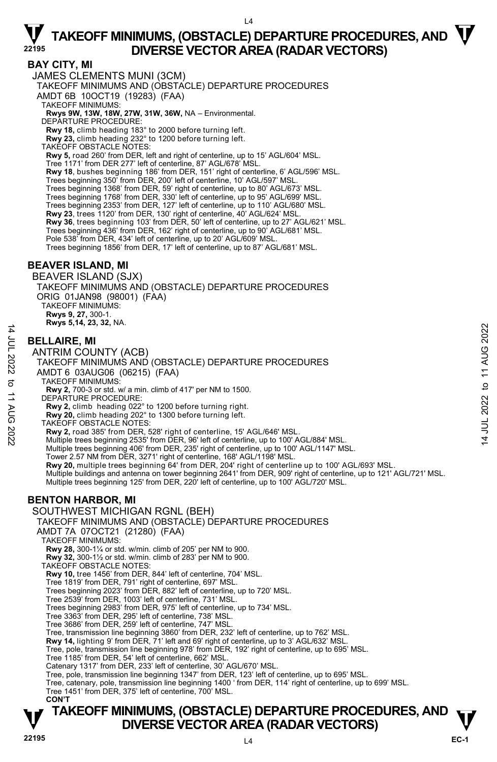$\overline{A}$ 

### **BAY CITY, MI**

JAMES CLEMENTS MUNI (3CM)

TAKEOFF MINIMUMS AND (OBSTACLE) DEPARTURE PROCEDURES

AMDT 6B 10OCT19 (19283) (FAA)

TAKEOFF MINIMUMS:

### **Rwys 9W, 13W, 18W, 27W, 31W, 36W,** NA – Environmental. DEPARTURE PROCEDURE:

**Rwy 18,** climb heading 183° to 2000 before turning left.

**Rwy 23,** climb heading 232° to 1200 before turning left.

TAKEOFF OBSTACLE NOTES:

**Rwy 5,** road 260' from DER, left and right of centerline, up to 15' AGL/604' MSL.

Tree 1171' from DER 277' left of centerline, 87' AGL/678' MSL.

**Rwy 18**, bushes beginning 186' from DER, 151' right of centerline, 6' AGL/596' MSL.<br>Trees beginning 350' from DER, 200' left of centerline, 10' AGL/597' MSL.

Trees beginning 1368' from DER, 59' right of centerline, up to 80' AGL/673' MSL.

Trees beginning 1768' from DER, 330' left of centerline, up to 95' AGL/699' MSL. Trees beginning 2353' from DER, 127' left of centerline, up to 110' AGL/680' MSL.

**Rwy 23**, trees 1120' from DER, 130' right of centerline, 40' AGL/624' MSL.

**Rwy 36**, trees beginning 103' from DER, 50' left of centerline, up to 27' AGL/621' MSL.

Trees beginning 436' from DER, 162' right of centerline, up to 90' AGL/681' MSL. Pole 538' from DER, 434' left of centerline, up to 20' AGL/609' MSL.

Trees beginning 1856' from DER, 17' left of centerline, up to 87' AGL/681' MSL.

### **BEAVER ISLAND, MI**

BEAVER ISLAND (SJX) TAKEOFF MINIMUMS AND (OBSTACLE) DEPARTURE PROCEDURES ORIG 01JAN98 (98001) (FAA) TAKEOFF MINIMUMS: **Rwys 9, 27,** 300-1. **Rwys 5,14, 23, 32,** NA.

### **BELLAIRE, MI**

14 JUL 2022 to 11 AUG 2022

 $\vec{\sigma}$ **11 AUG** 

:2022

14 JUL 2022

ANTRIM COUNTY (ACB) TAKEOFF MINIMUMS AND (OBSTACLE) DEPARTURE PROCEDURES AMDT 6 03AUG06 (06215) (FAA) TAKEOFF MINIMUMS: **Rwy 2,** 700-3 or std. w/ a min. climb of 417' per NM to 1500. DEPARTURE PROCEDURE: **Rwy 2,** climb heading 022° to 1200 before turning right. **Rwy 20,** climb heading 202° to 1300 before turning left.

TAKEOFF OBSTACLE NOTES:

**Rwy 2,** road 385' from DER, 528' right of centerline, 15' AGL/646' MSL.<br>Multiple trees beginning 2535' from DER, 96' left of centerline, up to 100' AGL/884' MSL.

Multiple trees beginning 406' from DER, 235' right of centerline, up to 100' AGL/1147' MSL.

Tower 2.57 NM from DER, 3271' right of centerline, 168' AGL/1198' MSL.<br>**Rwy 20,** multiple trees beginning 64' from DER, 204' right of centerline up to 100' AGL/693' MSL.

Multiple buildings and antenna on tower beginning 2641' from DER, 909' right of centerline, up to 121' AGL/721' MSL.

Multiple trees beginning 125' from DER, 220' left of centerline, up to 100' AGL/720' MSL.

### **BENTON HARBOR, MI**

SOUTHWEST MICHIGAN RGNL (BEH)

TAKEOFF MINIMUMS AND (OBSTACLE) DEPARTURE PROCEDURES

AMDT 7A 07OCT21 (21280) (FAA)

TAKEOFF MINIMUMS:

**Rwy 28,** 300-1¼ or std. w/min. climb of 205' per NM to 900.

**Rwy 32,** 300-1½ or std. w/min. climb of 283' per NM to 900.

TAKEOFF OBSTACLE NOTES:

**Rwy 10,** tree 1456' from DER, 844' left of centerline, 704' MSL.

Tree 1819' from DER, 791' right of centerline, 697' MSL. Trees beginning 2023' from DER, 882' left of centerline, up to 720' MSL.

Tree 2539' from DER, 1003' left of centerline, 731' MSL. Trees beginning 2983' from DER, 975' left of centerline, up to 734' MSL.

Tree 3363' from DER, 295' left of centerline, 738' MSL.

Tree 3686' from DER, 259' left of centerline, 747' MSL.

Tree, transmission line beginning 3860' from DER, 232' left of centerline, up to 762' MSL.

**Rwy 14,** lighting 9' from DER, 71' left and 69' right of centerline, up to 3' AGL/632' MSL.

Tree, pole, transmission line beginning 978' from DER, 192' right of centerline, up to 695' MSL.

Tree 1185' from DER, 54' left of centerline, 662' MSL.

Catenary 1317' from DER, 233' left of centerline, 30' AGL/670' MSL.

Tree, pole, transmission line beginning 1347' from DER, 123' left of centerline, up to 695' MSL.

Tree, catenary, pole, transmission line beginning 1400 ' from DER, 114' right of centerline, up to 699' MSL. Tree 1451' from DER, 375' left of centerline, 700' MSL.

 **CON'T**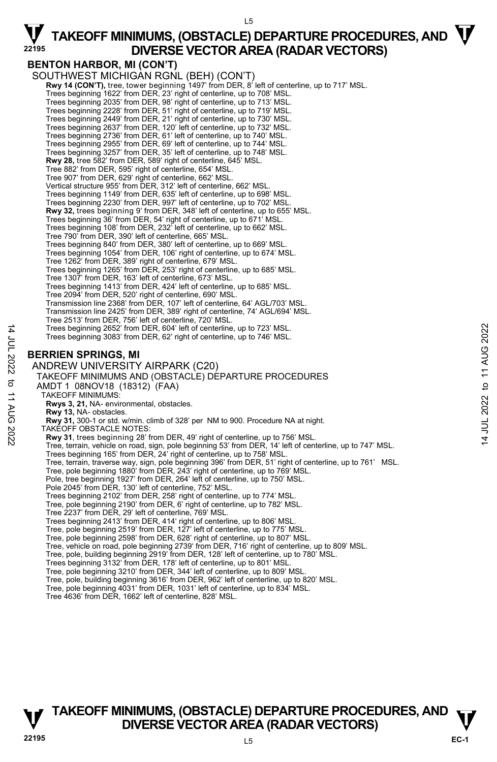$15$ 

### **BENTON HARBOR, MI (CON'T)**

SOUTHWEST MICHIGAN RGNL (BEH) (CON'T) **Rwy 14 (CON'T),** tree, tower beginning 1497' from DER, 8' left of centerline, up to 717' MSL. Trees beginning 1622' from DER, 23' right of centerline, up to 708' MSL. Trees beginning 2035' from DER, 98' right of centerline, up to 713' MSL. Trees beginning 2228' from DER, 51' right of centerline, up to 719' MSL. Trees beginning 2449' from DER, 21' right of centerline, up to 730' MSL. Trees beginning 2637' from DER, 120' left of centerline, up to 732' MSL. Trees beginning 2736' from DER, 61' left of centerline, up to 740' MSL. Trees beginning 2955' from DER, 69' left of centerline, up to 744' MSL. Trees beginning 3257' from DER, 35' left of centerline, up to 748' MSL. **Rwy 28,** tree 582' from DER, 589' right of centerline, 645' MSL. Tree 882' from DER, 595' right of centerline, 654' MSL. Tree 907' from DER, 629' right of centerline, 662' MSL. Vertical structure 955' from DER, 312' left of centerline, 662' MSL. Trees beginning 1149' from DER, 635' left of centerline, up to 698' MSL. Trees beginning 2230' from DER, 997' left of centerline, up to 702' MSL.<br>**Rwy 32,** trees beginning 9' from DER, 348' left of centerline, up to 655' MSL. Trees beginning 36' from DER, 54' right of centerline, up to 671' MSL. Trees beginning 108' from DER, 232' left of centerline, up to 662' MSL. Tree 790' from DER, 390' left of centerline, 665' MSL. Trees beginning 840' from DER, 380' left of centerline, up to 669' MSL. Trees beginning 1054' from DER, 106' right of centerline, up to 674' MSL. Tree 1262' from DER, 389' right of centerline, 679' MSL. Trees beginning 1265' from DER, 253' right of centerline, up to 685' MSL. Tree 1307' from DER, 163' left of centerline, 673' MSL. Trees beginning 1413' from DER, 424' left of centerline, up to 685' MSL. Tree 2094' from DER, 520' right of centerline, 690' MSL. Transmission line 2368' from DER, 107' left of centerline, 64' AGL/703' MSL. Transmission line 2425' from DER, 389' right of centerline, 74' AGL/694' MSL. Tree 2513' from DER, 756' left of centerline, 720' MSL. Trees beginning 2652' from DER, 604' left of centerline, up to 723' MSL. Trees beginning 3083' from DER, 62' right of centerline, up to 746' MSL. **BERRIEN SPRINGS, MI**  ANDREW UNIVERSITY AIRPARK (C20) TAKEOFF MINIMUMS AND (OBSTACLE) DEPARTURE PROCEDURES AMDT 1 08NOV18 (18312) (FAA) TAKEOFF MINIMUMS: **Rwys 3, 21,** NA- environmental, obstacles. **Rwy 13,** NA- obstacles. **Rwy 31,** 300-1 or std. w/min. climb of 328' per NM to 900. Procedure NA at night. TAKEOFF OBSTACLE NOTES: **Rwy 31**, trees beginning 28' from DER, 49' right of centerline, up to 756' MSL. Tree, terrain, vehicle on road, sign, pole beginning 53' from DER, 14' left of centerline, up to 747' MSL. Trees beginning 165' from DER, 24' right of centerline, up to 758' MSL. Tree, terrain, traverse way, sign, pole beginning 396' from DER, 51' right of centerline, up to 761' MSL.<br>Tree, pole beginning 1880' from DER, 243' right of centerline, up to 769' MSL. Pole, tree beginning 1927' from DER, 264' left of centerline, up to 750' MSL. Pole 2045' from DER, 130' left of centerline, 752' MSL. Trees beginning 2102' from DER, 258' right of centerline, up to 774' MSL. Tree, pole beginning 2190' from DER, 6' right of centerline, up to 782' MSL. Tree 2237' from DER, 29' left of centerline, 769' MSL. Trees beginning 2413' from DER, 414' right of centerline, up to 806' MSL. Tree, pole beginning 2519' from DER, 127' left of centerline, up to 775' MSL. Tree, pole beginning 2598' from DER, 628' right of centerline, up to 807' MSL. Tree, vehicle on road, pole beginning 2739' from DER, 716' right of centerline, up to 809' MSL. Tree, pole, building beginning 2919' from DER, 128' left of centerline, up to 780' MSL. Trees beginning 3132' from DER, 178' left of centerline, up to 801' MSL. Tree, pole beginning 3210' from DER, 344' left of centerline, up to 809' MSL.

- Tree, pole, building beginning 3616' from DER, 962' left of centerline, up to 820' MSL.
- Tree, pole beginning 4031' from DER, 1031' left of centerline, up to 834' MSL.
- Tree 4636' from DER, 1662' left of centerline, 828' MSL.

### **TAKEOFF MINIMUMS, (OBSTACLE) DEPARTURE PROCEDURES, AND**  $\mathbf{\nabla}$ **DIVERSE VECTOR AREA (RADAR VECTORS)**

**EC-1** 

14 JUL 2022 to 11 AUG 2022

 $\vec{\sigma}$ **11 AUG** 

2022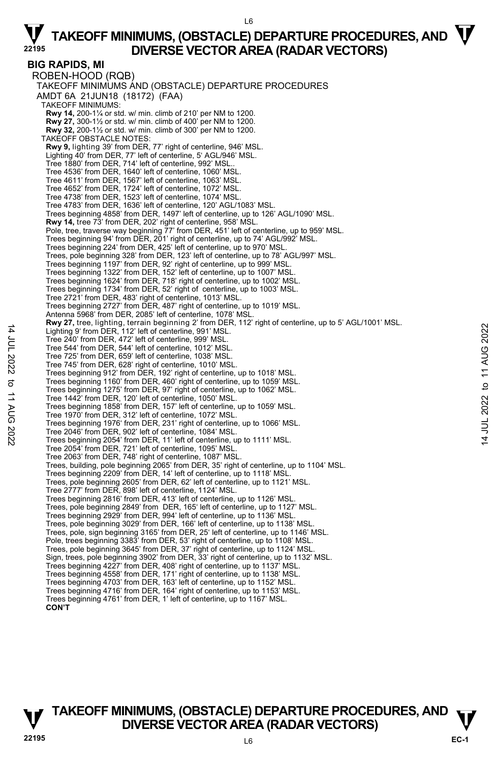L6

**BIG RAPIDS, MI**  ROBEN-HOOD (RQB) TAKEOFF MINIMUMS AND (OBSTACLE) DEPARTURE PROCEDURES AMDT 6A 21JUN18 (18172) (FAA) TAKEOFF MINIMUMS: **Rwy 14,** 200-1¼ or std. w/ min. climb of 210' per NM to 1200. **Rwy 27,** 300-1½ or std. w/ min. climb of 400' per NM to 1200. **Rwy 32,** 200-1½ or std. w/ min. climb of 300' per NM to 1200. TAKEOFF OBSTACLE NOTES: **Rwy 9,** lighting 39' from DER, 77' right of centerline, 946' MSL. Lighting 40' from DER, 77' left of centerline, 5' AGL/946' MSL. Tree 1880' from DER, 714' left of centerline, 992' MSL.. Tree 4536' from DER, 1640' left of centerline, 1060' MSL. Tree 4611' from DER, 1567' left of centerline, 1063' MSL. Tree 4652' from DER, 1724' left of centerline, 1072' MSL. Tree 4738' from DER, 1523' left of centerline, 1074' MSL. Tree 4783' from DER, 1636' left of centerline, 120' AGL/1083' MSL. Trees beginning 4858' from DER, 1497' left of centerline, up to 126' AGL/1090' MSL. **Rwy 14,** tree 73' from DER, 202' right of centerline, 958' MSL. Pole, tree, traverse way beginning 77' from DER, 451' left of centerline, up to 959' MSL. Trees beginning 94' from DER, 201' right of centerline, up to 74' AGL/992' MSL. Trees beginning 224' from DER, 425' left of centerline, up to 970' MSL. Trees, pole beginning 328' from DER, 123' left of centerline, up to 78' AGL/997' MSL.<br>Trees beginning 1197' from DER, 92' right of centerline, up to 999' MSL.<br>Trees beginning 1322' from DER, 152' left of centerline, up to Trees beginning 1624' from DER, 718' right of centerline, up to 1002' MSL. Trees beginning 1734' from DER, 52' right of centerline, up to 1003' MSL. Tree 2721' from DER, 483' right of centerline, 1013' MSL. Trees beginning 2727' from DER, 487' right of centerline, up to 1019' MSL. Antenna 5968' from DER, 2085' left of centerline, 1078' MSL. **Rwy 27,** tree, lighting, terrain beginning 2' from DER, 112' right of centerline, up to 5' AGL/1001' MSL. Lighting 9' from DER, 112' left of centerline, 991' MSL. Tree 240' from DER, 472' left of centerline, 999' MSL. Tree 544' from DER, 544' left of centerline, 1012' MSL. Tree 725' from DER, 659' left of centerline, 1038' MSL. Tree 745' from DER, 628' right of centerline, 1010' MSL. Trees beginning 912' from DER, 192' right of centerline, up to 1018' MSL. Trees beginning 1160' from DER, 460' right of centerline, up to 1059' MSL. Trees beginning 1275' from DER, 97' right of centerline, up to 1062' MSL. Tree 1442' from DER, 120' left of centerline, 1050' MSL. Trees beginning 1858' from DER, 157' left of centerline, up to 1059' MSL. Tree 1970' from DER, 312' left of centerline, 1072' MSL. Trees beginning 1976' from DER, 231' right of centerline, up to 1066' MSL. Tree 2046' from DER, 902' left of centerline, 1084' MSL. Trees beginning 2054' from DER, 11' left of centerline, up to 1111' MSL. Tree 2054' from DER, 721' left of centerline, 1095' MSL. Tree 2063' from DER, 748' right of centerline, 1087' MSL. Trees, building, pole beginning 2065' from DER, 35' right of centerline, up to 1104' MSL. Trees beginning 2209' from DER, 14' left of centerline, up to 1118' MSL. Trees, pole beginning 2605' from DER, 62' left of centerline, up to 1121' MSL. Tree 2777' from DER, 898' left of centerline, 1124' MSL. Trees beginning 2816' from DER, 413' left of centerline, up to 1126' MSL. Trees, pole beginning 2849' from DER, 165' left of centerline, up to 1127' MSL. Trees beginning 2929' from DER, 994' left of centerline, up to 1136' MSL. Trees, pole beginning 3029' from DER, 166' left of centerline, up to 1138' MSL. Trees, pole, sign beginning 3165' from DER, 25' left of centerline, up to 1146' MSL. Pole, trees beginning 3383' from DER, 53' right of centerline, up to 1108' MSL. Trees, pole beginning 3645' from DER, 37' right of centerline, up to 1124' MSL. Sign, trees, pole beginning 3902' from DER, 33' right of centerline, up to 1132' MSL. Trees beginning 4227' from DER, 408' right of centerline, up to 1137' MSL. Trees beginning 4558' from DER, 171' right of centerline, up to 1138' MSL. Trees beginning 4703' from DER, 163' left of centerline, up to 1152' MSL. Trees beginning 4716' from DER, 164' right of centerline, up to 1153' MSL. Trees beginning 4761' from DER, 1' left of centerline, up to 1167' MSL.  **CON'T** 

### **TAKEOFF MINIMUMS, (OBSTACLE) DEPARTURE PROCEDURES, AND**  $\mathbf{\nabla}$ **DIVERSE VECTOR AREA (RADAR VECTORS)**

14 JUL 2022 to 11 AUG 2022

to 11 AUG

:2022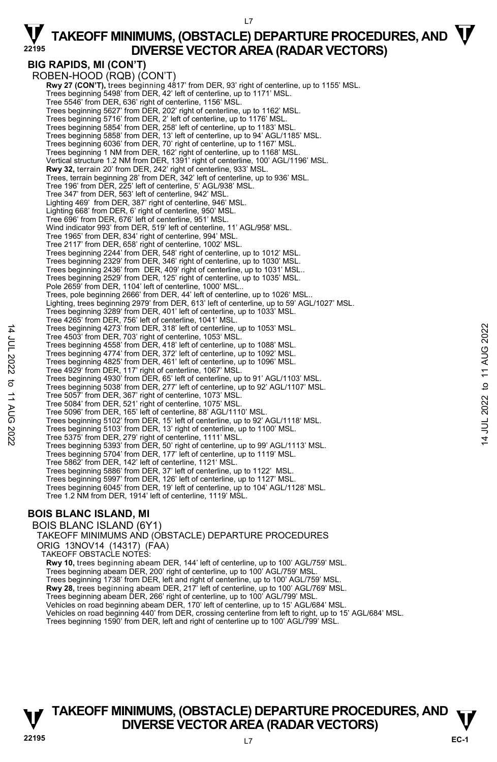# **BIG RAPIDS, MI (CON'T)**

ROBEN-HOOD (RQB) (CON'T)  **Rwy 27 (CON'T),** trees beginning 4817' from DER, 93' right of centerline, up to 1155' MSL. Trees beginning 5498' from DER, 42' left of centerline, up to 1171' MSL. Tree 5546' from DER, 636' right of centerline, 1156' MSL. Trees beginning 5627' from DER, 202' right of centerline, up to 1162' MSL. Trees beginning 5716' from DER, 2' left of centerline, up to 1176' MSL. Trees beginning 5854' from DER, 258' left of centerline, up to 1183' MSL. Trees beginning 5858' from DER, 13' left of centerline, up to 94' AGL/1185' MSL. Trees beginning 6036' from DER, 70' right of centerline, up to 1167' MSL. Trees beginning 1 NM from DER, 162' right of centerline, up to 1168' MSL. Vertical structure 1.2 NM from DER, 1391' right of centerline, 100' AGL/1196' MSL. **Rwy 32,** terrain 20' from DER, 242' right of centerline, 933' MSL.<br>Trees, terrain beginning 28' from DER, 342' left of centerline, up to 936' MSL. Tree 196' from DER, 225' left of centerline, 5' AGL/938' MSL. Tree 347' from DER, 563' left of centerline, 942' MSL. Lighting 469' from DER, 387' right of centerline, 946' MSL. Lighting 668' from DER, 6' right of centerline, 950' MSL. Tree 696' from DER, 676' left of centerline, 951' MSL. Wind indicator 993' from DER, 519' left of centerline, 11' AGL/958' MSL. Tree 1965' from DER, 834' right of centerline, 994' MSL. Tree 2117' from DER, 658' right of centerline, 1002' MSL. Trees beginning 2244' from DER, 548' right of centerline, up to 1012' MSL. Trees beginning 2329' from DER, 346' right of centerline, up to 1030' MSL. Trees beginning 2436' from DER, 409' right of centerline, up to 1031' MSL.. Trees beginning 2529' from DER, 125' right of centerline, up to 1035' MSL. Pole 2659' from DER, 1104' left of centerline, 1000' MSL.. Trees, pole beginning 2666' from DER, 44' left of centerline, up to 1026' MSL.. Lighting, trees beginning 2979' from DER, 613' left of centerline, up to 59' AGL/1027' MSL. Trees beginning 3289' from DER, 401' left of centerline, up to 1033' MSL. Tree 4265' from DER, 756' left of centerline, 1041' MSL. Trees beginning 4273' from DER, 318' left of centerline, up to 1053' MSL. Tree 4503' from DER, 703' right of centerline, 1053' MSL. Trees beginning 4558' from DER, 418' left of centerline, up to 1088' MSL. Trees beginning 4774' from DER, 372' left of centerline, up to 1092' MSL. Trees beginning 4825' from DER, 461' left of centerline, up to 1096' MSL. Tree 4929' from DER, 117' right of centerline, 1067' MSL. Trees beginning 4930' from DER, 65' left of centerline, up to 91' AGL/1103' MSL. Trees beginning 5038' from DER, 277' left of centerline, up to 92' AGL/1107' MSL. Tree 5057' from DER, 367' right of centerline, 1073' MSL. Tree 5084' from DER, 521' right of centerline, 1075' MSL. Tree 5096' from DER, 165' left of centerline, 88' AGL/1110' MSL. Trees beginning 5102' from DER, 15' left of centerline, up to 92' AGL/1118' MSL. Trees beginning 5103' from DER, 13' right of centerline, up to 1100' MSL. Tree 5375' from DER, 279' right of centerline, 1111' MSL. Trees beginning 5393' from DER, 50' right of centerline, up to 99' AGL/1113' MSL. Trees beginning 5704' from DER, 177' left of centerline, up to 1119' MSL. Tree 5862' from DER, 142' left of centerline, 1121' MSL. Trees beginning 5886' from DER, 37' left of centerline, up to 1122' MSL. Trees beginning 5997' from DER, 126' left of centerline, up to 1127' MSL. Trees beginning 6045' from DER, 19' left of centerline, up to 104' AGL/1128' MSL. Tree 1.2 NM from DER, 1914' left of centerline, 1119' MSL.

### **BOIS BLANC ISLAND, MI**

BOIS BLANC ISLAND (6Y1) TAKEOFF MINIMUMS AND (OBSTACLE) DEPARTURE PROCEDURES ORIG 13NOV14 (14317) (FAA) TAKEOFF OBSTACLE NOTES: **Rwy 10,** trees beginning abeam DER, 144' left of centerline, up to 100' AGL/759' MSL. Trees beginning abeam DER, 200' right of centerline, up to 100' AGL/759' MSL. Trees beginning 1738' from DER, left and right of centerline, up to 100' AGL/759' MSL. **Rwy 28,** trees beginning abeam DER, 217' left of centerline, up to 100' AGL/769' MSL. Trees beginning abeam DER, 266' right of centerline, up to 100' AGL/799' MSL. Vehicles on road beginning abeam DER, 170' left of centerline, up to 15' AGL/684' MSL. Vehicles on road beginning 440' from DER, crossing centerline from left to right, up to 15' AGL/684' MSL. Trees beginning 1590' from DER, left and right of centerline up to 100' AGL/799' MSL.

### **TAKEOFF MINIMUMS, (OBSTACLE) DEPARTURE PROCEDURES, AND**  $\mathbf{\nabla}$ **DIVERSE VECTOR AREA (RADAR VECTORS)**

**EC-1** 

14 JUL 2022 to 11 AUG 2022

 $\vec{\sigma}$ **11 AUG** 

:2022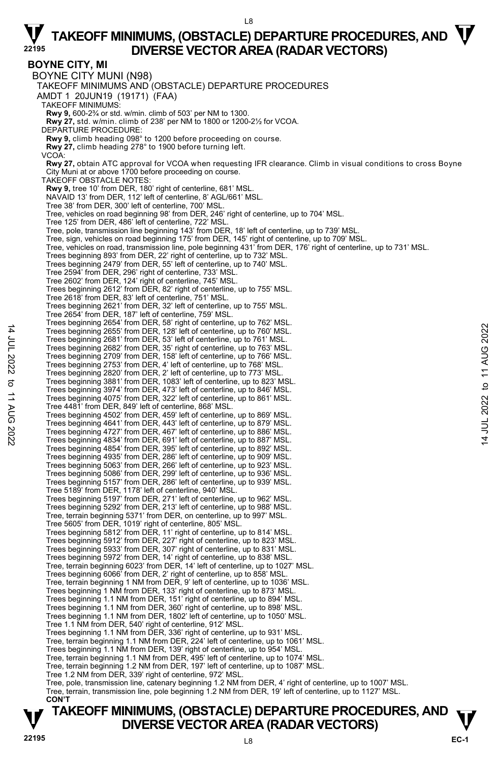#### L8

## $\nabla$  TAKEOFF MINIMUMS, (OBSTACLE) DEPARTURE PROCEDURES, AND  $\nabla$ **DIVERSE VECTOR AREA (RADAR VECTORS) <sup>22195</sup>**

**BOYNE CITY, MI**  BOYNE CITY MUNI (N98) TAKEOFF MINIMUMS AND (OBSTACLE) DEPARTURE PROCEDURES AMDT 1 20JUN19 (19171) (FAA) TAKEOFF MINIMUMS: **Rwy 9,** 600-2¾ or std. w/min. climb of 503' per NM to 1300. **Rwy 27,** std. w/min. climb of 238' per NM to 1800 or 1200-2½ for VCOA. DEPARTURE PROCEDURE: **Rwy 9,** climb heading 098° to 1200 before proceeding on course. **Rwy 27,** climb heading 278° to 1900 before turning left. VCOA: **Rwy 27,** obtain ATC approval for VCOA when requesting IFR clearance. Climb in visual conditions to cross Boyne City Muni at or above 1700 before proceeding on course. TAKEOFF OBSTACLE NOTES: **Rwy 9,** tree 10' from DER, 180' right of centerline, 681' MSL. NAVAID 13' from DER, 112' left of centerline, 8' AGL/661' MSL. Tree 38' from DER, 300' left of centerline, 700' MSL. Tree, vehicles on road beginning 98' from DER, 246' right of centerline, up to 704' MSL. Tree 125' from DER, 486' left of centerline, 722' MSL. Tree, pole, transmission line beginning 143' from DER, 18' left of centerline, up to 739' MSL.<br>Tree, sign, vehicles on road beginning 175' from DER, 145' right of centerline, up to 709' MSL.<br>Tree, vehicles on road, transmi Trees beginning 893' from DER, 22' right of centerline, up to 732' MSL. Trees beginning 2479' from DER, 55' left of centerline, up to 740' MSL. Tree 2594' from DER, 296' right of centerline, 733' MSL. Tree 2602' from DER, 124' right of centerline, 745' MSL. Trees beginning 2612' from DER, 82' right of centerline, up to 755' MSL. Tree 2618' from DER, 83' left of centerline, 751' MSL. Trees beginning 2621' from DER, 32' left of centerline, up to 755' MSL. Tree 2654' from DER, 187' left of centerline, 759' MSL. Trees beginning 2654' from DER, 58' right of centerline, up to 762' MSL. Trees beginning 2655' from DER, 128' left of centerline, up to 760' MSL. Trees beginning 2681' from DER, 53' left of centerline, up to 761' MSL. Trees beginning 2682' from DER, 35' right of centerline, up to 763' MSL. Trees beginning 2709' from DER, 158' left of centerline, up to 766' MSL. Trees beginning 2753' from DER, 4' left of centerline, up to 768' MSL. Trees beginning 2820' from DER, 2' left of centerline, up to 773' MSL.<br>Trees beginning 3881' from DER, 1083' left of centerline, up to 823' MSL.<br>Trees beginning 3974' from DER, 473' left of centerline, up to 846' MSL. Trees beginning 4075' from DER, 322' left of centerline, up to 861' MSL. Tree 4481' from DER, 849' left of centerline, 868' MSL. Trees beginning 4502' from DER, 459' left of centerline, up to 869' MSL. Trees beginning 4641' from DER, 443' left of centerline, up to 879' MSL. Trees beginning 4727' from DER, 467' left of centerline, up to 886' MSL. Trees beginning 4834' from DER, 691' left of centerline, up to 887' MSL. Trees beginning 4854' from DER, 395' left of centerline, up to 892' MSL. Trees beginning 4935' from DER, 286' left of centerline, up to 909' MSL. Trees beginning 5063' from DER, 266' left of centerline, up to 923' MSL. Trees beginning 5086' from DER, 299' left of centerline, up to 936' MSL. Trees beginning 5157' from DER, 286' left of centerline, up to 939' MSL. Tree 5189' from DER, 1178' left of centerline, 940' MSL. Trees beginning 5197' from DER, 271' left of centerline, up to 962' MSL. Trees beginning 5292' from DER, 213' left of centerline, up to 988' MSL. Tree, terrain beginning 5371' from DER, on centerline, up to 997' MSL.<br>Tree 5605' from DER, 1019' right of centerline, 805' MSL.<br>Trees beginning 5812' from DER, 11' right of centerline, up to 814' MSL. Trees beginning 5912' from DER, 227' right of centerline, up to 823' MSL. Trees beginning 5933' from DER, 307' right of centerline, up to 831' MSL. Trees beginning 5972' from DER, 14' right of centerline, up to 838' MSL. Tree, terrain beginning 6023' from DER, 14' left of centerline, up to 1027' MSL. Trees beginning 6066' from DER, 2' right of centerline, up to 858' MSL. Tree, terrain beginning 1 NM from DER, 9' left of centerline, up to 1036' MSL. Trees beginning 1 NM from DER, 133' right of centerline, up to 873' MSL. Trees beginning 1.1 NM from DER, 151' right of centerline, up to 894' MSL. Trees beginning 1.1 NM from DER, 360' right of centerline, up to 898' MSL. Trees beginning 1.1 NM from DER, 1802' left of centerline, up to 1050' MSL. Tree 1.1 NM from DER, 540' right of centerline, 912' MSL. Trees beginning 1.1 NM from DER, 336' right of centerline, up to 931' MSL. Tree, terrain beginning 1.1 NM from DER, 224' left of centerline, up to 1061' MSL. Trees beginning 1.1 NM from DER, 139' right of centerline, up to 954' MSL. Tree, terrain beginning 1.1 NM from DER, 495' left of centerline, up to 1074' MSL. Tree, terrain beginning 1.2 NM from DER, 197' left of centerline, up to 1087' MSL. Tree 1.2 NM from DER, 339' right of centerline, 972' MSL. Tree, pole, transmission line, catenary beginning 1.2 NM from DER, 4' right of centerline, up to 1007' MSL. Tree, terrain, transmission line, pole beginning 1.2 NM from DER, 19' left of centerline, up to 1127' MSL. **CON'T** 

### **TAKEOFF MINIMUMS, (OBSTACLE) DEPARTURE PROCEDURES, AND**  $\mathbf{\nabla}$ **DIVERSE VECTOR AREA (RADAR VECTORS)**

14 JUL 2022 to 11 AUG 2022

to 11 AUG 2022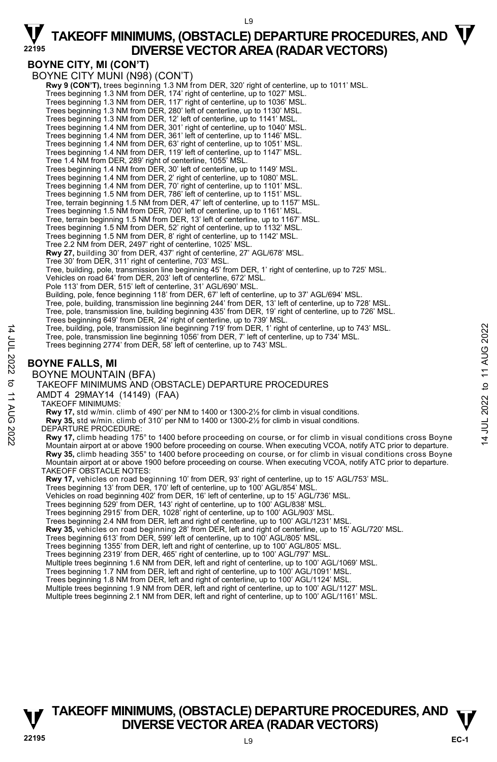### **BOYNE CITY, MI (CON'T)**

BOYNE CITY MUNI (N98) (CON'T) **Rwy 9 (CON'T),** trees beginning 1.3 NM from DER, 320' right of centerline, up to 1011' MSL. Trees beginning 1.3 NM from DER, 174' right of centerline, up to 1027' MSL. Trees beginning 1.3 NM from DER, 117' right of centerline, up to 1036' MSL. Trees beginning 1.3 NM from DER, 280' left of centerline, up to 1130' MSL. Trees beginning 1.3 NM from DER, 12' left of centerline, up to 1141' MSL. Trees beginning 1.4 NM from DER, 301' right of centerline, up to 1040' MSL. Trees beginning 1.4 NM from DER, 361' left of centerline, up to 1146' MSL. Trees beginning 1.4 NM from DER, 63' right of centerline, up to 1051' MSL. Trees beginning 1.4 NM from DER, 119' left of centerline, up to 1147' MSL. Tree 1.4 NM from DER, 289' right of centerline, 1055' MSL. Trees beginning 1.4 NM from DER, 30' left of centerline, up to 1149' MSL. Trees beginning 1.4 NM from DER, 2' right of centerline, up to 1080' MSL. Trees beginning 1.4 NM from DER, 70' right of centerline, up to 1101' MSL. Trees beginning 1.5 NM from DER, 786' left of centerline, up to 1151' MSL. Tree, terrain beginning 1.5 NM from DER, 47' left of centerline, up to 1157' MSL. Trees beginning 1.5 NM from DER, 700' left of centerline, up to 1161' MSL. Tree, terrain beginning 1.5 NM from DER, 13' left of centerline, up to 1167' MSL. Trees beginning 1.5 NM from DER, 52' right of centerline, up to 1132' MSL. Trees beginning 1.5 NM from DER, 8' right of centerline, up to 1142' MSL. Tree 2.2 NM from DER, 2497' right of centerline, 1025' MSL. **Rwy 27,** building 30' from DER, 437' right of centerline, 27' AGL/678' MSL. Tree 30' from DER, 311' right of centerline, 703' MSL. Tree, building, pole, transmission line beginning 45' from DER, 1' right of centerline, up to 725' MSL. Vehicles on road 64' from DER, 203' left of centerline, 672' MSL. Pole 113' from DER, 515' left of centerline, 31' AGL/690' MSL. Building, pole, fence beginning 118' from DER, 67' left of centerline, up to 37' AGL/694' MSL. Tree, pole, building, transmission line beginning 244' from DER, 13' left of centerline, up to 728' MSL. Tree, pole, transmission line, building beginning 435' from DER, 19' right of centerline, up to 726' MSL. Trees beginning 649' from DER, 24' right of centerline, up to 739' MSL. Tree, building, pole, transmission line beginning 719' from DER, 1' right of centerline, up to 743' MSL. Tree, pole, transmission line beginning 1056' from DER, 7' left of centerline, up to 734' MSL. Trees beginning 2774' from DER, 58' left of centerline, up to 743' MSL. **BOYNE FALLS, MI**  BOYNE MOUNTAIN (BFA) TAKEOFF MINIMUMS AND (OBSTACLE) DEPARTURE PROCEDURES AMDT 4 29MAY14 (14149) (FAA) TAKEOFF MINIMUMS: **Rwy 17,** std w/min. climb of 490' per NM to 1400 or 1300-2½ for climb in visual conditions. **Rwy 35,** std w/min. climb of 310' per NM to 1400 or 1300-2½ for climb in visual conditions. DEPARTURE PROCEDURE: **Rwy 17,** climb heading 175° to 1400 before proceeding on course, or for climb in visual conditions cross Boyne Mountain airport at or above 1900 before proceeding on course. When executing VCOA, notify ATC prior to departure. **Rwy 35,** climb heading 355° to 1400 before proceeding on course, or for climb in visual conditions cross Boyne Mountain airport at or above 1900 before proceeding on course. When executing VCOA, notify ATC prior to departure. TAKEOFF OBSTACLE NOTES: **Rwy 17,** vehicles on road beginning 10' from DER, 93' right of centerline, up to 15' AGL/753' MSL. Trees beginning 13' from DER, 170' left of centerline, up to 100' AGL/854' MSL.<br>Vehicles on road beginning 402' from DER, 16' left of centerline, up to 15' AGL/736' MSL. Trees beginning 529' from DER, 143' right of centerline, up to 100' AGL/838' MSL. Trees beginning 2915' from DER, 1028' right of centerline, up to 100' AGL/903' MS Trees beginning 2.4 NM from DER, left and right of centerline, up to 100' AGL/1231' MSL. **Rwy 35,** vehicles on road beginning 28' from DER, left and right of centerline, up to 15' AGL/720' MSL. Trees beginning 613' from DER, 599' left of centerline, up to 100' AGL/805' MSL. Trees beginning 1355' from DER, left and right of centerline, up to 100' AGL/805' MSL. Trees beginning 2319' from DER, 465' right of centerline, up to 100' AGL/797' MSL. Multiple trees beginning 1.6 NM from DER, left and right of centerline, up to 100' AGL/1069' MSL. Trees beginning 1.7 NM from DER, left and right of centerline, up to 100' AGL/1091' MSL. Trees beginning 1.8 NM from DER, left and right of centerline, up to 100' AGL/1124' MSL. Multiple trees beginning 1.9 NM from DER, left and right of centerline, up to 100' AGL/1127' MSL. Multiple trees beginning 2.1 NM from DER, left and right of centerline, up to 100' AGL/1161' MSL.

### **TAKEOFF MINIMUMS, (OBSTACLE) DEPARTURE PROCEDURES, AND**  $\mathbf{\nabla}$ **DIVERSE VECTOR AREA (RADAR VECTORS)**

14 JUL 2022 to 11 AUG 2022

to 11 AUG

:2022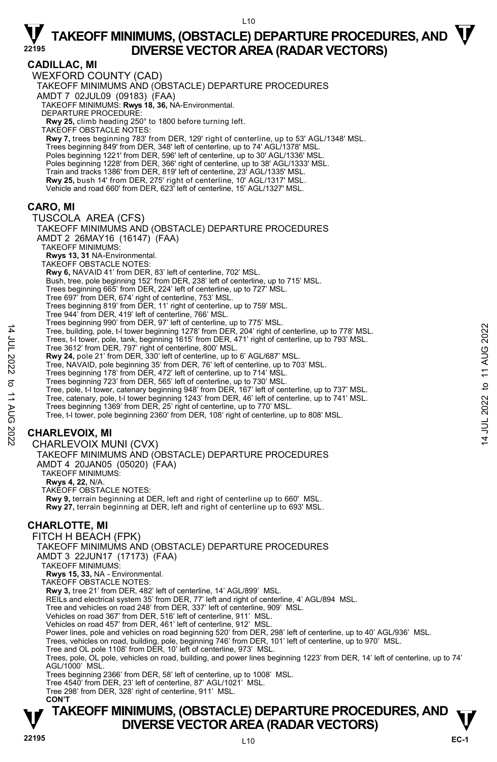$110$ 

#### **CADILLAC, MI**  WEXFORD COUNTY (CAD) TAKEOFF MINIMUMS AND (OBSTACLE) DEPARTURE PROCEDURES AMDT 7 02JUL09 (09183) (FAA) TAKEOFF MINIMUMS: **Rwys 18, 36,** NA-Environmental. DEPARTURE PROCEDURE: **Rwy 25,** climb heading 250° to 1800 before turning left. TAKEOFF OBSTACLE NOTES: **Rwy 7,** trees beginning 783' from DER, 129' right of centerline, up to 53' AGL/1348' MSL. Trees beginning 849' from DER, 348' left of centerline, up to 74' AGL/1378' MSL. Poles beginning 1221' from DER, 596' left of centerline, up to 30' AGL/1336' MSL Poles beginning 1228' from DER, 366' right of centerline, up to 38' AGL/1333' MSL. Train and tracks 1386' from DER, 819' left of centerline, 23' AGL/1335' MSL. **Rwy 25,** bush 14' from DER, 275' right of centerline, 10' AGL/1317' MSL. Vehicle and road 660' from DER, 623' left of centerline, 15' AGL/1327' MSL. **CARO, MI**  TUSCOLA AREA (CFS) TAKEOFF MINIMUMS AND (OBSTACLE) DEPARTURE PROCEDURES AMDT 2 26MAY16 (16147) (FAA) TAKEOFF MINIMUMS: **Rwys 13, 31** NA-Environmental. TAKEOFF OBSTACLE NOTES: **Rwy 6,** NAVAID 41' from DER, 83' left of centerline, 702' MSL. Bush, tree, pole beginning 152' from DER, 238' left of centerline, up to 715' MSL. Trees beginning 665' from DER, 224' left of centerline, up to 727' MSL. Tree 697' from DER, 674' right of centerline, 753' MSL. Trees beginning 819' from DER, 11' right of centerline, up to 759' MSL. Tree 944' from DER, 419' left of centerline, 766' MSL. Trees beginning 990' from DER, 97' left of centerline, up to 775' MSL. Tree, building, pole, t-l tower beginning 1278' from DER, 204' right of centerline, up to 778' MSL. Trees, t-l tower, pole, tank, beginning 1615' from DER, 471' right of centerline, up to 793' MSL. Tree 3612' from DER, 797' right of centerline, 800' MSL. **Rwy 24,** pole 21' from DER, 330' left of centerline, up to 6' AGL/687' MSL. Tree, NAVAID, pole beginning 35' from DER, 76' left of centerline, up to 703' MSL. Trees beginning 178' from DER, 472' left of centerline, up to 714' MSL. Trees beginning 723' from DER, 565' left of centerline, up to 730' MSL. Tree, pole, t-l tower, catenary beginning 948' from DER, 167' left of centerline, up to 737' MSL. Tree, catenary, pole, t-l tower beginning 1243' from DER, 46' left of centerline, up to 741' MSL.<br>Trees beginning 1369' from DER, 25' right of centerline, up to 770' MSL. Tree, t-l tower, pole beginning 2360' from DER, 108' right of centerline, up to 808' MSL. **CHARLEVOIX, MI**  CHARLEVOIX MUNI (CVX) TAKEOFF MINIMUMS AND (OBSTACLE) DEPARTURE PROCEDURES AMDT 4 20JAN05 (05020) (FAA) TAKEOFF MINIMUMS: **Rwys 4, 22,** N/A. TAKEOFF OBSTACLE NOTES: **Rwy 9,** terrain beginning at DER, left and right of centerline up to 660' MSL. **Rwy 27,** terrain beginning at DER, left and right of centerline up to 693' MSL. **CHARLOTTE, MI**  FITCH H BEACH (FPK) TAKEOFF MINIMUMS AND (OBSTACLE) DEPARTURE PROCEDURES AMDT 3 22JUN17 (17173) (FAA) TAKEOFF MINIMUMS: **Rwys 15, 33,** NA - Environmental. TAKEOFF OBSTACLE NOTES: **Rwy 3,** tree 21' from DER, 482' left of centerline, 14' AGL/899' MSL. REILs and electrical system 35' from DER, 77' left and right of centerline, 4' AGL/894 MSL. Tree and vehicles on road 248' from DER, 337' left of centerline, 909' MSL. Vehicles on road 367' from DER, 516' left of centerline, 911' MSL. Vehicles on road 457' from DER, 461' left of centerline, 912' MSL. Power lines, pole and vehicles on road beginning 520' from DER, 298' left of centerline, up to 40' AGL/936' MSL. Trees, vehicles on road, building, pole, beginning 746' from DER, 101' left of centerline, up to 970' MSL. Tree and OL pole 1108' from DER, 10' left of centerline, 973' MSL. Trees, pole, OL pole, vehicles on road, building, and power lines beginning 1223' from DER, 14' left of centerline, up to 74' AGL/1000' MSL. Trees beginning 2366' from DER, 58' left of centerline, up to 1008' MSL.

Tree 4540' from DER, 23' left of centerline, 87' AGL/1021' MSL. Tree 298' from DER, 328' right of centerline, 911' MSL.

 **CON'T** 

### **TAKEOFF MINIMUMS, (OBSTACLE) DEPARTURE PROCEDURES, AND**  $\mathbf{\nabla}$ **DIVERSE VECTOR AREA (RADAR VECTORS)**

14 JUL 2022 to 11 AUG 2022

to 11 AUG

:2022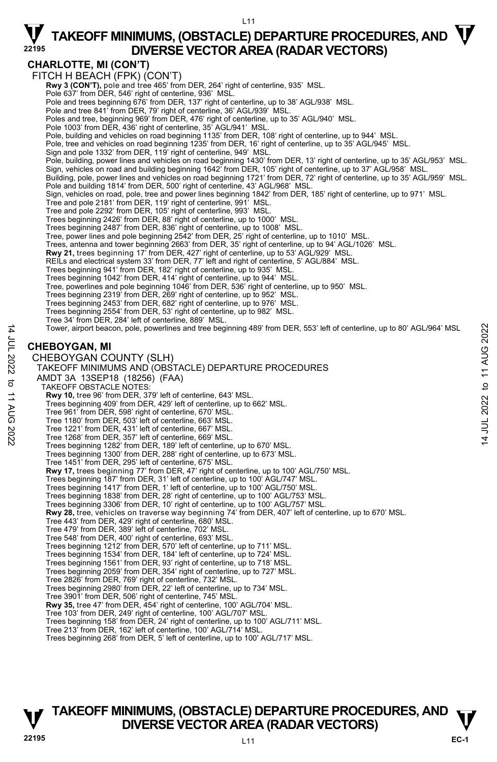### **CHARLOTTE, MI (CON'T)**

FITCH H BEACH (FPK) (CON'T) **Rwy 3 (CON'T),** pole and tree 465' from DER, 264' right of centerline, 935' MSL.<br>Pole 637' from DER, 546' right of centerline, 936' MSL. Pole and trees beginning 676' from DER, 137' right of centerline, up to 38' AGL/938' MSL. Pole and tree 841' from DER, 79' right of centerline, 36' AGL/939' MSL. Poles and tree, beginning 969' from DER, 476' right of centerline, up to 35' AGL/940' MSL. Pole 1003' from DER, 436' right of centerline, 35' AGL/941' MSL Pole, building and vehicles on road beginning 1135' from DER, 108' right of centerline, up to 944' MSL. Pole, tree and vehicles on road beginning 1235' from DER, 16' right of centerline, up to 35' AGL/945' MSL.<br>Sign and pole 1332' from DER, 119' right of centerline, 949' MSL. Pole, building, power lines and vehicles on road beginning 1430' from DER, 13' right of centerline, up to 35' AGL/953' MSL. Sign, vehicles on road and building beginning 1642' from DER, 105' right of centerline, up to 37' AGL/958' MSL. Building, pole, power lines and vehicles on road beginning 1721' from DER, 72' right of centerline, up to 35' AGL/959' MSL. Pole and building 1814' from DER, 500' right of centerline, 43' AGL/968' MSL. Sign, vehicles on road, pole, tree and power lines beginning 1842' from DER, 185' right of centerline, up to 971' MSL. Tree and pole 2181' from DER, 119' right of centerline, 991' MSL. Tree and pole 2292' from DER, 105' right of centerline, 993' MSL. Trees beginning 2426' from DER, 88' right of centerline, up to 1000' MSL. Trees beginning 2487' from DER, 836' right of centerline, up to 1008' MSL. Tree, power lines and pole beginning 2542' from DER, 25' right of centerline, up to 1010' MSL. Trees, antenna and tower beginning 2663' from DER, 35' right of centerline, up to 94' AGL/1026' MSL. **Rwy 21,** trees beginning 17' from DER, 427' right of centerline, up to 53' AGL/929' MSL.<br>REILs and electrical system 33' from DER, 77' left and right of centerline, 5' AGL/884' MSL. Trees beginning 941' from DER, 182' right of centerline, up to 935' MSL. Trees beginning 1042' from DER, 414' right of centerline, up to 944' MSL. Tree, powerlines and pole beginning 1046' from DER, 536' right of centerline, up to 950' MSL.<br>Trees beginning 2319' from DER, 269' right of centerline, up to 952' MSL.<br>Trees beginning 2453' from DER, 682' right of centerli Trees beginning 2554' from DER, 53' right of centerline, up to 982' MSL. Tree 34' from DER, 284' left of centerline, 889' MSL. Tower, airport beacon, pole, powerlines and tree beginning 489' from DER, 553' left of centerline, up to 80' AGL/964' MSL **CHEBOYGAN, MI**  CHEBOYGAN COUNTY (SLH) TAKEOFF MINIMUMS AND (OBSTACLE) DEPARTURE PROCEDURES AMDT 3A 13SEP18 (18256) (FAA) TAKEOFF OBSTACLE NOTES: **Rwy 10,** tree 96' from DER, 379' left of centerline, 643' MSL. Trees beginning 409' from DER, 429' left of centerline, up to 662' MSL. Tree 961' from DER, 598' right of centerline, 670' MSL. Tree 1180' from DER, 503' left of centerline, 663' MSL. Tree 1221' from DER, 431' left of centerline, 667' MSL. Tree 1268' from DER, 357' left of centerline, 669' MSL. Trees beginning 1282' from DER, 189' left of centerline, up to 670' MSL. Trees beginning 1300' from DER, 288' right of centerline, up to 673' MSL. Tree 1451' from DER, 295' left of centerline, 675' MSL. **Rwy 17,** trees beginning 77' from DER, 47' right of centerline, up to 100' AGL/750' MSL. Trees beginning 187' from DER, 31' left of centerline, up to 100' AGL/747' MSL. Trees beginning 1417' from DER, 1' left of centerline, up to 100' AGL/750' MSL. Trees beginning 1838' from DER, 28' right of centerline, up to 100' AGL/753' MSL. Trees beginning 3306' from DER, 10' right of centerline, up to 100' AGL/757' MSL. **Rwy 28,** tree, vehicles on traverse way beginning 74' from DER, 407' left of centerline, up to 670' MSL.<br>Tree 443' from DER, 429' right of centerline, 680' MSL. Tree 479' from DER, 389' left of centerline, 702' MSL. Tree 548' from DER, 400' right of centerline, 693' MSL. Trees beginning 1212' from DER, 570' left of centerline, up to 711' MSL.<br>Trees beginning 1534' from DER, 184' left of centerline, up to 728' MSL.<br>Trees beginning 1561' from DER, 93' right of centerline, up to 718' MSL. Trees beginning 2059' from DER, 354' right of centerline, up to 727' MSL. Tree 2826' from DER, 769' right of centerline, 732' MSL. Trees beginning 2980' from DER, 22' left of centerline, up to 734' MSL. Tree 3901' from DER, 506' right of centerline, 745' MSL. **Rwy 35,** tree 47' from DER, 454' right of centerline, 100' AGL/704' MSL. Tree 103' from DER, 249' right of centerline, 100' AGL/707' MSL. Trees beginning 158' from DER, 24' right of centerline, up to 100' AGL/711' MSL. Tree 213' from DER, 162' left of centerline, 100' AGL/714' MSL. Trees beginning 268' from DER, 5' left of centerline, up to 100' AGL/717' MSL.

### **TAKEOFF MINIMUMS, (OBSTACLE) DEPARTURE PROCEDURES, AND**  $\mathbf{\nabla}$ **DIVERSE VECTOR AREA (RADAR VECTORS)**

14 JUL 2022 to 11 AUG 2022

 $\vec{\sigma}$ **11 AUG** 

:2022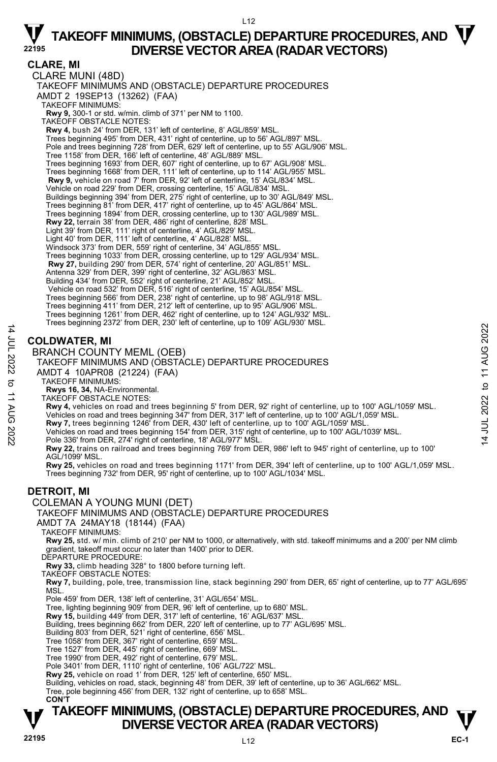$L12$ 

### **CLARE, MI**

CLARE MUNI (48D) TAKEOFF MINIMUMS AND (OBSTACLE) DEPARTURE PROCEDURES AMDT 2 19SEP13 (13262) (FAA) TAKEOFF MINIMUMS: **Rwy 9,** 300-1 or std. w/min. climb of 371' per NM to 1100. TAKEOFF OBSTACLE NOTES: **Rwy 4,** bush 24' from DER, 131' left of centerline, 8' AGL/859' MSL. Trees beginning 495' from DER, 431' right of centerline, up to 56' AGL/897' MSL. Pole and trees beginning 728' from DER, 629' left of centerline, up to 55' AGL/906' MSL. Tree 1158' from DER, 166' left of centerline, 48' AGL/889' MSL. Trees beginning 1693' from DER, 607' right of centerline, up to 67' AGL/908' MSL. Trees beginning 1668' from DER, 111' left of centerline, up to 114' AGL/955' MSL. **Rwy 9,** vehicle on road 7' from DER, 92' left of centerline, 15' AGL/834' MSL. Vehicle on road 229' from DER, crossing centerline, 15' AGL/834' MSL. Buildings beginning 394' from DER, 275' right of centerline, up to 30' AGL/849' MSL. Trees beginning 81' from DER, 417' right of centerline, up to 45' AGL/864' MSL. Trees beginning 1894' from DER, crossing centerline, up to 130' AGL/989' MSL. **Rwy 22,** terrain 38' from DER, 486' right of centerline, 828' MSL. Light 39' from DER, 111' right of centerline, 4' AGL/829' MSL. Light 40' from DER, 111' left of centerline, 4' AGL/828' MSL. Windsock 373' from DER, 559' right of centerline, 34' AGL/855' MSL. Trees beginning 1033' from DER, crossing centerline, up to 129' AGL/934' MSL. **Rwy 27,** building 290' from DER, 574' right of centerline, 20' AGL/851' MSL. Antenna 329' from DER, 399' right of centerline, 32' AGL/863' MSL. Building 434' from DER, 552' right of centerline, 21' AGL/852' MSL. Vehicle on road 532' from DER, 516' right of centerline, 15' AGL/854' MSL. Trees beginning 566' from DER, 238' right of centerline, up to 98' AGL/918' MSL. Trees beginning 411' from DER, 212' left of centerline, up to 95' AGL/906' MSL. Trees beginning 1261' from DER, 462' right of centerline, up to 124' AGL/932' MSL. Trees beginning 2372' from DER, 230' left of centerline, up to 109' AGL/930' MSL. **COLDWATER, MI** 

BRANCH COUNTY MEML (OEB)

### TAKEOFF MINIMUMS AND (OBSTACLE) DEPARTURE PROCEDURES

- AMDT 4 10APR08 (21224) (FAA)
	- TAKEOFF MINIMUMS:
	- **Rwys 16, 34,** NA-Environmental.
- TAKEOFF OBSTACLE NOTES:
- **Rwy 4,** vehicles on road and trees beginning 5' from DER, 92' right of centerline, up to 100' AGL/1059' MSL. Vehicles on road and trees beginning 347' from DER, 317' left of centerline, up to 100' AGL/1,059' MSL.
- **Rwy 7,** trees beginning 1246' from DER, 430' left of centerline, up to 100' AGL/1059' MSL.
- Vehicles on road and trees beginning 154' from DER, 315' right of centerline, up to 100' AGL/1039' MSL. Pole 336' from DER, 274' right of centerline, 18' AGL/977' MSL.
- 
- **Rwy 22,** trains on railroad and trees beginning 769' from DER, 986' left to 945' right of centerline, up to 100' AGL/1099' MSL.

**Rwy 25,** vehicles on road and trees beginning 1171' from DER, 394' left of centerline, up to 100' AGL/1,059' MSL. Trees beginning 732' from DER, 95' right of centerline, up to 100' AGL/1034' MSL.

### **DETROIT, MI**

14 JUL 2022 to 11 AUG 2022

 $\sigma$ **11 AUG** 

:2022

14 JUL 2022

COLEMAN A YOUNG MUNI (DET)

#### TAKEOFF MINIMUMS AND (OBSTACLE) DEPARTURE PROCEDURES

AMDT 7A 24MAY18 (18144) (FAA)

TAKEOFF MINIMUMS:

**Rwy 25,** std. w/ min. climb of 210' per NM to 1000, or alternatively, with std. takeoff minimums and a 200' per NM climb gradient, takeoff must occur no later than 1400' prior to DER.

DEPARTURE PROCEDURE:

**Rwy 33,** climb heading 328° to 1800 before turning left.

TAKEOFF OBSTACLE NOTES:

**Rwy 7,** building, pole, tree, transmission line, stack beginning 290' from DER, 65' right of centerline, up to 77' AGL/695' **MSL** 

Pole 459' from DER, 138' left of centerline, 31' AGL/654' MSL.

Tree, lighting beginning 909' from DER, 96' left of centerline, up to 680' MSL.

**Rwy 15,** building 449' from DER, 317' left of centerline, 16' AGL/637' MSL.

Building, trees beginning 662' from DER, 220' left of centerline, up to 77' AGL/695' MSL.<br>Building 803' from DER, 521' right of centerline, 656' MSL.

Tree 1058' from DER, 367' right of centerline, 659' MSL.

Tree 1527' from DER, 445' right of centerline, 669' MSL.

Tree 1990' from DER, 492' right of centerline, 679' MSL. Pole 3401' from DER, 1110' right of centerline, 106' AGL/722' MSL.

**Rwy 25,** vehicle on road 1' from DER, 125' left of centerline, 650' MSL.

Building, vehicles on road, stack, beginning 48' from DER, 39' left of centerline, up to 36' AGL/662' MSL.<br>Tree, pole beginning 456' from DER, 132' right of centerline, up to 658' MSL. **CON'T**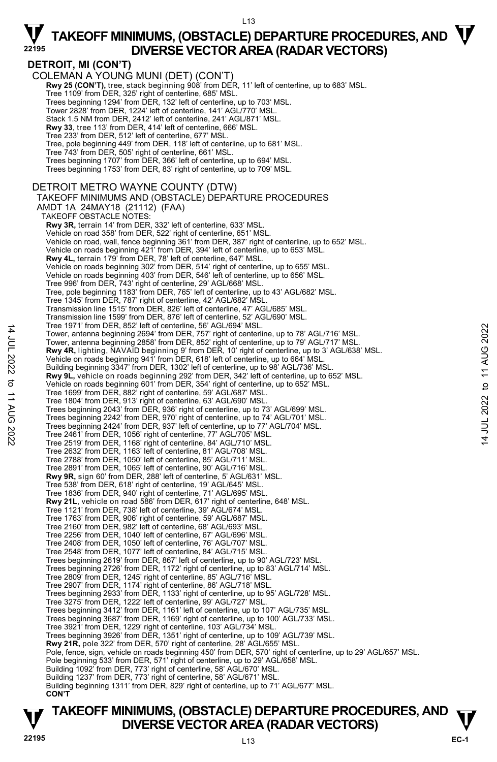14 JUL 2022 to 11 AUG 2022

to 11 AUG

:2022

14 JUL 2022

## $\nabla$  TAKEOFF MINIMUMS, (OBSTACLE) DEPARTURE PROCEDURES, AND  $\nabla$ **DIVERSE VECTOR AREA (RADAR VECTORS) <sup>22195</sup>**

### **DETROIT, MI (CON'T)**

COLEMAN A YOUNG MUNI (DET) (CON'T) **Rwy 25 (CON'T),** tree, stack beginning 908' from DER, 11' left of centerline, up to 683' MSL.<br>Tree 1109' from DER, 325' right of centerline, 685' MSL. Trees beginning 1294' from DER, 132' left of centerline, up to 703' MSL. Tower 2828' from DER, 1224' left of centerline, 141' AGL/770' MSL. Stack 1.5 NM from DER, 2412' left of centerline, 241' AGL/871' MSL. **Rwy 33**, tree 113' from DER, 414' left of centerline, 666' MSL. Tree 233' from DER, 512' left of centerline, 677' MSL. Tree, pole beginning 449' from DER, 118' left of centerline, up to 681' MSL. Tree 743' from DER, 505' right of centerline, 661' MSL. Trees beginning 1707' from DER, 366' left of centerline, up to 694' MSL. Trees beginning 1753' from DER, 83' right of centerline, up to 709' MSL. DETROIT METRO WAYNE COUNTY (DTW) TAKEOFF MINIMUMS AND (OBSTACLE) DEPARTURE PROCEDURES AMDT 1A 24MAY18 (21112) (FAA) TAKEOFF OBSTACLE NOTES: **Rwy 3R,** terrain 14' from DER, 332' left of centerline, 633' MSL. Vehicle on road 358' from DER, 522' right of centerline, 651' MSL. Vehicle on road, wall, fence beginning 361' from DER, 387' right of centerline, up to 652' MSL. Vehicle on roads beginning 421' from DER, 394' left of centerline, up to 653' MSL. **Rwy 4L,** terrain 179' from DER, 78' left of centerline, 647' MSL.<br>Vehicle on roads beginning 302' from DER, 514' right of centerline, up to 655' MSL. Vehicle on roads beginning 403' from DER, 546' left of centerline, up to 656' MSL. Tree 996' from DER, 743' right of centerline, 29' AGL/668' MSL. Tree, pole beginning 1183' from DER, 765' left of centerline, up to 43' AGL/682' MSL. Tree 1345' from DER, 787' right of centerline, 42' AGL/682' MSL. Transmission line 1515' from DER, 826' left of centerline, 47' AGL/685' MSL. Transmission line 1599' from DER, 876' left of centerline, 52' AGL/690' MSL. Tree 1971' from DER, 852' left of centerline, 56' AGL/694' MSL. Tower, antenna beginning 2694' from DER, 757' right of centerline, up to 78' AGL/716' MSL. Tower, antenna beginning 2858' from DER, 852' right of centerline, up to 79' AGL/717' MSL.<br>**Rwy 4R**, lighting, NAVAID beginning 9' from DER, 10' right of centerline, up to 3' AGL/638' MSL.<br>Vehicle on roads beginning 941' f Building beginning 3347' from DER, 1302' left of centerline, up to 98' AGL/736' MSL. **Rwy 9L,** vehicle on roads beginning 292' from DER, 342' left of centerline, up to 652' MSL.<br>Vehicle on roads beginning 601' from DER, 354' right of centerline, up to 652' MSL. Tree 1699' from DER, 882' right of centerline, 59' AGL/687' MSL. Tree 1804' from DER, 913' right of centerline, 63' AGL/690' MSL. Trees beginning 2043' from DER, 936' right of centerline, up to 73' AGL/699' MSL. Trees beginning 2242' from DER, 970' right of centerline, up to 74' AGL/701' MSL. Trees beginning 2424' from DER, 937' left of centerline, up to 77' AGL/704' MSL. Tree 2461' from DER, 1056' right of centerline, 77' AGL/705' MSL. Tree 2519' from DER, 1168' right of centerline, 84' AGL/710' MSL. Tree 2632' from DER, 1163' left of centerline, 81' AGL/708' MSL. Tree 2788' from DER, 1050' left of centerline, 85' AGL/711' MSL. Tree 2891' from DER, 1065' left of centerline, 90' AGL/716' MSL. **Rwy 9R,** sign 60' from DER, 288' left of centerline, 5' AGL/631' MSL. Tree 538' from DER, 618' right of centerline, 19' AGL/645' MSL. Tree 1836' from DER, 940' right of centerline, 71' AGL/695' MSL. **Rwy 21L**, vehicle on road 586' from DER, 617' right of centerline, 648' MSL. Tree 1121' from DER, 738' left of centerline, 39' AGL/674' MSL. Tree 1763' from DER, 906' right of centerline, 59' AGL/687' MSL. Tree 2160' from DER, 982' left of centerline, 68' AGL/693' MSL. Tree 2256' from DER, 1040' left of centerline, 67' AGL/696' MSL. Tree 2408' from DER, 1050' left of centerline, 76' AGL/707' MSL. Tree 2548' from DER, 1077' left of centerline, 84' AGL/715' MSL. Trees beginning 2619' from DER, 867' left of centerline, up to 90' AGL/723' MSL. Trees beginning 2726' from DER, 1172' right of centerline, up to 83' AGL/714' MSL. Tree 2809' from DER, 1245' right of centerline, 85' AGL/716' MSL. Tree 2907' from DER, 1174' right of centerline, 86' AGL/718' MSL. Trees beginning 2933' from DER, 1133' right of centerline, up to 95' AGL/728' MSL. Tree 3275' from DER, 1222' left of centerline, 99' AGL/727' MSL. Trees beginning 3412' from DER, 1161' left of centerline, up to 107' AGL/735' MSL. Trees beginning 3687' from DER, 1169' right of centerline, up to 100' AGL/733' MSL. Tree 3921' from DER, 1229' right of centerline, 103' AGL/734' MSL. Trees beginning 3926' from DER, 1351' right of centerline, up to 109' AGL/739' MSL. **Rwy 21R,** pole 322' from DER, 570' right of centerline, 28' AGL/655' MSL. Pole, fence, sign, vehicle on roads beginning 450' from DER, 570' right of centerline, up to 29' AGL/657' MSL. Pole beginning 533' from DER, 571' right of centerline, up to 29' AGL/658' MSL. Building 1092' from DER, 773' right of centerline, 58' AGL/670' MSL. Building 1237' from DER, 773' right of centerline, 58' AGL/671' MSL. Building beginning 1311' from DER, 829' right of centerline, up to 71' AGL/677' MSL. **CON'T**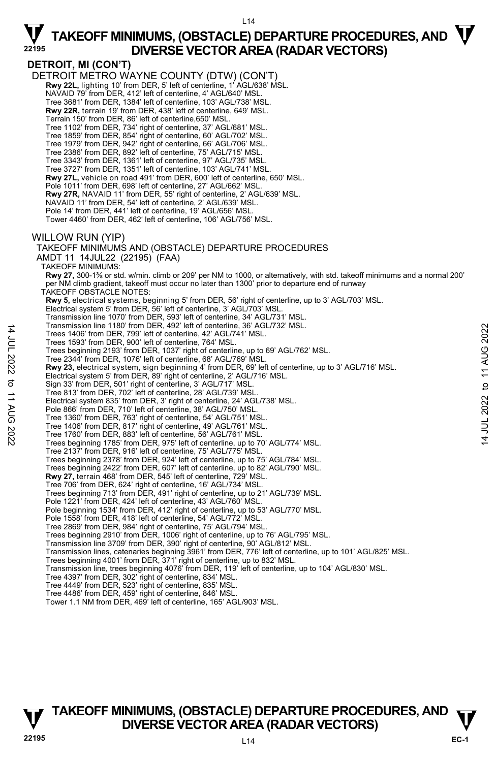**DETROIT, MI (CON'T)**  DETROIT METRO WAYNE COUNTY (DTW) (CON'T)  **Rwy 22L,** lighting 10' from DER, 5' left of centerline, 1' AGL/638' MSL. NAVAID 79' from DER, 412' left of centerline, 4' AGL/640' MSL. Tree 3681' from DER, 1384' left of centerline, 103' AGL/738' MSL. **Rwy 22R,** terrain 19' from DER, 438' left of centerline, 649' MSL. Terrain 150' from DER, 86' left of centerline,650' MSL. Tree 1102' from DER, 734' right of centerline, 37' AGL/681' MSL. Tree 1859' from DER, 854' right of centerline, 60' AGL/702' MSL. Tree 1979' from DER, 942' right of centerline, 66' AGL/706' MSL. Tree 2386' from DER, 892' left of centerline, 75' AGL/715' MSL. Tree 3343' from DER, 1361' left of centerline, 97' AGL/735' MSL. Tree 3727' from DER, 1351' left of centerline, 103' AGL/741' MSL. **Rwy 27L,** vehicle on road 491' from DER, 600' left of centerline, 650' MSL. Pole 1011' from DER, 698' left of centerline, 27' AGL/662' MSL. **Rwy 27R,** NAVAID 11' from DER, 55' right of centerline, 2' AGL/639' MSL. NAVAID 11' from DER, 54' left of centerline, 2' AGL/639' MSL. Pole 14' from DER, 441' left of centerline, 19' AGL/656' MSL. Tower 4460' from DER, 462' left of centerline, 106' AGL/756' MSL. WILLOW RUN (YIP) TAKEOFF MINIMUMS AND (OBSTACLE) DEPARTURE PROCEDURES AMDT 11 14JUL22 (22195) (FAA) TAKEOFF MINIMUMS: **Rwy 27,** 300-1Ǫ or std. w/min. climb or 209' per NM to 1000, or alternatively, with std. takeoff minimums and a normal 200' per NM climb gradient, takeoff must occur no later than 1300' prior to departure end of runway TAKEOFF OBSTACLE NOTES: **Rwy 5,** electrical systems, beginning 5' from DER, 56' right of centerline, up to 3' AGL/703' MSL. Electrical system 5' from DER, 56' left of centerline, 3' AGL/703' MSL. Transmission line 1070' from DER, 593' left of centerline, 34' AGL/731' MSL. Transmission line 1180' from DER, 492' left of centerline, 36' AGL/732' MSL. Trees 1406' from DER, 799' left of centerline, 42' AGL/741' MSL. Trees 1593' from DER, 900' left of centerline, 764' MSL. Trees beginning 2193' from DER, 1037' right of centerline, up to 69' AGL/762' MSL. Tree 2344' from DER, 1076' left of centerline, 68' AGL/769' MSL. **Rwy 23,** electrical system, sign beginning 4' from DER, 69' left of centerline, up to 3' AGL/716' MSL. Electrical system 5' from DER, 89' right of centerline, 2' AGL/716' MSL. Sign 33' from DER, 501' right of centerline, 3' AGL/717' MSL. Tree 813' from DER, 702' left of centerline, 28' AGL/739' MSL. Electrical system 835' from DER, 3' right of centerline, 24' AGL/738' MSL. Pole 866' from DER, 710' left of centerline, 38' AGL/750' MSL. Tree 1360' from DER, 763' right of centerline, 54' AGL/751' MSL. Tree 1406' from DER, 817' right of centerline, 49' AGL/761' MSL. Tree 1760' from DER, 883' left of centerline, 56' AGL/761' MSL. Trees beginning 1785' from DER, 975' left of centerline, up to 70' AGL/774' MSL. Tree 2137' from DER, 916' left of centerline, 75' AGL/775' MSL. Trees beginning 2378' from DER, 924' left of centerline, up to 75' AGL/784' MSL. Trees beginning 2422' from DER, 607' left of centerline, up to 82' AGL/790' MSL. **Rwy 27,** terrain 468' from DER, 545' left of centerline, 729' MSL. Tree 706' from DER, 624' right of centerline, 16' AGL/734' MSL. Trees beginning 713' from DER, 491' right of centerline, up to 21' AGL/739' MSL. Pole 1221' from DER, 424' left of centerline, 43' AGL/760' MSL. Pole beginning 1534' from DER, 412' right of centerline, up to 53' AGL/770' MSL. Pole 1558' from DER, 418' left of centerline, 54' AGL/772' MSL. Tree 2869' from DER, 984' right of centerline, 75' AGL/794' MSL. Trees beginning 2910' from DER, 1006' right of centerline, up to 76' AGL/795' MSL. Transmission line 3709' from DER, 390' right of centerline, 90' AGL/812' MSL.<br>Transmission lines, catenaries beginning 3961' from DER, 776' left of centerline, up to 101' AGL/825' MSL. Trees beginning 4001' from DER, 371' right of centerline, up to 832' MSL. Transmission line, trees beginning 4076' from DER, 119' left of centerline, up to 104' AGL/830' MSL. Tree 4397' from DER, 302' right of centerline, 834' MSL. Tree 4449' from DER, 523' right of centerline, 835' MSL. Tree 4486' from DER, 459' right of centerline, 846' MSL. Tower 1.1 NM from DER, 469' left of centerline, 165' AGL/903' MSL.

**TAKEOFF MINIMUMS, (OBSTACLE) DEPARTURE PROCEDURES, AND**  $\mathbf{\nabla}$ **DIVERSE VECTOR AREA (RADAR VECTORS)** 

14 JUL 2022 to 11 AUG 2022

 $\vec{z}$ 

JUL 2022 to 11 AUG 2022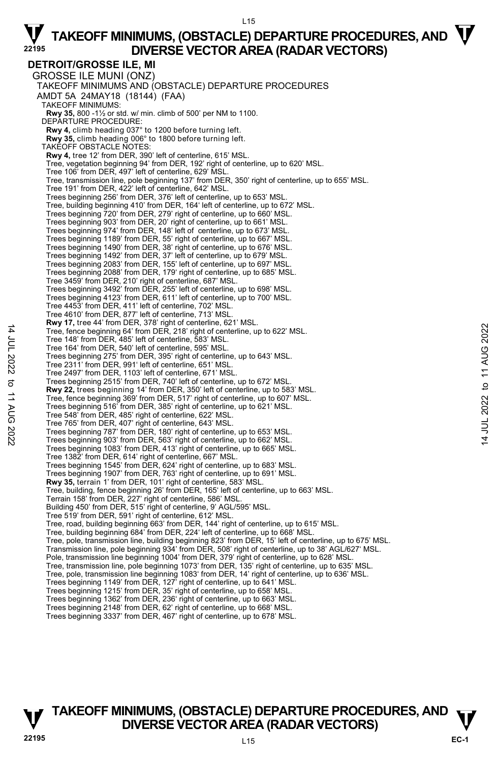**DETROIT/GROSSE ILE, MI**  GROSSE ILE MUNI (ONZ) TAKEOFF MINIMUMS AND (OBSTACLE) DEPARTURE PROCEDURES AMDT 5A 24MAY18 (18144) (FAA) TAKEOFF MINIMUMS: **Rwy 35,** 800 -1½ or std. w/ min. climb of 500' per NM to 1100. DEPARTURE PROCEDURE: **Rwy 4,** climb heading 037° to 1200 before turning left. **Rwy 35,** climb heading 006° to 1800 before turning left. TAKEOFF OBSTACLE NOTES: **Rwy 4,** tree 12' from DER, 390' left of centerline, 615' MSL. Tree, vegetation beginning 94' from DER, 192' right of centerline, up to 620' MSL. Tree 106' from DER, 497' left of centerline, 629' MSL. Tree, transmission line, pole beginning 137' from DER, 350' right of centerline, up to 655' MSL. Tree 191' from DER, 422' left of centerline, 642' MSL. Trees beginning 256' from DER, 376' left of centerline, up to 653' MSL. Tree, building beginning 410' from DER, 164' left of centerline, up to 672' MSL. Trees beginning 720' from DER, 279' right of centerline, up to 660' MSL. Trees beginning 903' from DER, 20' right of centerline, up to 661' MSL. Trees beginning 974' from DER, 148' left of centerline, up to 673' MSL. Trees beginning 1189' from DER, 55' right of centerline, up to 667' MSL. Trees beginning 1490' from DER, 38' right of centerline, up to 676' MSL. Trees beginning 1492' from DER, 37' left of centerline, up to 679' MSL. Trees beginning 2083' from DER, 155' left of centerline, up to 697' MSL. Trees beginning 2088' from DER, 179' right of centerline, up to 685' MSL. Tree 3459' from DER, 210' right of centerline, 687' MSL. Trees beginning 3492' from DER, 255' left of centerline, up to 698' MSL. Trees beginning 4123' from DER, 611' left of centerline, up to 700' MSL. Tree 4453' from DER, 411' left of centerline, 702' MSL. Tree 4610' from DER, 877' left of centerline, 713' MSL. **Rwy 17,** tree 44' from DER, 378' right of centerline, 621' MSL. Tree, fence beginning 64' from DER, 218' right of centerline, up to 622' MSL. Tree 148' from DER, 485' left of centerline, 583' MSL. Tree 164' from DER, 540' left of centerline, 595' MSL. Trees beginning 275' from DER, 395' right of centerline, up to 643' MSL. Tree 2311' from DER, 991' left of centerline, 651' MSL. Tree 2497' from DER, 1103' left of centerline, 671' MSL. Trees beginning 2515' from DER, 740' left of centerline, up to 672' MSL. **Rwy 22,** trees beginning 14' from DER, 350' left of centerline, up to 583' MSL. Tree, fence beginning 369' from DER, 517' right of centerline, up to 607' MSL. Trees beginning 516' from DER, 385' right of centerline, up to 621' MSL. Tree 548' from DER, 485' right of centerline, 622' MSL. Tree 765' from DER, 407' right of centerline, 643' MSL. Trees beginning 787' from DER, 180' right of centerline, up to 653' MSL. Trees beginning 903' from DER, 563' right of centerline, up to 662' MSL. Trees beginning 1083' from DER, 413' right of centerline, up to 665' MSL. Tree 1382' from DER, 614' right of centerline, 667' MSL. Trees beginning 1545' from DER, 624' right of centerline, up to 683' MSL. Trees beginning 1907' from DER, 763' right of centerline, up to 691' MSL. **Rwy 35,** terrain 1' from DER, 101' right of centerline, 583' MSL. Tree, building, fence beginning 26' from DER, 165' left of centerline, up to 663' MSL. Terrain 158' from DER, 227' right of centerline, 586' MSL. Building 450' from DER, 515' right of centerline, 9' AGL/595' MSL. Tree 519' from DER, 591' right of centerline, 612' MSL. Tree, road, building beginning 663' from DER, 144' right of centerline, up to 615' MSL. Tree, building beginning 684' from DER, 224' left of centerline, up to 668' MSL. Tree, pole, transmission line, building beginning 823' from DER, 15' left of centerline, up to 675' MSL.<br>Transmission line, pole beginning 934' from DER, 508' right of centerline, up to 38' AGL/627' MSL. Pole, transmission line beginning 1004' from DER, 379' right of centerline, up to 628' MSL. Tree, transmission line, pole beginning 1073' from DER, 135' right of centerline, up to 635' MSL. Tree, pole, transmission line beginning 1083' from DER, 14' right of centerline, up to 636' MSL.<br>Trees beginning 1149' from DER, 127' right of centerline, up to 641' MSL. Trees beginning 1215' from DER, 35' right of centerline, up to 658' MSL. Trees beginning 1362' from DER, 236' right of centerline, up to 663' MSL. Trees beginning 2148' from DER, 62' right of centerline, up to 668' MSL.

Trees beginning 3337' from DER, 467' right of centerline, up to 678' MSL.

### **TAKEOFF MINIMUMS, (OBSTACLE) DEPARTURE PROCEDURES, AND**  $\mathbf{\nabla}$ **DIVERSE VECTOR AREA (RADAR VECTORS)**

14 JUL 2022 to 11 AUG 2022

to 11 AUG 2022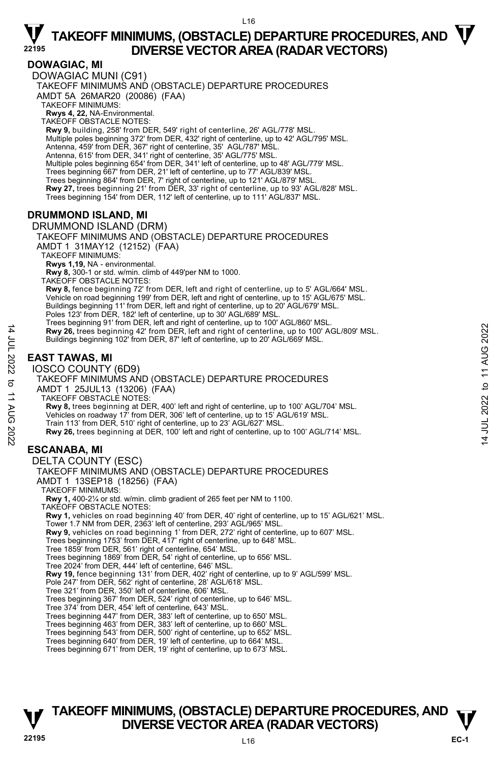#### L16

## $\nabla$  TAKEOFF MINIMUMS, (OBSTACLE) DEPARTURE PROCEDURES, AND  $\nabla$ **DIVERSE VECTOR AREA (RADAR VECTORS) <sup>22195</sup>**

### **DOWAGIAC, MI**

DOWAGIAC MUNI (C91) TAKEOFF MINIMUMS AND (OBSTACLE) DEPARTURE PROCEDURES AMDT 5A 26MAR20 (20086) (FAA) TAKEOFF MINIMUMS: **Rwys 4, 22,** NA-Environmental. TAKEOFF OBSTACLE NOTES: **Rwy 9,** building, 258' from DER, 549' right of centerline, 26' AGL/778' MSL. Multiple poles beginning 372' from DER, 432' right of centerline, up to 42' AGL/795' MSL. Antenna, 459' from DER, 367' right of centerline, 35' AGL/787' MSL. Antenna, 615' from DER, 341' right of centerline, 35' AGL/775' MSL. Multiple poles beginning 654' from DER, 341' left of centerline, up to 48' AGL/779' MSL. Trees beginning 667' from DER, 21' left of centerline, up to 77' AGL/839' MSL. Trees beginning 864' from DER, 7' right of centerline, up to 121' AGL/879' MSL. **Rwy 27,** trees beginning 21' from DER, 33' right of centerline, up to 93' AGL/828' MSL. Trees beginning 154' from DER, 112' left of centerline, up to 111' AGL/837' MSL. **DRUMMOND ISLAND, MI**  DRUMMOND ISLAND (DRM) TAKEOFF MINIMUMS AND (OBSTACLE) DEPARTURE PROCEDURES AMDT 1 31MAY12 (12152) (FAA) TAKEOFF MINIMUMS: **Rwys 1,19,** NA - environmental. **Rwy 8,** 300-1 or std. w/min. climb of 449'per NM to 1000. TAKEOFF OBSTACLE NOTES: **Rwy 8,** fence beginning 72' from DER, left and right of centerline, up to 5' AGL/664' MSL. Vehicle on road beginning 199' from DER, left and right of centerline, up to 15' AGL/675' MSL. Buildings beginning 11' from DER, left and right of centerline, up to 20' AGL/679' MSL. Poles 123' from DER, 182' left of centerline, up to 30' AGL/689' MSL Trees beginning 91' from DER, left and right of centerline, up to 100' AGL/860' MSL. **Rwy 26,** trees beginning 42' from DER, left and right of centerline, up to 100' AGL/809' MSL. Buildings beginning 102' from DER, 87' left of centerline, up to 20' AGL/669' MSL. **EAST TAWAS, MI**  IOSCO COUNTY (6D9) TAKEOFF MINIMUMS AND (OBSTACLE) DEPARTURE PROCEDURES AMDT 1 25JUL13 (13206) (FAA) TAKEOFF OBSTACLE NOTES: **Rwy 8,** trees beginning at DER, 400' left and right of centerline, up to 100' AGL/704' MSL. Vehicles on roadway 17' from DER, 306' left of centerline, up to 15' AGL/619' MSL. Train 113' from DER, 510' right of centerline, up to 23' AGL/627' MSL. **Rwy 26,** trees beginning at DER, 100' left and right of centerline, up to 100' AGL/714' MSL. **ESCANABA, MI** 

### DELTA COUNTY (ESC)

14 JUL 2022 to 11 AUG 2022

:2022

 $\vec{\sigma}$ **11 AUG** 

14 JUL 2022

#### TAKEOFF MINIMUMS AND (OBSTACLE) DEPARTURE PROCEDURES AMDT 1 13SEP18 (18256) (FAA) TAKEOFF MINIMUMS:

**Rwy 1,** 400-2¼ or std. w/min. climb gradient of 265 feet per NM to 1100. TAKEOFF OBSTACLE NOTES:

**Rwy 1,** vehicles on road beginning 40' from DER, 40' right of centerline, up to 15' AGL/621' MSL.

Tower 1.7 NM from DER, 2363' left of centerline, 293' AGL/965' MSL.

**Rwy 9,** vehicles on road beginning 1' from DER, 272' right of centerline, up to 607' MSL.

Trees beginning 1753' from DER, 417' right of centerline, up to 648' MSL. Tree 1859' from DER, 561' right of centerline, 654' MSL.

Trees beginning 1869' from DER, 54' right of centerline, up to 656' MSL.

Tree 2024' from DER, 444' left of centerline, 646' MSL.

**Rwy 19,** fence beginning 131' from DER, 402' right of centerline, up to 9' AGL/599' MSL.<br>Pole 247' from DER, 562' right of centerline, 28' AGL/618' MSL.

Tree 321' from DER, 350' left of centerline, 606' MSL.

Trees beginning 367' from DER, 524' right of centerline, up to 646' MSL. Tree 374' from DER, 454' left of centerline, 643' MSL.

Trees beginning 447' from DER, 383' left of centerline, up to 650' MSL.

Trees beginning 463' from DER, 383' left of centerline, up to 660' MSL. Trees beginning 543' from DER, 500' right of centerline, up to 652' MSL.

Trees beginning 640' from DER, 19' left of centerline, up to 664' MSL.

### Trees beginning 671' from DER, 19' right of centerline, up to 673' MSL.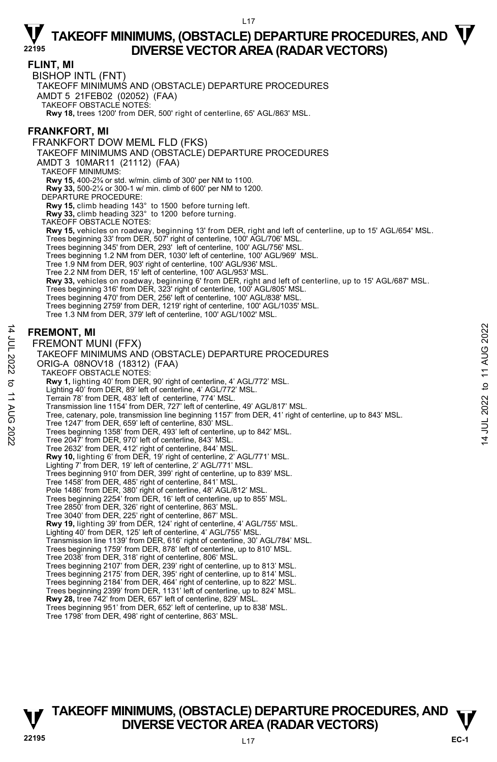#### L17

### $\nabla$  TAKEOFF MINIMUMS, (OBSTACLE) DEPARTURE PROCEDURES, AND  $\nabla$ **DIVERSE VECTOR AREA (RADAR VECTORS) <sup>22195</sup>**

**FLINT, MI** 

BISHOP INTL (FNT)

TAKEOFF MINIMUMS AND (OBSTACLE) DEPARTURE PROCEDURES

AMDT 5 21FEB02 (02052) (FAA)

TAKEOFF OBSTACLE NOTES:

**Rwy 18,** trees 1200' from DER, 500' right of centerline, 65' AGL/863' MSL.

### **FRANKFORT, MI**

FRANKFORT DOW MEML FLD (FKS) TAKEOFF MINIMUMS AND (OBSTACLE) DEPARTURE PROCEDURES AMDT 3 10MAR11 (21112) (FAA) TAKEOFF MINIMUMS: **Rwy 15,** 400-2¾ or std. w/min. climb of 300' per NM to 1100. **Rwy 33,** 500-2¼ or 300-1 w/ min. climb of 600' per NM to 1200. DEPARTURE PROCEDURE: **Rwy 15,** climb heading 143° to 1500 before turning left. **Rwy 33,** climb heading 323° to 1200 before turning. TAKEOFF OBSTACLE NOTES: **Rwy 15,** vehicles on roadway, beginning 13' from DER, right and left of centerline, up to 15' AGL/654' MSL.<br>Trees beginning 33' from DER, 507' right of centerline, 100' AGL/706' MSL.<br>Trees beginning 345' from DER, 293' l Trees beginning 1.2 NM from DER, 1030' left of centerline, 100' AGL/969' MSL. Tree 1.9 NM from DER, 903' right of centerline, 100' AGL/936' MSL. Tree 2.2 NM from DER, 15' left of centerline, 100' AGL/953' MSL. **Rwy 33,** vehicles on roadway, beginning 6' from DER, right and left of centerline, up to 15' AGL/687' MSL. Trees beginning 316' from DER, 323' right of centerline, 100' AGL/805' MSL. Trees beginning 470' from DER, 256' left of centerline, 100' AGL/838' MSL. Trees beginning 2759' from DER, 1219' right of centerline, 100' AGL/1035' MSL. Tree 1.3 NM from DER, 379' left of centerline, 100' AGL/1002' MSL. **FREMONT, MI**  FREMONT MUNI (FFX) TAKEOFF MINIMUMS AND (OBSTACLE) DEPARTURE PROCEDURES ORIG-A 08NOV18 (18312) (FAA) TAKEOFF OBSTACLE NOTES: **Rwy 1,** lighting 40' from DER, 90' right of centerline, 4' AGL/772' MSL. Lighting 40' from DER, 89' left of centerline, 4' AGL/772' MSL. Terrain 78' from DER, 483' left of centerline, 774' MSL. Transmission line 1154' from DER, 727' left of centerline, 49' AGL/817' MSL. Tree, catenary, pole, transmission line beginning 1157' from DER, 41' right of centerline, up to 843' MSL. Tree 1247' from DER, 659' left of centerline, 830' MSL. Trees beginning 1358' from DER, 493' left of centerline, up to 842' MSL. Tree 2047' from DER, 970' left of centerline, 843' MSL. Tree 2632' from DER, 412' right of centerline, 844' MSL. **Rwy 10,** lighting 6' from DER, 19' right of centerline, 2' AGL/771' MSL.<br>Lighting 7' from DER, 19' left of centerline, 2' AGL/771' MSL. Trees beginning 910' from DER, 399' right of centerline, up to 839' MSL. Tree 1458' from DER, 485' right of centerline, 841' MSL. Pole 1486' from DER, 380' right of centerline, 48' AGL/812' MSL. Trees beginning 2254' from DER, 16' left of centerline, up to 855' MSL. Tree 2850' from DER, 326' right of centerline, 863' MSL. Tree 3040' from DER, 225' right of centerline, 867' MSL. **Rwy 19,** lighting 39' from DER, 124' right of centerline, 4' AGL/755' MSL. Lighting 40' from DER, 125' left of centerline, 4' AGL/755' MSL. Transmission line 1139' from DER, 616' right of centerline, 30' AGL/784' MSL. Trees beginning 1759' from DER, 878' left of centerline, up to 810' MSL. Tree 2038' from DER, 318' right of centerline, 806' MSL. Trees beginning 2107' from DER, 239' right of centerline, up to 813' MSL. Trees beginning 2175' from DER, 395' right of centerline, up to 814' MSL. Trees beginning 2184' from DER, 464' right of centerline, up to 822' MSL. Trees beginning 2399' from DER, 1131' left of centerline, up to 824' MSL. **Rwy 28,** tree 742' from DER, 657' left of centerline, 829' MSL.<br>Trees beginning 951' from DER, 652' left of centerline, up to 838' MSL.

Tree 1798' from DER, 498' right of centerline, 863' MSL.

# JUL 2022 to 11 AUG 2022 14 JUL 2022 to 11 AUG 2022 $\vec{z}$

### **TAKEOFF MINIMUMS, (OBSTACLE) DEPARTURE PROCEDURES, AND**  $\mathbf{\nabla}$ **DIVERSE VECTOR AREA (RADAR VECTORS)**

14 JUL 2022 to 11 AUG 2022

 $\sigma$ **11 AUG** 

:2022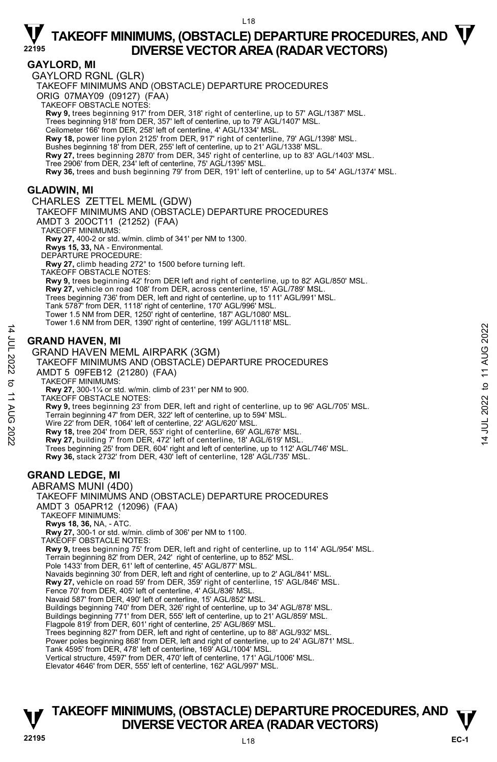### **GAYLORD, MI**

GAYLORD RGNL (GLR)

TAKEOFF MINIMUMS AND (OBSTACLE) DEPARTURE PROCEDURES

ORIG 07MAY09 (09127) (FAA)

TAKEOFF OBSTACLE NOTES:

**Rwy 9,** trees beginning 917' from DER, 318' right of centerline, up to 57' AGL/1387' MSL.

Trees beginning 918' from DER, 357' left of centerline, up to 79' AGL/1407' MSL. Ceilometer 166' from DER, 258' left of centerline, 4' AGL/1334' MSL.

**Rwy 18,** power line pylon 2125' from DER, 917' right of centerline, 79' AGL/1398' MSL. Bushes beginning 18' from DER, 255' left of centerline, up to 21' AGL/1338' MSL.

**Rwy 27,** trees beginning 2870' from DER, 345' right of centerline, up to 83' AGL/1403' MSL.

Tree 2906' from DER, 234' left of centerline, 75' AGL/1395' MSL.

**Rwy 36,** trees and bush beginning 79' from DER, 191' left of centerline, up to 54' AGL/1374' MSL.

### **GLADWIN, MI**

CHARLES ZETTEL MEML (GDW) TAKEOFF MINIMUMS AND (OBSTACLE) DEPARTURE PROCEDURES

AMDT 3 20OCT11 (21252) (FAA)

TAKEOFF MINIMUMS:

**Rwy 27,** 400-2 or std. w/min. climb of 341' per NM to 1300.

**Rwys 15, 33,** NA - Environmental.

DEPARTURE PROCEDURE:

**Rwy 27,** climb heading 272° to 1500 before turning left.

TAKEOFF OBSTACLE NOTES:

**Rwy 9,** trees beginning 42' from DER left and right of centerline, up to 82' AGL/850' MSL.

**Rwy 27,** vehicle on road 108' from DER, across centerline, 15' AGL/789' MSL.

Trees beginning 736' from DER, left and right of centerline, up to 111' AGL/991' MSL.

Tank 5787' from DER, 1118' right of centerline, 170' AGL/996' MSL.

Tower 1.5 NM from DER, 1250' right of centerline, 187' AGL/1080' MSL. Tower 1.6 NM from DER, 1390' right of centerline, 199' AGL/1118' MSL.

### **GRAND HAVEN, MI**

14 JUL 2022 to 11 AUG 2022

:2022

 $\sigma$ **11 AUG** 

14 JUL 2022

GRAND HAVEN MEML AIRPARK (3GM)

TAKEOFF MINIMUMS AND (OBSTACLE) DEPARTURE PROCEDURES

AMDT 5 09FEB12 (21280) (FAA)

TAKEOFF MINIMUMS:

**Rwy 27,** 300-1¼ or std. w/min. climb of 231' per NM to 900.

TAKEOFF OBSTACLE NOTES:

**Rwy 9,** trees beginning 23' from DER, left and right of centerline, up to 96' AGL/705' MSL. Terrain beginning 47' from DER, 322' left of centerline, up to 594' MSL.

Wire 22' from DER, 1064' left of centerline, 22' AGL/620' MSL.

**Rwy 18,** tree 204' from DER, 553' right of centerline, 69' AGL/678' MSL. **Rwy 27,** building 7' from DER, 472' left of centerline, 18' AGL/619' MSL.

Trees beginning 25' from DER, 604' right and left of centerline, up to 112' AGL/746' MSL. **Rwy 36,** stack 2732' from DER, 430' left of centerline, 128' AGL/735' MSL.

### **GRAND LEDGE, MI**

ABRAMS MUNI (4D0) TAKEOFF MINIMUMS AND (OBSTACLE) DEPARTURE PROCEDURES AMDT 3 05APR12 (12096) (FAA) TAKEOFF MINIMUMS: **Rwys 18, 36,** NA, - ATC. **Rwy 27,** 300-1 or std. w/min. climb of 306' per NM to 1100. TAKEOFF OBSTACLE NOTES: **Rwy 9,** trees beginning 75' from DER, left and right of centerline, up to 114' AGL/954' MSL. Terrain beginning 82' from DER, 242' right of centerline, up to 852' MSL. Pole 1433' from DER, 61' left of centerline, 45' AGL/877' MSL. Navaids beginning 30' from DER, left and right of centerline, up to 2' AGL/841' MSL.<br>**Rwy 27,** vehicle on road 59' from DER, 359' right of centerline, 15' AGL/846' MSL. Fence 70' from DER, 405' left of centerline, 4' AGL/836' MSL. Navaid 587' from DER, 490' left of centerline, 15' AGL/852' MSL. Buildings beginning 740' from DER, 326' right of centerline, up to 34' AGL/878' MSL. Buildings beginning 771' from DER, 555' left of centerline, up to 21' AGL/859' MSL. Flagpole 819' from DER, 601' right of centerline, 25' AGL/869' MSL. Trees beginning 827' from DER, left and right of centerline, up to 88' AGL/932' MSL. Power poles beginning 868' from DER, left and right of centerline, up to 24' AGL/871' MSL. Tank 4595' from DER, 478' left of centerline, 169' AGL/1004' MSL. Vertical structure, 4597' from DER, 470' left of centerline, 171' AGL/1006' MSL. Elevator 4646' from DER, 555' left of centerline, 162' AGL/997' MSL.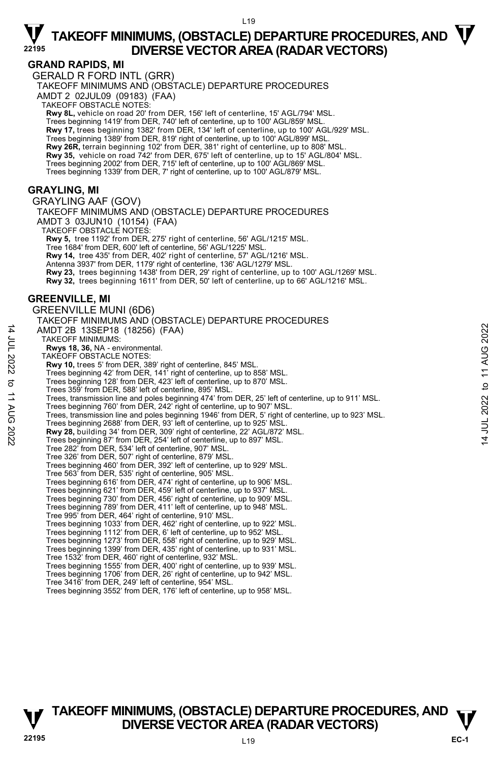14 JUL 2022 to 11 AUG 2022

to 11 AUG 2022

14 JUL 2022

### $\nabla$  TAKEOFF MINIMUMS, (OBSTACLE) DEPARTURE PROCEDURES, AND  $\nabla$ **DIVERSE VECTOR AREA (RADAR VECTORS) <sup>22195</sup>**

### **GRAND RAPIDS, MI**

GERALD R FORD INTL (GRR)

TAKEOFF MINIMUMS AND (OBSTACLE) DEPARTURE PROCEDURES

AMDT 2 02JUL09 (09183) (FAA)

TAKEOFF OBSTACLE NOTES:

**Rwy 8L,** vehicle on road 20' from DER, 156' left of centerline, 15' AGL/794' MSL. Trees beginning 1419' from DER, 740' left of centerline, up to 100' AGL/859' MSL. **Rwy 17,** trees beginning 1382' from DER, 134' left of centerline, up to 100' AGL/929' MSL. Trees beginning 1389' from DER, 819' right of centerline, up to 100' AGL/899' MSL. **Rwy 26R,** terrain beginning 102' from DER, 381' right of centerline, up to 808' MSL. **Rwy 35,** vehicle on road 742' from DER, 675' left of centerline, up to 15' AGL/804' MSL. Trees beginning 2002' from DER, 715' left of centerline, up to 100' AGL/869' MSL. Trees beginning 1339' from DER, 7' right of centerline, up to 100' AGL/879' MSL.

### **GRAYLING, MI**

GRAYLING AAF (GOV) TAKEOFF MINIMUMS AND (OBSTACLE) DEPARTURE PROCEDURES AMDT 3 03JUN10 (10154) (FAA) TAKEOFF OBSTACLE NOTES: **Rwy 5,** tree 1192' from DER, 275' right of centerline, 56' AGL/1215' MSL. Tree 1684' from DER, 600' left of centerline, 56' AGL/1225' MSL. **Rwy 14,** tree 435' from DER, 402' right of centerline, 57' AGL/1216' MSL. Antenna 3937' from DER, 1179' right of centerline, 136' AGL/1279' MSL. **Rwy 23,** trees beginning 1438' from DER, 29' right of centerline, up to 100' AGL/1269' MSL. **Rwy 32,** trees beginning 1611' from DER, 50' left of centerline, up to 66' AGL/1216' MSL. **GREENVILLE, MI**  GREENVILLE MUNI (6D6) TAKEOFF MINIMUMS AND (OBSTACLE) DEPARTURE PROCEDURES AMDT 2B 13SEP18 (18256) (FAA) TAKEOFF MINIMUMS: **Rwys 18, 36,** NA - environmental. TAKEOFF OBSTACLE NOTES: **Rwy 10,** trees 5' from DER, 389' right of centerline, 845' MSL. Trees beginning 42' from DER, 141' right of centerline, up to 858' MSL. Trees beginning 128' from DER, 423' left of centerline, up to 870' MSL. Trees 359' from DER, 588' left of centerline, 895' MSL. Trees, transmission line and poles beginning 474' from DER, 25' left of centerline, up to 911' MSL. Trees beginning 760' from DER, 242' right of centerline, up to 907' MSL. Trees, transmission line and poles beginning 1946' from DER, 5' right of centerline, up to 923' MSL. Trees beginning 2688' from DER, 93' left of centerline, up to 925' MSL. **Rwy 28,** building 34' from DER, 309' right of centerline, 22' AGL/872' MSL.<br>Trees beginning 87' from DER, 254' left of centerline, up to 897' MSL. Tree 282' from DER, 534' left of centerline, 907' MSL. Tree 326' from DER, 507' right of centerline, 879' MSL. Trees beginning 460' from DER, 392' left of centerline, up to 929' MSL. Tree 563' from DER, 535' right of centerline, 905' MSL. Trees beginning 616' from DER, 474' right of centerline, up to 906' MSL. Trees beginning 621' from DER, 459' left of centerline, up to 937' MSL. Trees beginning 730' from DER, 456' right of centerline, up to 909' MSL. Trees beginning 789' from DER, 411' left of centerline, up to 948' MSL. Tree 995' from DER, 464' right of centerline, 910' MSL.<br>Trees beginning 1033' from DER, 462' right of centerline, up to 922' MSL.<br>Trees beginning 1112' from DER, 6' left of centerline, up to 952' MSL. Trees beginning 1273' from DER, 558' right of centerline, up to 929' MSL. Trees beginning 1399' from DER, 435' right of centerline, up to 931' MSL. Tree 1532' from DER, 460' right of centerline, 932' MSL. Trees beginning 1555' from DER, 400' right of centerline, up to 939' MSL.

- Trees beginning 1706' from DER, 26' right of centerline, up to 942' MSL. Tree 3416' from DER, 249' left of centerline, 954' MSL.
- Trees beginning 3552' from DER, 176' left of centerline, up to 958' MSL.



**EC-1**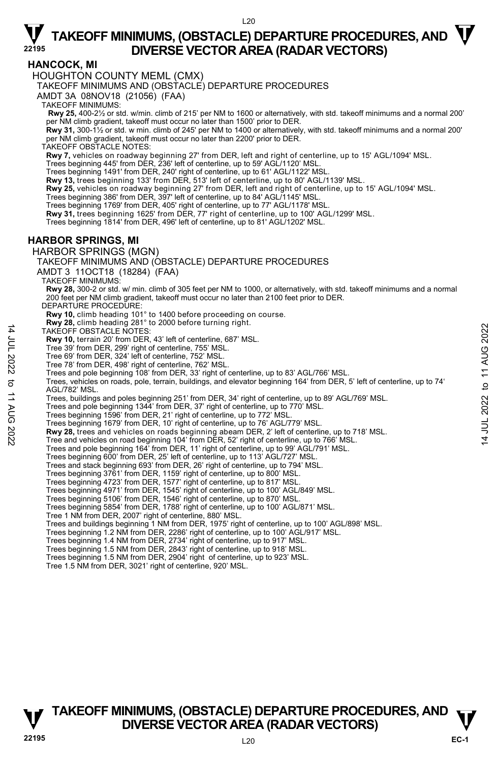### **HANCOCK, MI**

HOUGHTON COUNTY MEML (CMX)

TAKEOFF MINIMUMS AND (OBSTACLE) DEPARTURE PROCEDURES

AMDT 3A 08NOV18 (21056) (FAA)

TAKEOFF MINIMUMS:

 **Rwy 25,** 400-2½ or std. w/min. climb of 215' per NM to 1600 or alternatively, with std. takeoff minimums and a normal 200' per NM climb gradient, takeoff must occur no later than 1500' prior to DER.

**Rwy 31,** 300-1½ or std. w min. climb of 245' per NM to 1400 or alternatively, with std. takeoff minimums and a normal 200' per NM climb gradient, takeoff must occur no later than 2200' prior to DER.

TAKEOFF OBSTACLE NOTES:

**Rwy 7,** vehicles on roadway beginning 27' from DER, left and right of centerline, up to 15' AGL/1094' MSL.

Trees beginning 445' from DER, 236' left of centerline, up to 59' AGL/1120' MSL.

Trees beginning 1491' from DER, 240' right of centerline, up to 61' AGL/1122' MSL.

**Rwy 13,** trees beginning 133' from DER, 513' left of centerline, up to 80' AGL/1139' MSL.

**Rwy 25,** vehicles on roadway beginning 27' from DER, left and right of centerline, up to 15' AGL/1094' MSL.<br>Trees beginning 386' from DER, 397' left of centerline, up to 84' AGL/1145' MSL.

Trees beginning 1769' from DER, 405' right of centerline, up to 77' AGL/1178' MSL.

**Rwy 31,** trees beginning 1625' from DER, 77' right of centerline, up to 100' AGL/1299' MSL.

Trees beginning 1814' from DER, 496' left of centerline, up to 81' AGL/1202' MSL.

### **HARBOR SPRINGS, MI**

HARBOR SPRINGS (MGN)

TAKEOFF MINIMUMS AND (OBSTACLE) DEPARTURE PROCEDURES

AMDT 3 11OCT18 (18284) (FAA)

TAKEOFF MINIMUMS:

**Rwy 28,** 300-2 or std. w/ min. climb of 305 feet per NM to 1000, or alternatively, with std. takeoff minimums and a normal 200 feet per NM climb gradient, takeoff must occur no later than 2100 feet prior to DER.

DEPARTURE PROCEDURE:

**Rwy 10,** climb heading 101° to 1400 before proceeding on course. **Rwy 28,** climb heading 281° to 2000 before turning right.

TAKEOFF OBSTACLE NOTES:

**Rwy 10,** terrain 20' from DER, 43' left of centerline, 687' MSL.

Tree 39' from DER, 299' right of centerline, 755' MSL.

Tree 69' from DER, 324' left of centerline, 752' MSL.

Tree 78' from DER, 498' right of centerline, 762' MSL.

Trees and pole beginning 108' from DER, 33' right of centerline, up to 83' AGL/766' MSL

Trees, vehicles on roads, pole, terrain, buildings, and elevator beginning 164' from DER, 5' left of centerline, up to 74' AGL/782' MSL.

Trees, buildings and poles beginning 251' from DER, 34' right of centerline, up to 89' AGL/769' MSL.<br>Trees and pole beginning 1344' from DER, 37' right of centerline, up to 770' MSL.

Trees beginning 1596' from DER, 21' right of centerline, up to 772' MSL.

Trees beginning 1679' from DER, 10' right of centerline, up to 76' AGL/779' MSL.

**Rwy 28,** trees and vehicles on roads beginning abeam DER, 2' left of centerline, up to 718' MSL.<br>Tree and vehicles on road beginning 104' from DER, 52' right of centerline, up to 766' MSL.

Trees and pole beginning 164' from DER, 11' right of centerline, up to 99' AGL/791' MSL.

Trees beginning 600' from DER, 25' left of centerline, up to 113' AGL/727' MSL

Trees and stack beginning 693' from DER, 26' right of centerline, up to 794' MSL.

Trees beginning 3761' from DER, 1159' right of centerline, up to 800' MSL.

Trees beginning 4723' from DER, 1577' right of centerline, up to 817' MSL. Trees beginning 4971' from DER, 1545' right of centerline, up to 100' AGL/849' MSL.

Trees beginning 5106' from DER, 1546' right of centerline, up to 870' MSL.

Trees beginning 5854' from DER, 1788' right of centerline, up to 100' AGL/871' MSL.

Tree 1 NM from DER, 2007' right of centerline, 880' MSL.

Trees and buildings beginning 1 NM from DER, 1975' right of centerline, up to 100' AGL/898' MSL.

Trees beginning 1.2 NM from DER, 2286' right of centerline, up to 100' AGL/917' MSL.

Trees beginning 1.4 NM from DER, 2734' right of centerline, up to 917' MSL. Trees beginning 1.5 NM from DER, 2843' right of centerline, up to 918' MSL.

Trees beginning 1.5 NM from DER, 2904' right of centerline, up to 923' MSL.

Tree 1.5 NM from DER, 3021' right of centerline, 920' MSL.

14 JUL 2022 to 11 AUG 2022

to 11 AUG 2022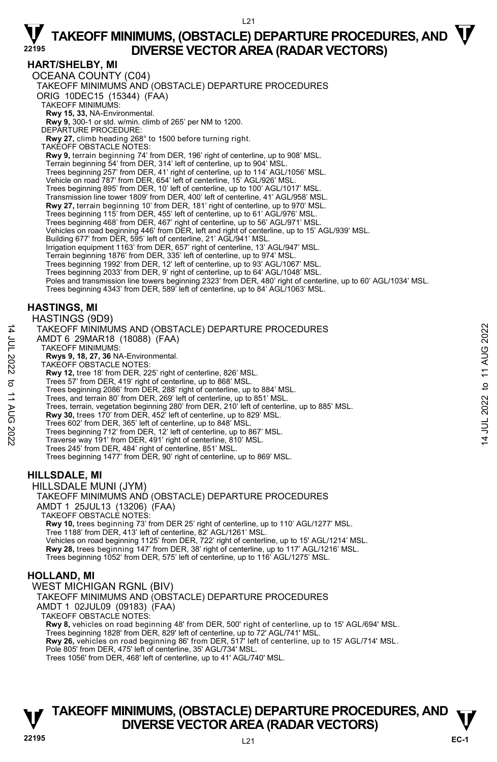#### $121$

### $\nabla$  TAKEOFF MINIMUMS, (OBSTACLE) DEPARTURE PROCEDURES, AND  $\nabla$ **DIVERSE VECTOR AREA (RADAR VECTORS) <sup>22195</sup>**

#### **HART/SHELBY, MI**

OCEANA COUNTY (C04) TAKEOFF MINIMUMS AND (OBSTACLE) DEPARTURE PROCEDURES ORIG 10DEC15 (15344) (FAA) TAKEOFF MINIMUMS: **Rwy 15, 33,** NA-Environmental. **Rwy 9,** 300-1 or std. w/min. climb of 265' per NM to 1200. DEPARTURE PROCEDURE: **Rwy 27,** climb heading 268° to 1500 before turning right. TAKEOFF OBSTACLE NOTES: **Rwy 9,** terrain beginning 74' from DER, 196' right of centerline, up to 908' MSL. Terrain beginning 54' from DER, 314' left of centerline, up to 904' MSL. Trees beginning 257' from DER, 41' right of centerline, up to 114' AGL/1056' MSL. Vehicle on road 787' from DER, 654' left of centerline, 15' AGL/926' MSL. Trees beginning 895' from DER, 10' left of centerline, up to 100' AGL/1017' MSL. Transmission line tower 1809' from DER, 400' left of centerline, 41' AGL/958' MSL. **Rwy 27,** terrain beginning 10' from DER, 181' right of centerline, up to 970' MSL. Trees beginning 115' from DER, 455' left of centerline, up to 61' AGL/976' MSL. Trees beginning 468' from DER, 467' right of centerline, up to 56' AGL/971' MSL. Vehicles on road beginning 446' from DER, left and right of centerline, up to 15' AGL/939' MSL.<br>Building 677' from DER, 595' left of centerline, 21' AGL/941' MSL. Irrigation equipment 1163' from DER, 657' right of centerline, 13' AGL/947' MSL. Terrain beginning 1876' from DER, 335' left of centerline, up to 974' MSL. Trees beginning 1992' from DER, 12' left of centerline, up to 93' AGL/1067' MSL. Trees beginning 2033' from DER, 9' right of centerline, up to 64' AGL/1048' MSL. Poles and transmission line towers beginning 2323' from DER, 480' right of centerline, up to 60' AGL/1034' MSL. Trees beginning 4343' from DER, 589' left of centerline, up to 84' AGL/1063' MSL. **HASTINGS, MI**  HASTINGS (9D9) TAKEOFF MINIMUMS AND (OBSTACLE) DEPARTURE PROCEDURES AMDT 6 29MAR18 (18088) (FAA) TAKEOFF MINIMUMS: **Rwys 9, 18, 27, 36** NA-Environmental. TAKEOFF OBSTACLE NOTES:

- **Rwy 12,** tree 18' from DER, 225' right of centerline, 826' MSL.
- Trees 57' from DER, 419' right of centerline, up to 868' MSL.
- Trees beginning 2086' from DER, 288' right of centerline, up to 884' MSL.
- Trees, and terrain 80' from DER, 269' left of centerline, up to 851' MSL.
- Trees, terrain, vegetation beginning 280' from DER, 210' left of centerline, up to 885' MSL.
- **Rwy 30,** trees 170' from DER, 452' left of centerline, up to 829' MSL.
- Trees 602' from DER, 365' left of centerline, up to 848' MSL.
- Trees beginning 712' from DER, 12' left of centerline, up to 867' MSL. Traverse way 191' from DER, 491' right of centerline, 810' MSL.
- 
- Trees 245' from DER, 484' right of centerline, 851' MSL.
- Trees beginning 1477' from DER, 90' right of centerline, up to 869' MSL.

### **HILLSDALE, MI**

14 JUL 2022 to 11 AUG 2022

:2022

 $\vec{\sigma}$ **11 AUG** 

14 JUL 2022

HILLSDALE MUNI (JYM) TAKEOFF MINIMUMS AND (OBSTACLE) DEPARTURE PROCEDURES AMDT 1 25JUL13 (13206) (FAA) TAKEOFF OBSTACLE NOTES: **Rwy 10,** trees beginning 73' from DER 25' right of centerline, up to 110' AGL/1277' MSL. Tree 1188' from DER, 413' left of centerline, 82' AGL/1261' MSL.

Vehicles on road beginning 1125' from DER, 722' right of centerline, up to 15' AGL/1214' MSL.<br>**Rwy 28,** trees beginning 147' from DER, 38' right of centerline, up to 117' AGL/1216' MSL. Trees beginning 1052' from DER, 575' left of centerline, up to 116' AGL/1275' MSL.

### **HOLLAND, MI**

WEST MICHIGAN RGNL (BIV) TAKEOFF MINIMUMS AND (OBSTACLE) DEPARTURE PROCEDURES AMDT 1 02JUL09 (09183) (FAA) TAKEOFF OBSTACLE NOTES: **Rwy 8,** vehicles on road beginning 48' from DER, 500' right of centerline, up to 15' AGL/694' MSL. Trees beginning 1828' from DER, 829' left of centerline, up to 72' AGL/741' MSL.<br>**Rwy 26,** vehicles on road beginning 86' from DER, 517' left of centerline, up to 15' AGL/714' MSL. Pole 805' from DER, 475' left of centerline, 35' AGL/734' MSL Trees 1056' from DER, 468' left of centerline, up to 41' AGL/740' MSL.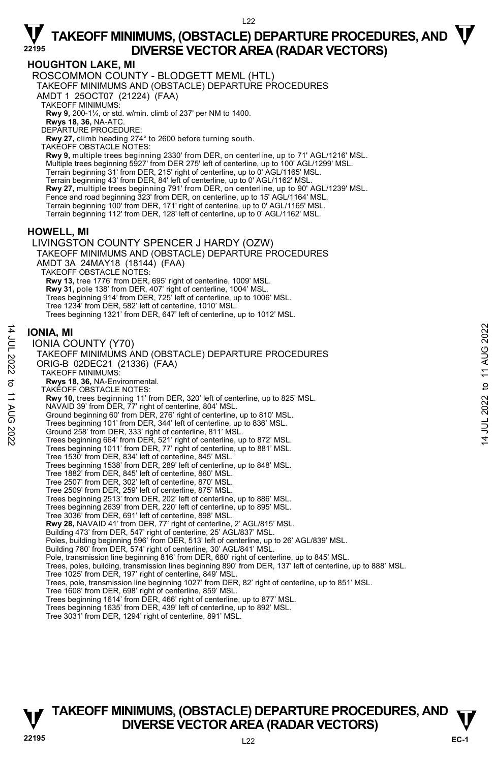**HOUGHTON LAKE, MI** 

ROSCOMMON COUNTY - BLODGETT MEML (HTL)

TAKEOFF MINIMUMS AND (OBSTACLE) DEPARTURE PROCEDURES

AMDT 1 25OCT07 (21224) (FAA)

TAKEOFF MINIMUMS:

**Rwy 9,** 200-1¼, or std. w/min. climb of 237' per NM to 1400.

**Rwys 18, 36,** NA-ATC. DEPARTURE PROCEDURE:

**Rwy 27,** climb heading 274° to 2600 before turning south.

TAKEOFF OBSTACLE NOTES:

**Rwy 9,** multiple trees beginning 2330' from DER, on centerline, up to 71' AGL/1216' MSL. Multiple trees beginning 5927' from DER 275' left of centerline, up to 100' AGL/1299' MSL. Terrain beginning 31' from DER, 215' right of centerline, up to 0' AGL/1165' MSL. Terrain beginning 43' from DER, 84' left of centerline, up to 0' AGL/1162' MSL. **Rwy 27,** multiple trees beginning 791' from DER, on centerline, up to 90' AGL/1239' MSL. Fence and road beginning 323' from DER, on centerline, up to 15' AGL/1164' MSL. Terrain beginning 100' from DER, 171' right of centerline, up to 0' AGL/1165' MSL. Terrain beginning 112' from DER, 128' left of centerline, up to 0' AGL/1162' MSL.

### **HOWELL, MI**

LIVINGSTON COUNTY SPENCER J HARDY (OZW) TAKEOFF MINIMUMS AND (OBSTACLE) DEPARTURE PROCEDURES AMDT 3A 24MAY18 (18144) (FAA) TAKEOFF OBSTACLE NOTES: **Rwy 13,** tree 1776' from DER, 695' right of centerline, 1009' MSL. **Rwy 31,** pole 138' from DER, 407' right of centerline, 1004' MSL.<br>Trees beginning 914' from DER, 725' left of centerline, up to 1006' MSL. Tree 1234' from DER, 582' left of centerline, 1010' MSL. Trees beginning 1321' from DER, 647' left of centerline, up to 1012' MSL.

### **IONIA, MI**

14 JUL 2022 to 11 AUG 2022

 $\vec{\sigma}$ **11 AUG** 

:2022

14 JUL 2022

IONIA COUNTY (Y70) TAKEOFF MINIMUMS AND (OBSTACLE) DEPARTURE PROCEDURES ORIG-B 02DEC21 (21336) (FAA) TAKEOFF MINIMUMS: **Rwys 18, 36,** NA-Environmental. TAKEOFF OBSTACLE NOTES: **Rwy 10,** trees beginning 11' from DER, 320' left of centerline, up to 825' MSL.<br>NAVAID 39' from DER, 77' right of centerline, 804' MSL. Ground beginning 60' from DER, 276' right of centerline, up to 810' MSL. Trees beginning 101' from DER, 344' left of centerline, up to 836' MSL. Ground 258' from DER, 333' right of centerline, 811' MSL. Trees beginning 664' from DER, 521' right of centerline, up to 872' MSL. Trees beginning 1011' from DER, 77' right of centerline, up to 881' MSL. Tree 1530' from DER, 834' left of centerline, 845' MSL. Trees beginning 1538' from DER, 289' left of centerline, up to 848' MSL. Tree 1882' from DER, 845' left of centerline, 860' MSL. Tree 2507' from DER, 302' left of centerline, 870' MSL. Tree 2509' from DER, 259' left of centerline, 875' MSL. Trees beginning 2513' from DER, 202' left of centerline, up to 886' MSL. Trees beginning 2639' from DER, 220' left of centerline, up to 895' MSL. Tree 3036' from DER, 691' left of centerline, 898' MSL. **Rwy 28,** NAVAID 41' from DER, 77' right of centerline, 2' AGL/815' MSL. Building 473' from DER, 547' right of centerline, 25' AGL/837' MSL. Poles, building beginning 596' from DER, 513' left of centerline, up to 26' AGL/839' MSL. Building 780' from DER, 574' right of centerline, 30' AGL/841' MSL. Pole, transmission line beginning 816' from DER, 680' right of centerline, up to 845' MSL. Trees, poles, building, transmission lines beginning 890' from DER, 137' left of centerline, up to 888' MSL. Tree 1025' from DER, 197' right of centerline, 849' MSL. Trees, pole, transmission line beginning 1027' from DER, 82' right of centerline, up to 851' MSL. Tree 1608' from DER, 698' right of centerline, 859' MSL. Trees beginning 1614' from DER, 466' right of centerline, up to 877' MSL. Trees beginning 1635' from DER, 439' left of centerline, up to 892' MSL.

Tree 3031' from DER, 1294' right of centerline, 891' MSL.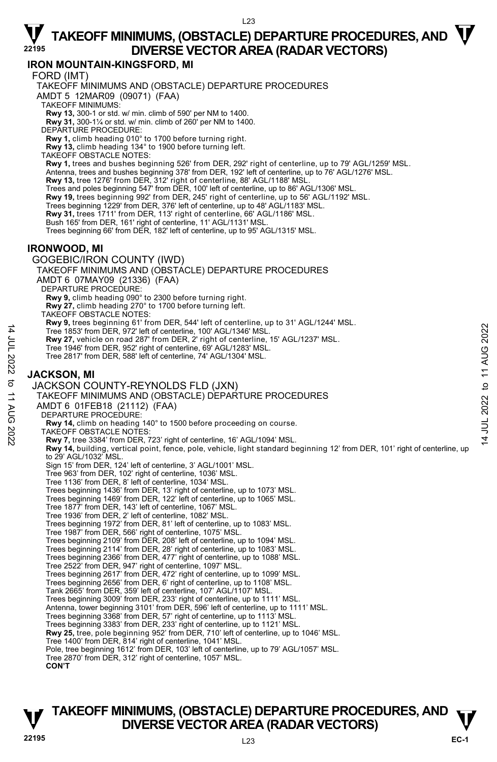### **IRON MOUNTAIN-KINGSFORD, MI**

FORD (IMT)

TAKEOFF MINIMUMS AND (OBSTACLE) DEPARTURE PROCEDURES AMDT 5 12MAR09 (09071) (FAA)

TAKEOFF MINIMUMS:

**Rwy 13,** 300-1 or std. w/ min. climb of 590' per NM to 1400. **Rwy 31,** 300-1¼ or std. w/ min. climb of 260' per NM to 1400.

DEPARTURE PROCEDURE:

**Rwy 1,** climb heading 010° to 1700 before turning right.

**Rwy 13,** climb heading 134° to 1900 before turning left. TAKEOFF OBSTACLE NOTES:

**Rwy 1,** trees and bushes beginning 526' from DER, 292' right of centerline, up to 79' AGL/1259' MSL.

Antenna, trees and bushes beginning 378' from DER, 192' left of centerline, up to 76' AGL/1276' MSL.<br>**Rwy 13,** tree 1276' from DER, 312' right of centerline, 88' AGL/1188' MSL.

Trees and poles beginning 547' from DER, 100' left of centerline, up to 86' AGL/1306' MSL.<br>**Rwy 19,** trees beginning 992' from DER, 245' right of centerline, up to 56' AGL/1192' MSL.

Trees beginning 1229' from DER, 376' left of centerline, up to 48' AGL/1183' MSL.

**Rwy 31,** trees 1711' from DER, 113' right of centerline, 66' AGL/1186' MSL.

Bush 165' from DER, 161' right of centerline, 11' AGL/1131' MSL.

Trees beginning 66' from DER, 182' left of centerline, up to 95' AGL/1315' MSL.

### **IRONWOOD, MI**

GOGEBIC/IRON COUNTY (IWD)

TAKEOFF MINIMUMS AND (OBSTACLE) DEPARTURE PROCEDURES

AMDT 6 07MAY09 (21336) (FAA)

DEPARTURE PROCEDURE

**Rwy 9,** climb heading 090° to 2300 before turning right.

**Rwy 27,** climb heading 270° to 1700 before turning left.

TAKEOFF OBSTACLE NOTES:

**Rwy 9,** trees beginning 61' from DER, 544' left of centerline, up to 31' AGL/1244' MSL.

Tree 1853' from DER, 972' left of centerline, 100' AGL/1346' MSL.

**Rwy 27,** vehicle on road 287' from DER, 2' right of centerline, 15' AGL/1237' MSL.

Tree 1946' from DER, 952' right of centerline, 69' AGL/1283' MSL.

Tree 2817' from DER, 588' left of centerline, 74' AGL/1304' MSL.

### **JACKSON, MI**

14 JUL 2022 to 11 AUG 2022

 $\vec{\sigma}$ **11 AUG** 

:2022

14 JUL 2022

JACKSON COUNTY-REYNOLDS FLD (JXN) TAKEOFF MINIMUMS AND (OBSTACLE) DEPARTURE PROCEDURES AMDT 6 01FEB18 (21112) (FAA) DEPARTURE PROCEDURE: **Rwy 14,** climb on heading 140° to 1500 before proceeding on course. TAKEOFF OBSTACLE NOTES: **Rwy 7,** tree 3384' from DER, 723' right of centerline, 16' AGL/1094' MSL. **Rwy 14,** building, vertical point, fence, pole, vehicle, light standard beginning 12' from DER, 101' right of centerline, up to 29' AGL/1032' MSL. Sign 15' from DER, 124' left of centerline, 3' AGL/1001' MSL. Tree 963' from DER, 102' right of centerline, 1036' MSL. Tree 1136' from DER, 8' left of centerline, 1034' MSL. Trees beginning 1436' from DER, 13' right of centerline, up to 1073' MSL. Trees beginning 1469' from DER, 122' left of centerline, up to 1065' MSL. Tree 1877' from DER, 143' left of centerline, 1067' MSL. Tree 1936' from DER, 2' left of centerline, 1082' MSL. Trees beginning 1972' from DER, 81' left of centerline, up to 1083' MSL. Tree 1987' from DER, 566' right of centerline, 1075' MSL. Trees beginning 2109' from DER, 208' left of centerline, up to 1094' MSL. Trees beginning 2114' from DER, 28' right of centerline, up to 1083' MSL. Trees beginning 2366' from DER, 477' right of centerline, up to 1088' MSL. Tree 2522' from DER, 947' right of centerline, 1097' MSL. Trees beginning 2617' from DER, 472' right of centerline, up to 1099' MSL. Trees beginning 2656' from DER, 6' right of centerline, up to 1108' MSL. Tank 2665' from DER, 359' left of centerline, 107' AGL/1107' MSL. Trees beginning 3009' from DER, 233' right of centerline, up to 1111' MSL.<br>Antenna, tower beginning 3101' from DER, 596' left of centerline, up to 1111' MSL. Trees beginning 3368' from DER, 57' right of centerline, up to 1113' MSL. Trees beginning 3383' from DER, 233' right of centerline, up to 1121' MSL. **Rwy 25,** tree, pole beginning 952' from DER, 710' left of centerline, up to 1046' MSL.<br>Tree 1400' from DER, 814' right of centerline, 1041' MSL. Pole, tree beginning 1612' from DER, 103' left of centerline, up to 79' AGL/1057' MSL.

Tree 2870' from DER, 312' right of centerline, 1057' MSL.

**CON'T**

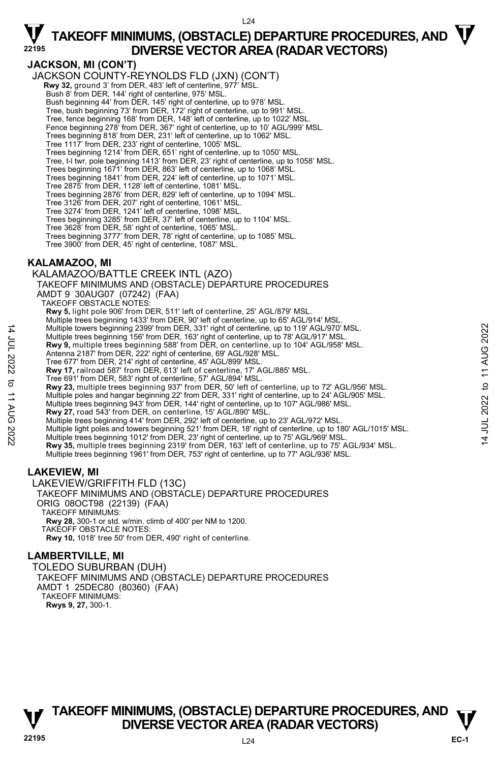

### **JACKSON, MI (CON'T)**

JACKSON COUNTY-REYNOLDS FLD (JXN) (CON'T)  **Rwy 32,** ground 3' from DER, 483' left of centerline, 977' MSL. Bush 8' from DER, 144' right of centerline, 975' MSL. Bush beginning 44' from DER, 145' right of centerline, up to 978' MSL. Tree, bush beginning 73' from DER, 172' right of centerline, up to 991' MSL. Tree, fence beginning 168' from DER, 148' left of centerline, up to 1022' MSL. Fence beginning 278' from DER, 367' right of centerline, up to 10' AGL/999' MSL. Trees beginning 818' from DER, 231' left of centerline, up to 1062' MSL. Tree 1117' from DER, 233' right of centerline, 1005' MSL. Trees beginning 1214' from DER, 651' right of centerline, up to 1050' MSL. Tree, t-l twr, pole beginning 1413' from DER, 23' right of centerline, up to 1058' MSL. Trees beginning 1671' from DER, 863' left of centerline, up to 1068' MSL. Trees beginning 1841' from DER, 224' left of centerline, up to 1071' MSL. Tree 2875' from DER, 1128' left of centerline, 1081' MSL. Trees beginning 2876' from DER, 829' left of centerline, up to 1094' MSL. Tree 3126' from DER, 207' right of centerline, 1061' MSL. Tree 3274' from DER, 1241' left of centerline, 1098' MSL. Trees beginning 3285' from DER, 37' left of centerline, up to 1104' MSL. Tree 3628' from DER, 58' right of centerline, 1065' MSL. Trees beginning 3777' from DER, 78' right of centerline, up to 1085' MSL. Tree 3900' from DER, 45' right of centerline, 1087' MSL.

### **KALAMAZOO, MI**

14 JUL 2022 to 11 AUG 2022

:2022

 $\vec{\sigma}$ **11 AUG** 

14 JUL 2022

KALAMAZOO/BATTLE CREEK INTL (AZO) TAKEOFF MINIMUMS AND (OBSTACLE) DEPARTURE PROCEDURES AMDT 9 30AUG07 (07242) (FAA) TAKEOFF OBSTACLE NOTES: **Rwy 5,** light pole 906' from DER, 511' left of centerline, 25' AGL/879' MSL. Multiple trees beginning 1433' from DER, 90' left of centerline, up to 65' AGL/914' MSL. Multiple towers beginning 2399' from DER, 331' right of centerline, up to 119' AGL/970' MSL. Multiple trees beginning 156' from DER, 163' right of centerline, up to 78' AGL/917' MSL. **Rwy 9,** multiple trees beginning 588' from DER, on centerline, up to 104' AGL/958' MSL.<br>Antenna 2187' from DER, 222' right of centerline, 69' AGL/928' MSL. Tree 677' from DER, 214' right of centerline, 45' AGL/899' MSL. **Rwy 17,** railroad 587' from DER, 613' left of centerline, 17' AGL/885' MSL. Tree 691' from DER, 583' right of centerline, 57' AGL/894' MSL. **Rwy 23,** multiple trees beginning 937' from DER, 50' left of centerline, up to 72' AGL/956' MSL. Multiple poles and hangar beginning 22' from DER, 331' right of centerline, up to 24' AGL/905' MSL. Multiple trees beginning 943' from DER, 144' right of centerline, up to 107' AGL/986' MSL. **Rwy 27,** road 543' from DER, on centerline, 15' AGL/890' MSL. Multiple trees beginning 414' from DER, 292' left of centerline, up to 23' AGL/972' MSL. Multiple light poles and towers beginning 521' from DER, 18' right of centerline, up to 180' AGL/1015' MSL.<br>Multiple trees beginning 1012' from DER, 23' right of centerline, up to 75' AGL/969' MSL. **Rwy 35,** multiple trees beginning 2319' from DER, 163' left of centerline, up to 75' AGL/934' MSL. Multiple trees beginning 1961' from DER, 753' right of centerline, up to 77' AGL/936' MSL. **LAKEVIEW, MI**  LAKEVIEW/GRIFFITH FLD (13C) TAKEOFF MINIMUMS AND (OBSTACLE) DEPARTURE PROCEDURES

ORIG 08OCT98 (22139) (FAA) TAKEOFF MINIMUMS: **Rwy 28,** 300-1 or std. w/min. climb of 400' per NM to 1200. TAKEOFF OBSTACLE NOTES: **Rwy 10,** 1018' tree 50' from DER, 490' right of centerline. **LAMBERTVILLE, MI** 

#### TOLEDO SUBURBAN (DUH) TAKEOFF MINIMUMS AND (OBSTACLE) DEPARTURE PROCEDURES AMDT 1 25DEC80 (80360) (FAA) TAKEOFF MINIMUMS: **Rwys 9, 27,** 300-1.

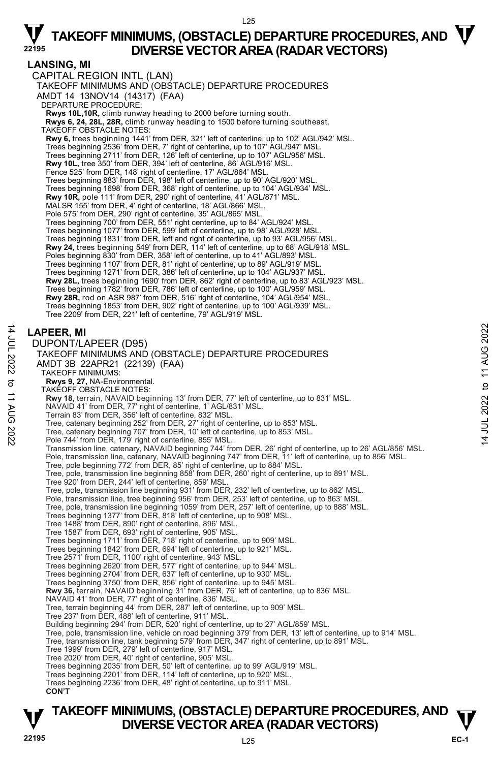$125$ 

### **LANSING, MI**

CAPITAL REGION INTL (LAN) TAKEOFF MINIMUMS AND (OBSTACLE) DEPARTURE PROCEDURES AMDT 14 13NOV14 (14317) (FAA) DEPARTURE PROCEDURE: **Rwys 10L,10R,** climb runway heading to 2000 before turning south.  **Rwys 6, 24, 28L, 28R,** climb runway heading to 1500 before turning southeast. TAKEOFF OBSTACLE NOTES: **Rwy 6,** trees beginning 1441' from DER, 321' left of centerline, up to 102' AGL/942' MSL. Trees beginning 2536' from DER, 7' right of centerline, up to 107' AGL/947' MSL. Trees beginning 2711' from DER, 126' left of centerline, up to 107' AGL/956' MSL. **Rwy 10L,** tree 350' from DER, 394' left of centerline, 86' AGL/916' MSL. Fence 525' from DER, 148' right of centerline, 17' AGL/864' MSL. Trees beginning 883' from DER, 198' left of centerline, up to 90' AGL/920' MSL. Trees beginning 1698' from DER, 368' right of centerline, up to 104' AGL/934' MSL. **Rwy 10R,** pole 111' from DER, 290' right of centerline, 41' AGL/871' MSL. MALSR 155' from DER, 4' right of centerline, 18' AGL/866' MSL. Pole 575' from DER, 290' right of centerline, 35' AGL/865' MSL. Trees beginning 700' from DER, 551' right centerline, up to 84' AGL/924' MSL. Trees beginning 1077' from DER, 599' left of centerline, up to 98' AGL/928' MSL. Trees beginning 1831' from DER, left and right of centerline, up to 93' AGL/956' MSL. **Rwy 24,** trees beginning 549' from DER, 114' left of centerline, up to 68' AGL/918' MSL. Poles beginning 830' from DER, 358' left of centerline, up to 41' AGL/893' MSL. Trees beginning 1107' from DER, 81' right of centerline, up to 89' AGL/919' MSL. Trees beginning 1271' from DER, 386' left of centerline, up to 104' AGL/937' MSL. **Rwy 28L,** trees beginning 1690' from DER, 862' right of centerline, up to 83' AGL/923' MSL. Trees beginning 1782' from DER, 786' left of centerline, up to 100' AGL/959' MSL.<br>**Rwy 28R,** rod on ASR 987' from DER, 516' right of centerline, 104' AGL/954' MSL. Trees beginning 1853' from DER, 902' right of centerline, up to 100' AGL/939' MSL. Tree 2209' from DER, 221' left of centerline, 79' AGL/919' MSL. **LAPEER, MI**  DUPONT/LAPEER (D95) TAKEOFF MINIMUMS AND (OBSTACLE) DEPARTURE PROCEDURES AMDT 3B 22APR21 (22139) (FAA) TAKEOFF MINIMUMS: **Rwys 9, 27,** NA-Environmental. TAKEOFF OBSTACLE NOTES: **Rwy 18,** terrain, NAVAID beginning 13' from DER, 77' left of centerline, up to 831' MSL.<br>NAVAID 41' from DER, 77' right of centerline, 1' AGL/831' MSL.<br>Terrain 83' from DER, 356' left of centerline, 832' MSL. Tree, catenary beginning 252' from DER, 27' right of centerline, up to 853' MSL. Tree, catenary beginning 707' from DER, 10' left of centerline, up to 853' MSL. Pole 744' from DER, 179' right of centerline, 855' MSL. Transmission line, catenary, NAVAID beginning 744' from DER, 26' right of centerline, up to 26' AGL/856' MSL. Pole, transmission line, catenary, NAVAID beginning 747' from DER, 11' left of centerline, up to 856' MSL.<br>Tree, pole beginning 772' from DER, 85' right of centerline, up to 884' MSL. Tree, pole, transmission line beginning 858' from DER, 260' right of centerline, up to 891' MSL. Tree 920' from DER, 244' left of centerline, 859' MSL. Tree, pole, transmission line beginning 931' from DER, 232' left of centerline, up to 862' MSL. Pole, transmission line, tree beginning 956' from DER, 253' left of centerline, up to 863' MSL. Tree, pole, transmission line beginning 1059' from DER, 257' left of centerline, up to 888' MSL. Trees beginning 1377' from DER, 818' left of centerline, up to 908' MSL. Tree 1488' from DER, 890' right of centerline, 896' MSL. Tree 1587' from DER, 693' right of centerline, 905' MSL. Trees beginning 1711' from DER, 718' right of centerline, up to 909' MSL. Trees beginning 1842' from DER, 694' left of centerline, up to 921' MSL. Tree 2571' from DER, 1100' right of centerline, 943' MSL. Trees beginning 2620' from DER, 577' right of centerline, up to 944' MSL. Trees beginning 2704' from DER, 637' left of centerline, up to 930' MSL. Trees beginning 3750' from DER, 856' right of centerline, up to 945' MSL. **Rwy 36,** terrain, NAVAID beginning 31' from DER, 76' left of centerline, up to 836' MSL. NAVAID 41' from DER, 77' right of centerline, 836' MSL. Tree, terrain beginning 44' from DER, 287' left of centerline, up to 909' MSL. Tree 237' from DER, 488' left of centerline, 911' MSL. Building beginning 294' from DER, 520' right of centerline, up to 27' AGL/859' MSL. Tree, pole, transmission line, vehicle on road beginning 379' from DER, 13' left of centerline, up to 914' MSL.<br>Tree, transmission line, tank beginning 579' from DER, 347' right of centerline, up to 891' MSL. Tree 1999' from DER, 279' left of centerline, 917' MSL. Tree 2020' from DER, 40' right of centerline, 905' MSL. Trees beginning 2035' from DER, 50' left of centerline, up to 99' AGL/919' MSL. Trees beginning 2201' from DER, 114' left of centerline, up to 920' MSL. Trees beginning 2236' from DER, 48' right of centerline, up to 911' MSL.

14 JUL 2022 to 11 AUG 2022

 $\vec{z}$ 

JUL 2022 to 11 AUG 2022

**CON'T**

### **TAKEOFF MINIMUMS, (OBSTACLE) DEPARTURE PROCEDURES, AND**  $\mathbf{\nabla}$ **DIVERSE VECTOR AREA (RADAR VECTORS)**

14 JUL 2022 to 11 AUG 2022

to 11 AUG 2022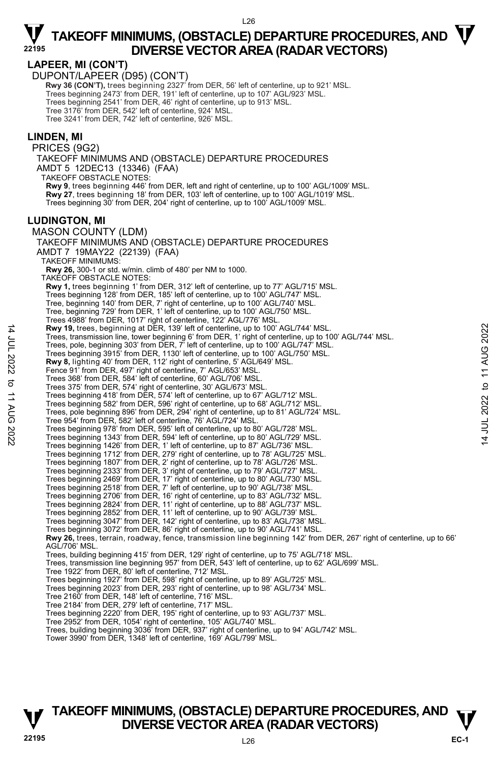$\vec{z}$ 

### $\nabla$  TAKEOFF MINIMUMS, (OBSTACLE) DEPARTURE PROCEDURES, AND  $\nabla$ **DIVERSE VECTOR AREA (RADAR VECTORS) <sup>22195</sup>**

### **LAPEER, MI (CON'T)**

DUPONT/LAPEER (D95) (CON'T)

 **Rwy 36 (CON'T),** trees beginning 2327' from DER, 56' left of centerline, up to 921' MSL. Trees beginning 2473' from DER, 191' left of centerline, up to 107' AGL/923' MSL. Trees beginning 2541' from DER, 46' right of centerline, up to 913' MSL. Tree 3176' from DER, 542' left of centerline, 924' MSL. Tree 3241' from DER, 742' left of centerline, 926' MSL.

#### **LINDEN, MI**

PRICES (9G2) TAKEOFF MINIMUMS AND (OBSTACLE) DEPARTURE PROCEDURES AMDT 5 12DEC13 (13346) (FAA) TAKEOFF OBSTACLE NOTES: **Rwy 9**, trees beginning 446' from DER, left and right of centerline, up to 100' AGL/1009' MSL. **Rwy 27**, trees beginning 18' from DER, 103' left of centerline, up to 100' AGL/1019' MSL. Trees beginning 30' from DER, 204' right of centerline, up to 100' AGL/1009' MSL. **LUDINGTON, MI**  MASON COUNTY (LDM) TAKEOFF MINIMUMS AND (OBSTACLE) DEPARTURE PROCEDURES AMDT 7 19MAY22 (22139) (FAA) TAKEOFF MINIMUMS: **Rwy 26,** 300-1 or std. w/min. climb of 480' per NM to 1000. TAKEOFF OBSTACLE NOTES: **Rwy 1,** trees beginning 1' from DER, 312' left of centerline, up to 77' AGL/715' MSL. Trees beginning 128' from DER, 185' left of centerline, up to 100' AGL/747' MSL. Tree, beginning 140' from DER, 7' right of centerline, up to 100' AGL/740' MSL. Tree, beginning 729' from DER, 1' left of centerline, up to 100' AGL/750' MSL. Trees 4988' from DER, 1017' right of centerline, 122' AGL/776' MSL.<br>**Rwy 19,** trees, beginning at DER, 139' left of centerline, up to 100' AGL/744' MSL. Trees, transmission line, tower beginning 6' from DER, 1' right of centerline, up to 100' AGL/744' MSL. Trees, pole, beginning 303' from DER, 7' left of centerline, up to 100' AGL/747' MSL. Trees beginning 3915' from DER, 1130' left of centerline, up to 100' AGL/750' MSL. **Rwy 8,** lighting 40' from DER, 112' right of centerline, 5' AGL/649' MSL. Fence 91' from DER, 497' right of centerline, 7' AGL/653' MSL. Trees 368' from DER, 584' left of centerline, 60' AGL/706' MSL. Trees 375' from DER, 574' right of centerline, 30' AGL/673' MSL. Trees beginning 418' from DER, 574' left of centerline, up to 67' AGL/712' MSL. Trees beginning 582' from DER, 596' right of centerline, up to 68' AGL/712' MSL. Trees, pole beginning 896' from DER, 294' right of centerline, up to 81' AGL/724' MSL. Tree 954' from DER, 582' left of centerline, 76' AGL/724' MSL. Trees beginning 978' from DER, 595' left of centerline, up to 80' AGL/728' MSL. Trees beginning 1343' from DER, 594' left of centerline, up to 80' AGL/729' MSL. Trees beginning 1426' from DER, 1' left of centerline, up to 87' AGL/736' MSL. Trees beginning 1712' from DER, 279' right of centerline, up to 78' AGL/725' MSL. Trees beginning 1807' from DER, 2' right of centerline, up to 78' AGL/726' MSL. Trees beginning 2333' from DER, 3' right of centerline, up to 79' AGL/727' MSL. Trees beginning 2469' from DER, 17' right of centerline, up to 80' AGL/730' MSL. Trees beginning 2518' from DER, 7' left of centerline, up to 90' AGL/738' MSL. Trees beginning 2706' from DER, 16' right of centerline, up to 83' AGL/732' MSL. Trees beginning 2824' from DER, 11' right of centerline, up to 88' AGL/737' MSL. Trees beginning 2852' from DER, 11' left of centerline, up to 90' AGL/739' MSL. Trees beginning 3047' from DER, 142' right of centerline, up to 83' AGL/738' MSL. Trees beginning 3072' from DER, 86' right of centerline, up to 90' AGL/741' MSL. **Rwy 26,** trees, terrain, roadway, fence, transmission line beginning 142' from DER, 267' right of centerline, up to 66' AGL/706' MSL. Trees, building beginning 415' from DER, 129' right of centerline, up to 75' AGL/718' MSL. Trees, transmission line beginning 957' from DER, 543' left of centerline, up to 62' AGL/699' MSL. Tree 1922' from DER, 80' left of centerline, 712' MSL. Trees beginning 1927' from DER, 598' right of centerline, up to 89' AGL/725' MSL. Trees beginning 2023' from DER, 293' right of centerline, up to 98' AGL/734' MSL. Tree 2160' from DER, 148' left of centerline, 716' MSL. Tree 2184' from DER, 279' left of centerline, 717' MSL. Trees beginning 2220' from DER, 195' right of centerline, up to 93' AGL/737' MSL. Tree 2952' from DER, 1054' right of centerline, 105' AGL/740' MSL. Trees, building beginning 3036' from DER, 937' right of centerline, up to 94' AGL/742' MSL. Tower 3990' from DER, 1348' left of centerline, 169' AGL/799' MSL.

### **TAKEOFF MINIMUMS, (OBSTACLE) DEPARTURE PROCEDURES, AND**  $\mathbf{\nabla}$ **DIVERSE VECTOR AREA (RADAR VECTORS)**

14 JUL 2022 to 11 AUG 2022

to 11 AUG

:2022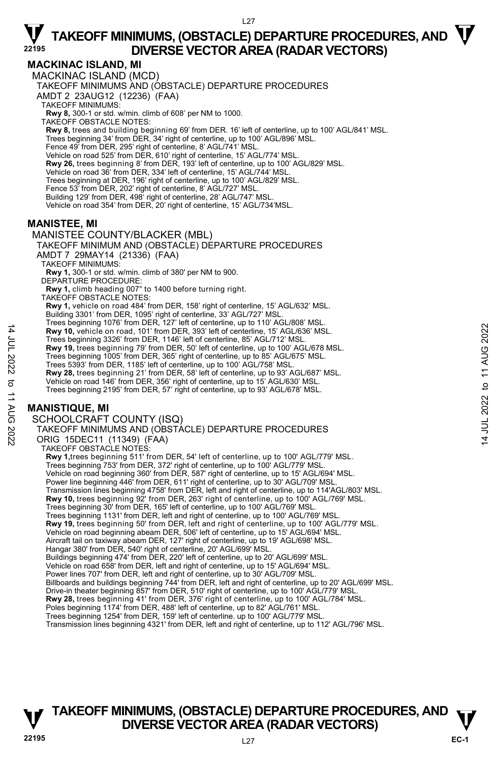### **MACKINAC ISLAND, MI**

MACKINAC ISLAND (MCD) TAKEOFF MINIMUMS AND (OBSTACLE) DEPARTURE PROCEDURES AMDT 2 23AUG12 (12236) (FAA) TAKEOFF MINIMUMS: **Rwy 8,** 300-1 or std. w/min. climb of 608' per NM to 1000. TAKEOFF OBSTACLE NOTES: **Rwy 8,** trees and building beginning 69' from DER. 16' left of centerline, up to 100' AGL/841' MSL. Trees beginning 34' from DER, 34' right of centerline, up to 100' AGL/896' MSL. Fence 49' from DER, 295' right of centerline, 8' AGL/741' MSL. Vehicle on road 525' from DER, 610' right of centerline, 15' AGL/774' MSL. **Rwy 26,** trees beginning 8' from DER, 193' left of centerline, up to 100' AGL/829' MSL. Vehicle on road 36' from DER, 334' left of centerline, 15' AGL/744' MSL. Trees beginning at DER, 196' right of centerline, up to 100' AGL/829' MSL. Fence 53' from DER, 202' right of centerline, 8' AGL/727' MSL. Building 129' from DER, 498' right of centerline, 28' AGL/747' MSL. Vehicle on road 354' from DER, 20' right of centerline, 15' AGL/734'MSL.

### **MANISTEE, MI**

MANISTEE COUNTY/BLACKER (MBL)

TAKEOFF MINIMUM AND (OBSTACLE) DEPARTURE PROCEDURES AMDT 7 29MAY14 (21336) (FAA)

TAKEOFF MINIMUMS:

**Rwy 1,** 300-1 or std. w/min. climb of 380' per NM to 900. DEPARTURE PROCEDURE:

**Rwy 1,** climb heading 007° to 1400 before turning right. TAKEOFF OBSTACLE NOTES:

**Rwy 1,** vehicle on road 484' from DER, 158' right of centerline, 15' AGL/632' MSL. Building 3301' from DER, 1095' right of centerline, 33' AGL/727' MSL.

Trees beginning 1076' from DER, 127' left of centerline, up to 110' AGL/808' MSL.

**Rwy 10,** vehicle on road, 101' from DER, 393' left of centerline, 15' AGL/636' MSL.

Trees beginning 3326' from DER, 1146' left of centerline, 85' AGL/712' MSL. **Rwy 19,** trees beginning 79' from DER, 50' left of centerline, up to 100' AGL/678 MSL.

Trees beginning 1005' from DER, 365' right of centerline, up to 85' AGL/675' MSL.

Trees 5393' from DER, 1185' left of centerline, up to 100' AGL/758' MSL.

**Rwy 28,** trees beginning 21' from DER, 58' left of centerline, up to 93' AGL/687' MSL.<br>Vehicle on road 146' from DER, 356' right of centerline, up to 15' AGL/630' MSL.<br>Trees beginning 2195' from DER, 57' right of centerli

### **MANISTIQUE, MI**

14 JUL 2022 to 11 AUG 2022

:2022

 $\sigma$ **11 AUG** 

14 JUL 2022

SCHOOLCRAFT COUNTY (ISQ)

```
TAKEOFF MINIMUMS AND (OBSTACLE) DEPARTURE PROCEDURES 
ORIG 15DEC11 (11349) (FAA) 
 TAKEOFF OBSTACLE NOTES: 
  Rwy 1,trees beginning 511' from DER, 54' left of centerline, up to 100' AGL/779' MSL. 
  Trees beginning 753' from DER, 372' right of centerline, up to 100' AGL/779' MSL. 
  Vehicle on road beginning 360' from DER, 587' right of centerline, up to 15' AGL/694' MSL. 
  Power line beginning 446' from DER, 611' right of centerline, up to 30' AGL/709' MSL
```
Transmission lines beginning 4758' from DER, left and right of centerline, up to 114'AGL/803' MSL.<br>**Rwy 10,** trees beginning 92' from DER, 263' right of centerline, up to 100' AGL/769' MSL. Trees beginning 30' from DER, 165' left of centerline, up to 100' AGL/769' MSL. Trees beginning 1131' from DER, left and right of centerline, up to 100' AGL/769' MSL. **Rwy 19,** trees beginning 50' from DER, left and right of centerline, up to 100' AGL/779' MSL. Vehicle on road beginning abeam DER, 506' left of centerline, up to 15' AGL/694' MSL. Aircraft tail on taxiway abeam DER, 127' right of centerline, up to 19' AGL/698' MSL. Hangar 380' from DER, 540' right of centerline, 20' AGL/699' MSL. Buildings beginning 474' from DER, 220' left of centerline, up to 20' AGL/699' MSL. Vehicle on road 658' from DER, left and right of centerline, up to 15' AGL/694' MSL. Power lines 707' from DER, left and right of centerline, up to 30' AGL/709' MSL.<br>Billboards and buildings beginning 744' from DER, left and right of centerline, up to 20' AGL/699' MSL. Drive-in theater beginning 857' from DER, 510' right of centerline, up to 100' AGL/779' MSL. **Rwy 28,** trees beginning 41' from DER, 376' right of centerline, up to 100' AGL/784' MSL.<br>Poles beginning 1174' from DER, 488' left of centerline, up to 82' AGL/761' MSL. Trees beginning 1254' from DER, 159' left of centerline. up to 100' AGL/779' MSL.

#### Transmission lines beginning 4321' from DER, left and right of centerline, up to 112' AGL/796' MSL.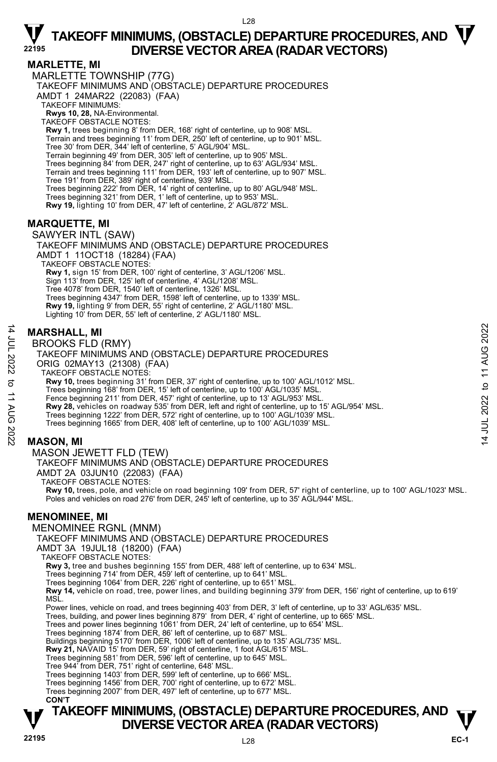### **MARLETTE, MI**

MARLETTE TOWNSHIP (77G) TAKEOFF MINIMUMS AND (OBSTACLE) DEPARTURE PROCEDURES AMDT 1 24MAR22 (22083) (FAA) TAKEOFF MINIMUMS: **Rwys 10, 28,** NA-Environmental. TAKEOFF OBSTACLE NOTES: **Rwy 1,** trees beginning 8' from DER, 168' right of centerline, up to 908' MSL. Terrain and trees beginning 11' from DER, 250' left of centerline, up to 901' MSL. Tree 30' from DER, 344' left of centerline, 5' AGL/904' MSL. Terrain beginning 49' from DER, 305' left of centerline, up to 905' MSL. Trees beginning 84' from DER, 247' right of centerline, up to 63' AGL/934' MSL. Terrain and trees beginning 111' from DER, 193' left of centerline, up to 907' MSL. Tree 191' from DER, 389' right of centerline, 939' MSL. Trees beginning 222' from DER, 14' right of centerline, up to 80' AGL/948' MSL. Trees beginning 321' from DER, 1' left of centerline, up to 953' MSL.<br>**Rwy 19,** lighting 10' from DER, 47' left of centerline, 2' AGL/872' MSL.

### **MARQUETTE, MI**

SAWYER INTL (SAW) TAKEOFF MINIMUMS AND (OBSTACLE) DEPARTURE PROCEDURES AMDT 1 11OCT18 (18284) (FAA) TAKEOFF OBSTACLE NOTES: **Rwy 1,** sign 15' from DER, 100' right of centerline, 3' AGL/1206' MSL. Sign 113' from DER, 125' left of centerline, 4' AGL/1208' MSL. Tree 4078' from DER, 1540' left of centerline, 1326' MSL. Trees beginning 4347' from DER, 1598' left of centerline, up to 1339' MSL. **Rwy 19,** lighting 9' from DER, 55' right of centerline, 2' AGL/1180' MSL. Lighting 10' from DER, 55' left of centerline, 2' AGL/1180' MSL.

### **MARSHALL, MI**

BROOKS FLD (RMY)

TAKEOFF MINIMUMS AND (OBSTACLE) DEPARTURE PROCEDURES ORIG 02MAY13 (21308) (FAA) TAKEOFF OBSTACLE NOTES: **Rwy 10,** trees beginning 31' from DER, 37' right of centerline, up to 100' AGL/1012' MSL. Trees beginning 168' from DER, 15' left of centerline, up to 100' AGL/1035' MSL. Fence beginning 211' from DER, 457' right of centerline, up to 13' AGL/953' MSL **Rwy 28,** vehicles on roadway 535' from DER, left and right of centerline, up to 15' AGL/954' MSL. Trees beginning 1222' from DER, 572' right of centerline, up to 100' AGL/1039' MSL. Trees beginning 1665' from DER, 408' left of centerline, up to 100' AGL/1039' MSL.

### **MASON, MI**

14 JUL 2022 to 11 AUG 2022

:2022

 $\sigma$ **11 AUG** 

14 JUL 2022

MASON JEWETT FLD (TEW)

TAKEOFF MINIMUMS AND (OBSTACLE) DEPARTURE PROCEDURES

AMDT 2A 03JUN10 (22083) (FAA)

TAKEOFF OBSTACLE NOTES:

**Rwy 10,** trees, pole, and vehicle on road beginning 109' from DER, 57' right of centerline, up to 100' AGL/1023' MSL.<br>Poles and vehicles on road 276' from DER, 245' left of centerline, up to 35' AGL/944' MSL.

### **MENOMINEE, MI**

MENOMINEE RGNL (MNM)

TAKEOFF MINIMUMS AND (OBSTACLE) DEPARTURE PROCEDURES

AMDT 3A 19JUL18 (18200) (FAA) TAKEOFF OBSTACLE NOTES:

**Rwy 3,** tree and bushes beginning 155' from DER, 488' left of centerline, up to 634' MSL.

Trees beginning 714' from DER, 459' left of centerline, up to 641' MSL.

Trees beginning 1064' from DER, 226' right of centerline, up to 651' MSL.

**Rwy 14,** vehicle on road, tree, power lines, and building beginning 379' from DER, 156' right of centerline, up to 619' MSL.

Power lines, vehicle on road, and trees beginning 403' from DER, 3' left of centerline, up to 33' AGL/635' MSL.

Trees, building, and power lines beginning 879' from DER, 4' right of centerline, up to 665' MSL.

Trees and power lines beginning 1061' from DER, 24' left of centerline, up to 654' MSL.

Trees beginning 1874' from DER, 86' left of centerline, up to 687' MSL. Buildings beginning 5170' from DER, 1006' left of centerline, up to 135' AGL/735' MSL.

**Rwy 21,** NAVAID 15' from DER, 59' right of centerline, 1 foot AGL/615' MSL.

Trees beginning 581' from DER, 596' left of centerline, up to 645' MSL.

Tree 944' from DER, 751' right of centerline, 648' MSL.

Trees beginning 1403' from DER, 599' left of centerline, up to 666' MSL.

Trees beginning 1456' from DER, 700' right of centerline, up to 672' MSL.

Trees beginning 2007' from DER, 497' left of centerline, up to 677' MSL.  **CON'T**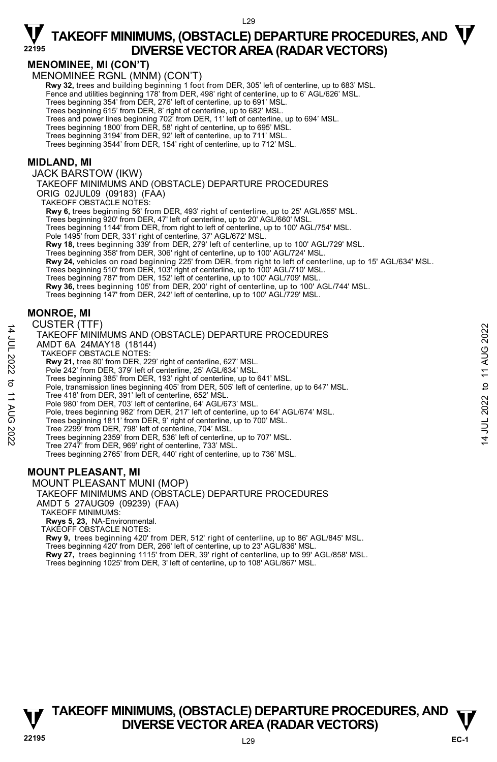### **MENOMINEE, MI (CON'T)**

MENOMINEE RGNL (MNM) (CON'T)

**Rwy 32,** trees and building beginning 1 foot from DER, 305' left of centerline, up to 683' MSL. Fence and utilities beginning 178' from DER, 498' right of centerline, up to 6' AGL/626' MSL.

Trees beginning 354' from DER, 276' left of centerline, up to 691' MSL.

Trees beginning 615' from DER, 8' right of centerline, up to 682' MSL. Trees and power lines beginning 702' from DER, 11' left of centerline, up to 694' MSL.

Trees beginning 1800' from DER, 58' right of centerline, up to 695' MSL. Trees beginning 3194' from DER, 92' left of centerline, up to 711' MSL.

Trees beginning 3544' from DER, 154' right of centerline, up to 712' MSL.

#### **MIDLAND, MI**

JACK BARSTOW (IKW)

TAKEOFF MINIMUMS AND (OBSTACLE) DEPARTURE PROCEDURES

ORIG 02JUL09 (09183) (FAA) TAKEOFF OBSTACLE NOTES:

**Rwy 6,** trees beginning 56' from DER, 493' right of centerline, up to 25' AGL/655' MSL.

Trees beginning 920' from DER, 47' left of centerline, up to 20' AGL/660' MSL.

Trees beginning 1144' from DER, from right to left of centerline, up to 100' AGL/754' MSL.

Pole 1495' from DER, 331' right of centerline, 37' AGL/672' MSL.

**Rwy 18,** trees beginning 339' from DER, 279' left of centerline, up to 100' AGL/729' MSL.

Trees beginning 358' from DER, 306' right of centerline, up to 100' AGL/724' MSL.

**Rwy 24,** vehicles on road beginning 225' from DER, from right to left of centerline, up to 15' AGL/634' MSL.<br>Trees beginning 510' from DER, 103' right of centerline, up to 100' AGL/710' MSL.<br>Trees beginning 787' from DER,

**Rwy 36,** trees beginning 105' from DER, 200' right of centerline, up to 100' AGL/744' MSL.

Trees beginning 147' from DER, 242' left of centerline, up to 100' AGL/729' MSL.

#### **MONROE, MI**

14 JUL 2022 to 11 AUG 2022

 $\vec{\sigma}$ **11 AUG** 

:2022

14 JUL 2022

CUSTER (TTF)

TAKEOFF MINIMUMS AND (OBSTACLE) DEPARTURE PROCEDURES AMDT 6A 24MAY18 (18144) TAKEOFF OBSTACLE NOTES: **Rwy 21,** tree 80' from DER, 229' right of centerline, 627' MSL. Pole 242' from DER, 379' left of centerline, 25' AGL/634' MSL. Trees beginning 385' from DER, 193' right of centerline, up to 641' MSL. Pole, transmission lines beginning 405' from DER, 505' left of centerline, up to 647' MSL. Tree 418' from DER, 391' left of centerline, 652' MSL. Pole 980' from DER, 703' left of centerline, 64' AGL/673' MSL. Pole, trees beginning 982' from DER, 217' left of centerline, up to 64' AGL/674' MSL. Trees beginning 1811' from DER, 9' right of centerline, up to 700' MSL. Tree 2299' from DER, 798' left of centerline, 704' MSL. Trees beginning 2359' from DER, 536' left of centerline, up to 707' MSL. Tree 2747' from DER, 969' right of centerline, 733' MSL. Trees beginning 2765' from DER, 440' right of centerline, up to 736' MSL.

### **MOUNT PLEASANT, MI**

MOUNT PLEASANT MUNI (MOP)

#### TAKEOFF MINIMUMS AND (OBSTACLE) DEPARTURE PROCEDURES AMDT 5 27AUG09 (09239) (FAA)

TAKEOFF MINIMUMS:

**Rwys 5, 23,** NA-Environmental. TAKEOFF OBSTACLE NOTES:

**Rwy 9,** trees beginning 420' from DER, 512' right of centerline, up to 86' AGL/845' MSL. Trees beginning 420' from DER, 266' left of centerline, up to 23' AGL/836' MSL.<br>**Rwy 27,** trees beginning 1115' from DER, 39' right of centerline, up to 99' AGL/858' MSL. Trees beginning 1025' from DER, 3' left of centerline, up to 108' AGL/867' MSL.

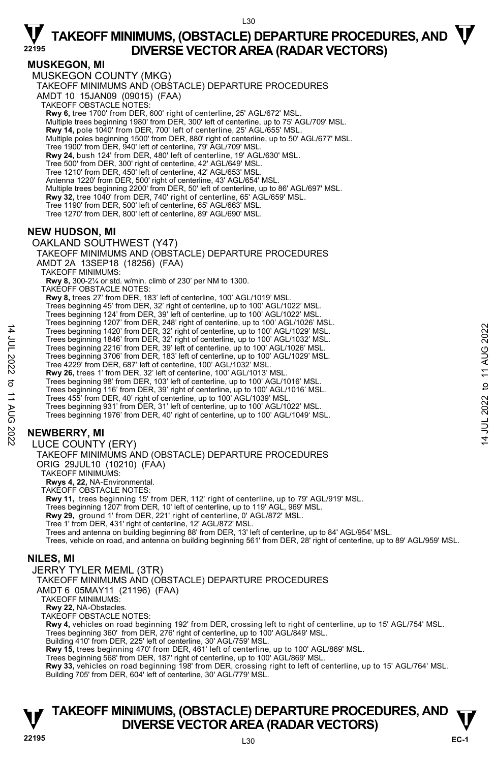L30

### **MUSKEGON, MI**

MUSKEGON COUNTY (MKG) TAKEOFF MINIMUMS AND (OBSTACLE) DEPARTURE PROCEDURES AMDT 10 15JAN09 (09015) (FAA) TAKEOFF OBSTACLE NOTES: **Rwy 6,** tree 1700' from DER, 600' right of centerline, 25' AGL/672' MSL. Multiple trees beginning 1980' from DER, 300' left of centerline, up to 75' AGL/709' MSL. **Rwy 14,** pole 1040' from DER, 700' left of centerline, 25' AGL/655' MSL. Multiple poles beginning 1500' from DER, 880' right of centerline, up to 50' AGL/677' MSL. Tree 1900' from DER, 940' left of centerline, 79' AGL/709' MSL. **Rwy 24,** bush 124' from DER, 480' left of centerline, 19' AGL/630' MSL. Tree 500' from DER, 300' right of centerline, 42' AGL/649' MSL. Tree 1210' from DER, 450' left of centerline, 42' AGL/653' MSL. Antenna 1220' from DER, 500' right of centerline, 43' AGL/654' MSL. Multiple trees beginning 2200' from DER, 50' left of centerline, up to 86' AGL/697' MSL. **Rwy 32,** tree 1040' from DER, 740' right of centerline, 65' AGL/659' MSL. Tree 1190' from DER, 500' left of centerline, 65' AGL/663' MSL. Tree 1270' from DER, 800' left of centerline, 89' AGL/690' MSL. **NEW HUDSON, MI**  OAKLAND SOUTHWEST (Y47) TAKEOFF MINIMUMS AND (OBSTACLE) DEPARTURE PROCEDURES AMDT 2A 13SEP18 (18256) (FAA) TAKEOFF MINIMUMS: **Rwy 8,** 300-2¼ or std. w/min. climb of 230' per NM to 1300. TAKEOFF OBSTACLE NOTES: **Rwy 8,** trees 27' from DER, 183' left of centerline, 100' AGL/1019' MSL. Trees beginning 45' from DER, 32' right of centerline, up to 100' AGL/1022' MSL. Trees beginning 124' from DER, 39' left of centerline, up to 100' AGL/1022' MSL. Trees beginning 1207' from DER, 248' right of centerline, up to 100' AGL/1026' MSL. Trees beginning 1420' from DER, 32' right of centerline, up to 100' AGL/1029' MSL. Trees beginning 1846' from DER, 32' right of centerline, up to 100' AGL/1032' MSL. Trees beginning 2216' from DER, 39' left of centerline, up to 100' AGL/1026' MSL. Trees beginning 3706' from DER, 183' left of centerline, up to 100' AGL/1029' MSL. Tree 4229' from DER, 687' left of centerline, 100' AGL/1032' MSL. **Rwy 26,** trees 1' from DER, 32' left of centerline, 100' AGL/1013' MSL. Trees beginning 98' from DER, 103' left of centerline, up to 100' AGL/1016' MSL. Trees beginning 116' from DER, 39' right of centerline, up to 100' AGL/1016' MSL. Trees 455' from DER, 40' right of centerline, up to 100' AGL/1039' MSL. Trees beginning 931' from DER, 31' left of centerline, up to 100' AGL/1022' MSL. Trees beginning 1976' from DER, 40' right of centerline, up to 100' AGL/1049' MSL. **NEWBERRY, MI**  LUCE COUNTY (ERY) TAKEOFF MINIMUMS AND (OBSTACLE) DEPARTURE PROCEDURES ORIG 29JUL10 (10210) (FAA) TAKEOFF MINIMUMS: **Rwys 4, 22,** NA-Environmental. TAKEOFF OBSTACLE NOTES: **Rwy 11,** trees beginning 15' from DER, 112' right of centerline, up to 79' AGL/919' MSL. Trees beginning 1207' from DER, 10' left of centerline, up to 119' AGL, 969' MSL. **Rwy 29,** ground 1' from DER, 221' right of centerline, 0' AGL/872' MSL. Tree 1' from DER, 431' right of centerline, 12' AGL/872' MSL. Trees and antenna on building beginning 88' from DER, 13' left of centerline, up to 84' AGL/954' MSL. Trees, vehicle on road, and antenna on building beginning 561' from DER, 28' right of centerline, up to 89' AGL/959' MSL.

### **NILES, MI**

14 JUL 2022 to 11 AUG 2022

:2022

 $\vec{\sigma}$ **11 AUG** 

14 JUL 2022

JERRY TYLER MEML (3TR)

TAKEOFF MINIMUMS AND (OBSTACLE) DEPARTURE PROCEDURES

AMDT 6 05MAY11 (21196) (FAA)

TAKEOFF MINIMUMS:

**Rwy 22,** NA-Obstacles.

TAKEOFF OBSTACLE NOTES:

**Rwy 4,** vehicles on road beginning 192' from DER, crossing left to right of centerline, up to 15' AGL/754' MSL.

Trees beginning 360' from DER, 276' right of centerline, up to 100' AGL/849' MSL.

Building 410' from DER, 225' left of centerline, 30' AGL/759' MSL.

**Rwy 15,** trees beginning 470' from DER, 461' left of centerline, up to 100' AGL/869' MSL.

Trees beginning 568' from DER, 187' right of centerline, up to 100' AGL/869' MSL.<br>**Rwy 33,** vehicles on road beginning 198' from DER, crossing right to left of centerline, up to 15' AGL/764' MSL. Building 705' from DER, 604' left of centerline, 30' AGL/779' MSL.

### **TAKEOFF MINIMUMS, (OBSTACLE) DEPARTURE PROCEDURES, AND**  $\mathbf{\nabla}$ **DIVERSE VECTOR AREA (RADAR VECTORS)**

 $\vec{z}$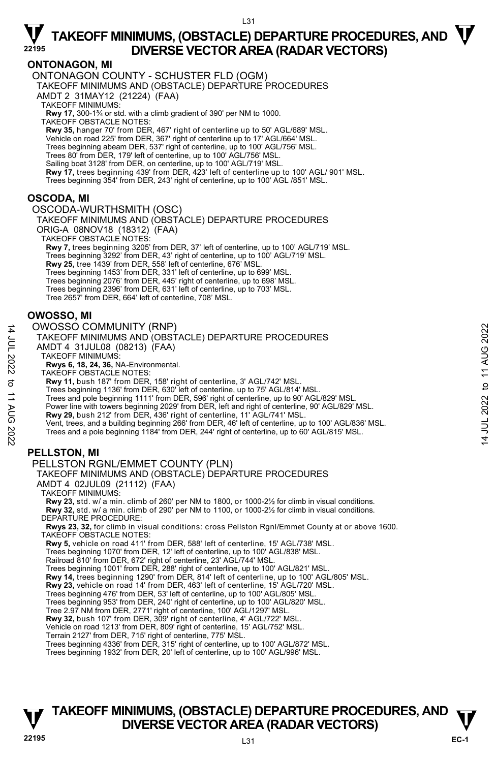L31

### **ONTONAGON, MI**

ONTONAGON COUNTY - SCHUSTER FLD (OGM) TAKEOFF MINIMUMS AND (OBSTACLE) DEPARTURE PROCEDURES AMDT 2 31MAY12 (21224) (FAA) TAKEOFF MINIMUMS: **Rwy 17,** 300-1¾ or std. with a climb gradient of 390' per NM to 1000.<br>TAKEOFF OBSTACLE NOTES: **Rwy 35,** hanger 70' from DER, 467' right of centerline up to 50' AGL/689' MSL. Vehicle on road 225' from DER, 367' right of centerline up to 17' AGL/664' MSL. Trees beginning abeam DER, 537' right of centerline, up to 100' AGL/756' MSL. Trees 80' from DER, 179' left of centerline, up to 100' AGL/756' MSL. Sailing boat 3128' from DER, on centerline, up to 100' AGL/719' MSL. **Rwy 17,** trees beginning 439' from DER, 423' left of centerline up to 100' AGL/ 901' MSL.<br>Trees beginning 354' from DER, 243' right of centerline, up to 100' AGL /851' MSL.

### **OSCODA, MI**

OSCODA-WURTHSMITH (OSC)

TAKEOFF MINIMUMS AND (OBSTACLE) DEPARTURE PROCEDURES ORIG-A 08NOV18 (18312) (FAA)

TAKEOFF OBSTACLE NOTES:

**Rwy 7,** trees beginning 3205' from DER, 37' left of centerline, up to 100' AGL/719' MSL. Trees beginning 3292' from DER, 43' right of centerline, up to 100' AGL/719' MSL.<br>**Rwy 25,** tree 1439' from DER, 558' left of centerline, 676' MSL. Trees beginning 1453' from DER, 331' left of centerline, up to 699' MSL. Trees beginning 2076' from DER, 445' right of centerline, up to 698' MSL. Trees beginning 2396' from DER, 631' left of centerline, up to 703' MSL. Tree 2657' from DER, 664' left of centerline, 708' MSL.

### **OWOSSO, MI**

#### OWOSSO COMMUNITY (RNP)

14 JUL 2022 to 11 AUG 2022

to 11 AUG 2022

14 JUL 2022

AMDT 4 31JUL08 (08213) (FAA) TAKEOFF MINIMUMS: **Rwys 6, 18, 24, 36,** NA-Environmental. TAKEOFF OBSTACLE NOTES: **Rwy 11,** bush 187' from DER, 158' right of centerline, 3' AGL/742' MSL. Trees beginning 1136' from DER, 630' left of centerline, up to 75' AGL/814' MSL. Trees and pole beginning 1111' from DER, 596' right of centerline, up to 90' AGL/829' MSL. Power line with towers beginning 2029' from DER, left and right of centerline, 90' AGL/829' MSL. **Rwy 29,** bush 212' from DER, 436' right of centerline, 11' AGL/741' MSL. Vent, trees, and a building beginning 266' from DER, 46' left of centerline, up to 100' AGL/836' MSL.

Trees and a pole beginning 1184' from DER, 244' right of centerline, up to 60' AGL/815' MSL.

### **PELLSTON, MI**

#### PELLSTON RGNL/EMMET COUNTY (PLN)

TAKEOFF MINIMUMS AND (OBSTACLE) DEPARTURE PROCEDURES

AMDT 4 02JUL09 (21112) (FAA)

TAKEOFF MINIMUMS:

**Rwy 23,** std. w/ a min. climb of 260' per NM to 1800, or 1000-2½ for climb in visual conditions. **Rwy 32,** std. w/ a min. climb of 290' per NM to 1100, or 1000-2½ for climb in visual conditions. DEPARTURE PROCEDURE:

**Rwys 23, 32,** for climb in visual conditions: cross Pellston Rgnl/Emmet County at or above 1600. TAKEOFF OBSTACLE NOTES:

**Rwy 5,** vehicle on road 411' from DER, 588' left of centerline, 15' AGL/738' MSL.

Trees beginning 1070' from DER, 12' left of centerline, up to 100' AGL/838' MSL.

Railroad 810' from DER, 672' right of centerline, 23' AGL/744' MSL.

Trees beginning 1001' from DER, 288' right of centerline, up to 100' AGL/821' MSL.<br>**Rwy 14,** trees beginning 1290' from DER, 814' left of centerline, up to 100' AGL/805' MSL.

**Rwy 23,** vehicle on road 14' from DER, 463' left of centerline, 15' AGL/720' MSL.

Trees beginning 476' from DER, 53' left of centerline, up to 100' AGL/805' MSL.

Trees beginning 953' from DER, 240' right of centerline, up to 100' AGL/820' MSL.

Tree 2.97 NM from DER, 2771' right of centerline, 100' AGL/1297' MSL.

**Rwy 32,** bush 107' from DER, 309' right of centerline, 4' AGL/722' MSL.

Vehicle on road 1213' from DER, 809' right of centerline, 15' AGL/752' MSL.

Terrain 2127' from DER, 715' right of centerline, 775' MSL.

Trees beginning 4336' from DER, 315' right of centerline, up to 100' AGL/872' MSL.

Trees beginning 1932' from DER, 20' left of centerline, up to 100' AGL/996' MSL.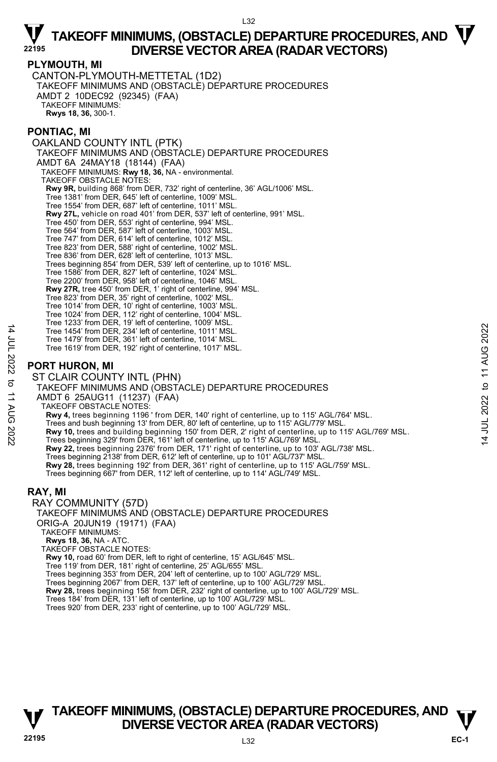#### **PLYMOUTH, MI**

CANTON-PLYMOUTH-METTETAL (1D2) TAKEOFF MINIMUMS AND (OBSTACLE) DEPARTURE PROCEDURES AMDT 2 10DEC92 (92345) (FAA) TAKEOFF MINIMUMS: **Rwys 18, 36,** 300-1.

### **PONTIAC, MI**

OAKLAND COUNTY INTL (PTK) TAKEOFF MINIMUMS AND (ÒBSTÁCLE) DEPARTURE PROCEDURES AMDT 6A 24MAY18 (18144) (FAA) TAKEOFF MINIMUMS: **Rwy 18, 36,** NA - environmental. TAKEOFF OBSTACLE NOTES: **Rwy 9R,** building 868' from DER, 732' right of centerline, 36' AGL/1006' MSL. Tree 1381' from DER, 645' left of centerline, 1009' MSL. Tree 1554' from DER, 687' left of centerline, 1011' MSL. **Rwy 27L,** vehicle on road 401' from DER, 537' left of centerline, 991' MSL. Tree 450' from DER, 553' right of centerline, 994' MSL. Tree 564' from DER, 587' left of centerline, 1003' MSL. Tree 747' from DER, 614' left of centerline, 1012' MSL. Tree 823' from DER, 588' right of centerline, 1002' MSL. Tree 836' from DER, 628' left of centerline, 1013' MSL. Trees beginning 854' from DER, 539' left of centerline, up to 1016' MSL. Tree 1586' from DER, 827' left of centerline, 1024' MSL. Tree 2200' from DER, 958' left of centerline, 1046' MSL. **Rwy 27R,** tree 450' from DER, 1' right of centerline, 994' MSL. Tree 823' from DER, 35' right of centerline, 1002' MSL. Tree 1014' from DER, 10' right of centerline, 1003' MSL. Tree 1024' from DER, 112' right of centerline, 1004' MSL. Tree 1233' from DER, 19' left of centerline, 1009' MSL. Tree 1454' from DER, 234' left of centerline, 1011' MSL. Tree 1479' from DER, 361' left of centerline, 1014' MSL. Tree 1619' from DER, 192' right of centerline, 1017' MSL. **PORT HURON, MI**  ST CLAIR COUNTY INTL (PHN) TAKEOFF MINIMUMS AND (OBSTACLE) DEPARTURE PROCEDURES AMDT 6 25AUG11 (11237) (FAA)

TAKEOFF OBSTACLE NOTES:

**Rwy 4,** trees beginning 1196 ' from DER, 140' right of centerline, up to 115' AGL/764' MSL.

Trees and bush beginning 13' from DER, 80' left of centerline, up to 115' AGL/779' MSL.

**Rwy 10,** trees and building beginning 150' from DER, 2' right of centerline, up to 115' AGL/769' MSL.<br>Trees beginning 329' from DER, 161' left of centerline, up to 115' AGL/769' MSL.

**Rwy 22,** trees beginning 2376' from DER, 171' right of centerline, up to 103' AGL/738' MSL.

- Trees beginning 2138' from DER, 612' left of centerline, up to 101' AGL/737' MSL.<br>**Rwy 28,** trees beginning 192' from DER, 361' right of centerline, up to 115' AGL/759' MSL.
- Trees beginning 667' from DER, 112' left of centerline, up to 114' AGL/749' MSL.

### **RAY, MI**

14 JUL 2022 to 11 AUG 2022

 $\vec{\sigma}$ **11 AUG** 

:2022

14 JUL 2022

RAY COMMUNITY (57D) TAKEOFF MINIMUMS AND (OBSTACLE) DEPARTURE PROCEDURES ORIG-A 20JUN19 (19171) (FAA)

TAKEOFF MINIMUMS:

**Rwys 18, 36,** NA - ATC. TAKEOFF OBSTACLE NOTES:

**Rwy 10,** road 60' from DER, left to right of centerline, 15' AGL/645' MSL.

- Tree 119' from DER, 181' right of centerline, 25' AGL/655' MSL.
- Trees beginning 353' from DER, 204' left of centerline, up to 100' AGL/729' MSL.

Trees beginning 2067' from DER, 137' left of centerline, up to 100' AGL/729' MSL.

**Rwy 28,** trees beginning 158' from DER, 232' right of centerline, up to 100' AGL/729' MSL.<br>Trees 184' from DER, 131' left of centerline, up to 100' AGL/729' MSL.<br>Trees 920' from DER, 233' right of centerline, up to 100' A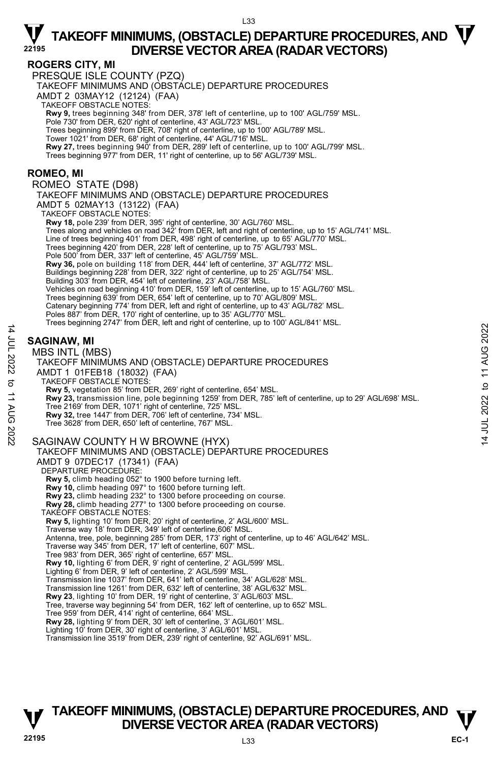### **ROGERS CITY, MI**

PRESQUE ISLE COUNTY (PZQ)

TAKEOFF MINIMUMS AND (OBSTACLE) DEPARTURE PROCEDURES

AMDT 2 03MAY12 (12124) (FAA)

TAKEOFF OBSTACLE NOTES:

**Rwy 9,** trees beginning 348' from DER, 378' left of centerline, up to 100' AGL/759' MSL.<br>Pole 730' from DER, 620' right of centerline, 43' AGL/723' MSL.

Trees beginning 899' from DER, 708' right of centerline, up to 100' AGL/789' MSL.

Tower 1021' from DER, 68' right of centerline, 44' AGL/716' MSL.

**Rwy 27,** trees beginning 940' from DER, 289' left of centerline, up to 100' AGL/799' MSL.<br>Trees beginning 977' from DER, 11' right of centerline, up to 56' AGL/739' MSL.

### **ROMEO, MI**

ROMEO STATE (D98)

TAKEOFF MINIMUMS AND (OBSTACLE) DEPARTURE PROCEDURES AMDT 5 02MAY13 (13122) (FAA) TAKEOFF OBSTACLE NOTES: **Rwy 18,** pole 239' from DER, 395' right of centerline, 30' AGL/760' MSL. Trees along and vehicles on road 342' from DER, left and right of centerline, up to 15' AGL/741' MSL. Line of trees beginning 401' from DER, 498' right of centerline, up to 65' AGL/770' MSL. Trees beginning 420' from DER, 228' left of centerline, up to 75' AGL/793' MSL. Pole 500' from DER, 337' left of centerline, 45' AGL/759' MSL.<br>**Rwy 36,** pole on building 118' from DER, 444' left of centerline, 37' AGL/772' MSL. Buildings beginning 228' from DER, 322' right of centerline, up to 25' AGL/754' MSL. Building 303' from DER, 454' left of centerline, 23' AGL/758' MSL. Vehicles on road beginning 410' from DER, 159' left of centerline, up to 15' AGL/760' MSL.<br>Trees beginning 639' from DER, 654' left of centerline, up to 70' AGL/809' MSL. Catenary beginning 774' from DER, left and right of centerline, up to 43' AGL/782' MSL. Poles 887' from DER, 170' right of centerline, up to 35' AGL/770' MSL.<br>Trees beginning 2747' from DER, left and right of centerline, up to 100' AGL/841' MSL.

### **SAGINAW, MI**

14 JUL 2022 to 11 AUG 2022

:2022

 $\sigma$ **11 AUG** 

14 JUL 2022

#### MBS INTL (MBS)

TAKEOFF MINIMUMS AND (OBSTACLE) DEPARTURE PROCEDURES AMDT 1 01FEB18 (18032) (FAA) TAKEOFF OBSTACLE NOTES: **Rwy 5,** vegetation 85' from DER, 269' right of centerline, 654' MSL. **Rwy 23,** transmission line, pole beginning 1259' from DER, 785' left of centerline, up to 29' AGL/698' MSL.<br>Tree 2169' from DER, 1071' right of centerline, 725' MSL. **Rwy 32,** tree 1447' from DER, 706' left of centerline, 734' MSL. Tree 3628' from DER, 650' left of centerline, 767' MSL. SAGINAW COUNTY H W BROWNE (HYX) TAKEOFF MINIMUMS AND (OBSTACLE) DEPARTURE PROCEDURES AMDT 9 07DEC17 (17341) (FAA) DEPARTURE PROCEDURE: **Rwy 5,** climb heading 052° to 1900 before turning left. **Rwy 10,** climb heading 097° to 1600 before turning left. **Rwy 23,** climb heading 232° to 1300 before proceeding on course. **Rwy 28,** climb heading 277° to 1300 before proceeding on course. TAKEOFF OBSTACLE NOTES: **Rwy 5,** lighting 10' from DER, 20' right of centerline, 2' AGL/600' MSL. Traverse way 18' from DER, 349' left of centerline,606' MSL. Antenna, tree, pole, beginning 285' from DER, 173' right of centerline, up to 46' AGL/642' MSL. Traverse way 345' from DER, 17' left of centerline, 607' MSL. Tree 983' from DER, 365' right of centerline, 657' MSL. **Rwy 10,** lighting 6' from DER, 9' right of centerline, 2' AGL/599' MSL. Lighting 6' from DER, 9' left of centerline, 2' AGL/599' MSL. Transmission line 1037' from DER, 641' left of centerline, 34' AGL/628' MSL. Transmission line 1261' from DER, 632' left of centerline, 38' AGL/632' MSL. **Rwy 23**, lighting 10' from DER, 19' right of centerline, 3' AGL/603' MSL. Tree, traverse way beginning 54' from DER, 162' left of centerline, up to 652' MSL. Tree 959' from DER, 414' right of centerline, 664' MSL. **Rwy 28,** lighting 9' from DER, 30' left of centerline, 3' AGL/601' MSL. Lighting 10' from DER, 30' right of centerline, 3' AGL/601' MSL. Transmission line 3519' from DER, 239' right of centerline, 92' AGL/691' MSL.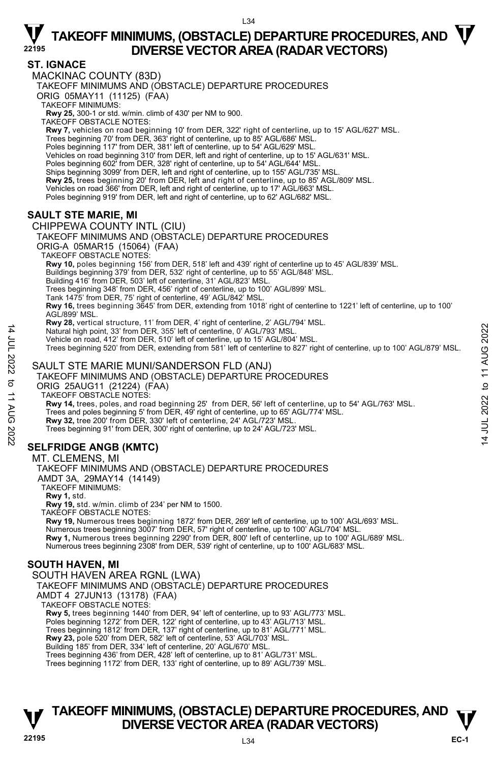### **ST. IGNACE**

MACKINAC COUNTY (83D) TAKEOFF MINIMUMS AND (OBSTACLE) DEPARTURE PROCEDURES ORIG 05MAY11 (11125) (FAA) TAKEOFF MINIMUMS: **Rwy 25,** 300-1 or std. w/min. climb of 430' per NM to 900. TAKEOFF OBSTACLE NOTES: **Rwy 7,** vehicles on road beginning 10' from DER, 322' right of centerline, up to 15' AGL/627' MSL. Trees beginning 70' from DER, 363' right of centerline, up to 85' AGL/686' MSL. Poles beginning 117' from DER, 381' left of centerline, up to 54' AGL/629' MSL.<br>Vehicles on road beginning 310' from DER, left and right of centerline, up to 15' AGL/631' MSL. Poles beginning 602' from DER, 328' right of centerline, up to 54' AGL/644' MSL. Ships beginning 3099' from DER, left and right of centerline, up to 155' AGL/735' MSL. **Rwy 25,** trees beginning 20' from DER, left and right of centerline, up to 85' AGL/809' MSL. Vehicles on road 366' from DER, left and right of centerline, up to 17' AGL/663' MSL. Poles beginning 919' from DER, left and right of centerline, up to 62' AGL/682' MSL. **SAULT STE MARIE, MI**  CHIPPEWA COUNTY INTL (CIU) TAKEOFF MINIMUMS AND (OBSTACLE) DEPARTURE PROCEDURES ORIG-A 05MAR15 (15064) (FAA) TAKEOFF OBSTACLE NOTES: **Rwy 10,** poles beginning 156' from DER, 518' left and 439' right of centerline up to 45' AGL/839' MSL. Buildings beginning 379' from DER, 532' right of centerline, up to 55' AGL/848' MSL. Building 416' from DER, 503' left of centerline, 31' AGL/823' MSL. Trees beginning 348' from DER, 456' right of centerline, up to 100' AGL/899' MSL. Tank 1475' from DER, 75' right of centerline, 49' AGL/842' MSL. **Rwy 16,** trees beginning 3645' from DER, extending from 1018' right of centerline to 1221' left of centerline, up to 100' AGL/899' MSL.

**Rwy 28,** vertical structure, 11' from DER, 4' right of centerline, 2' AGL/794' MSL.

Natural high point, 33' from DER, 355' left of centerline, 0' AGL/793' MSL.

Vehicle on road, 412' from DER, 510' left of centerline, up to 15' AGL/804' MSL. Trees beginning 520' from DER, extending from 581' left of centerline to 827' right of centerline, up to 100' AGL/879' MSL.

### SAULT STE MARIE MUNI/SANDERSON FLD (ANJ)

TAKEOFF MINIMUMS AND (OBSTACLE) DEPARTURE PROCEDURES

ORIG 25AUG11 (21224) (FAA)

TAKEOFF OBSTACLE NOTES:

**Rwy 14,** trees, poles, and road beginning 25' from DER, 56' left of centerline, up to 54' AGL/763' MSL. <br>Trees and poles beginning 5' from DER, 49' right of centerline, up to 65' AGL/774' MSL.

**Rwy 32,** tree 200' from DER, 330' left of centerline, 24' AGL/723' MSL.

Trees beginning 91' from DER, 300' right of centerline, up to 24' AGL/723' MSL.

### **SELFRIDGE ANGB (KMTC)**

#### MT. CLEMENS, MI

TAKEOFF MINIMUMS AND (OBSTACLE) DEPARTURE PROCEDURES

AMDT 3A, 29MAY14 (14149)

TAKEOFF MINIMUMS:

**Rwy 1,** std.

14 JUL 2022 to 11 AUG 2022

:2022

 $\vec{\sigma}$ **11 AUG** 

14 JUL 2022

**Rwy 19,** std. w/min. climb of 234' per NM to 1500.

TAKEOFF OBSTACLE NOTES:

**Rwy 19,** Numerous trees beginning 1872' from DER, 269' left of centerline, up to 100' AGL/693' MSL. Numerous trees beginning 3007' from DER, 57' right of centerline, up to 100' AGL/704' MSL. **Rwy 1,** Numerous trees beginning 2290' from DER, 800' left of centerline, up to 100' AGL/689' MSL. Numerous trees beginning 2308' from DER, 539' right of centerline, up to 100' AGL/683' MSL.

### **SOUTH HAVEN, MI**

### SOUTH HAVEN AREA RGNL (LWA)

TAKEOFF MINIMUMS AND (OBSTACLE) DEPARTURE PROCEDURES

AMDT 4 27JUN13 (13178) (FAA)

TAKEOFF OBSTACLE NOTES:

**Rwy 5,** trees beginning 1440' from DER, 94' left of centerline, up to 93' AGL/773' MSL.

Poles beginning 1272' from DER, 122' right of centerline, up to 43' AGL/713' MSL.

Trees beginning 1812' from DER, 137' right of centerline, up to 81' AGL/771' MSL.<br>**Rwy 23,** pole 520' from DER, 582' left of centerline, 53' AGL/703' MSL.

Building 185' from DER, 334' left of centerline, 20' AGL/670' MSL.

Trees beginning 436' from DER, 428' left of centerline, up to 81' AGL/731' MSL.

Trees beginning 1172' from DER, 133' right of centerline, up to 89' AGL/739' MSL.

### **TAKEOFF MINIMUMS, (OBSTACLE) DEPARTURE PROCEDURES, AND**  $\mathbf{\nabla}$ **DIVERSE VECTOR AREA (RADAR VECTORS)**

 $\vec{z}$ 

14 JUL 2022 to 11 AUG 2022

JUL 2022 to 11 AUG 2022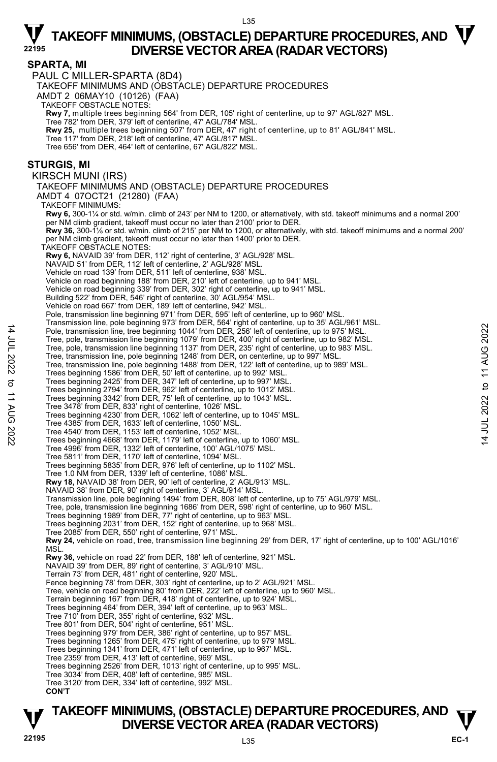#### L35

## $\nabla$  TAKEOFF MINIMUMS, (OBSTACLE) DEPARTURE PROCEDURES, AND  $\nabla$ **DIVERSE VECTOR AREA (RADAR VECTORS) <sup>22195</sup>**

#### **SPARTA, MI**

PAUL C MILLER-SPARTA (8D4)

TAKEOFF MINIMUMS AND (OBSTACLE) DEPARTURE PROCEDURES

AMDT 2 06MAY10 (10126) (FAA)

TAKEOFF OBSTACLE NOTES:

**Rwy 7,** multiple trees beginning 564' from DER, 105' right of centerline, up to 97' AGL/827' MSL.<br>Tree 782' from DER, 379' left of centerline, 47' AGL/784' MSL.

**Rwy 25,** multiple trees beginning 507' from DER, 47' right of centerline, up to 81' AGL/841' MSL.

Tree 117' from DER, 218' left of centerline, 47' AGL/817' MSL.

Tree 656' from DER, 464' left of centerline, 67' AGL/822' MSL.

#### **STURGIS, MI**

14 JUL 2022 to 11 AUG 2022

to 11 AUG

:2022

14 JUL 2022

KIRSCH MUNI (IRS)

TAKEOFF MINIMUMS AND (OBSTACLE) DEPARTURE PROCEDURES

AMDT 4 07OCT21 (21280) (FAA)

TAKEOFF MINIMUMS: **Rwy 6,** 300-1¼ or std. w/min. climb of 243' per NM to 1200, or alternatively, with std. takeoff minimums and a normal 200' er NM climb gradient, takeoff must occur no later than 2100' prior to DER.  **Rwy 36,** 300-1ǩ or std. w/min. climb of 215' per NM to 1200, or alternatively, with std. takeoff minimums and a normal 200' per NM climb gradient, takeoff must occur no later than 1400' prior to DER. TAKEOFF OBSTACLE NOTES: **Rwy 6,** NAVAID 39' from DER, 112' right of centerline, 3' AGL/928' MSL. NAVAID 51' from DER, 112' left of centerline, 2' AGL/928' MSL. Vehicle on road 139' from DER, 511' left of centerline, 938' MSL. Vehicle on road beginning 188' from DER, 210' left of centerline, up to 941' MSL. Vehicle on road beginning 339' from DER, 302' right of centerline, up to 941' MSL. Building 522' from DER, 546' right of centerline, 30' AGL/954' MSL. Vehicle on road 667' from DER, 189' left of centerline, 942' MSL. Pole, transmission line beginning 971' from DER, 595' left of centerline, up to 960' MSL. Transmission line, pole beginning 973' from DER, 564' right of centerline, up to 35' AGL/961' MSL. Pole, transmission line, tree beginning 1044' from DER, 256' left of centerline, up to 975' MSL. Tree, pole, transmission line beginning 1079' from DER, 400' right of centerline, up to 982' MSL. Tree, pole, transmission line beginning 1137' from DER, 235' right of centerline, up to 983' MSL. Tree, transmission line, pole beginning 1248' from DER, on centerline, up to 997' MSL. Tree, transmission line, pole beginning 1488' from DER, 122' left of centerline, up to 989' MSL. Trees beginning 1586' from DER, 50' left of centerline, up to 992' MSL.<br>Trees beginning 2425' from DER, 347' left of centerline, up to 997' MSL.<br>Trees beginning 2794' from DER, 962' left of centerline, up to 1012' MSL. Trees beginning 3342' from DER, 75' left of centerline, up to 1043' MSL. Tree 3478' from DER, 833' right of centerline, 1026' MSL. Trees beginning 4230' from DER, 1062' left of centerline, up to 1045' MSL. Tree 4385' from DER, 1633' left of centerline, 1050' MSL. Tree 4540' from DER, 1153' left of centerline, 1052' MSL. Trees beginning 4668' from DER, 1179' left of centerline, up to 1060' MSL. Tree 4996' from DER, 1332' left of centerline, 100' AGL/1075' MSL. Tree 5811' from DER, 1170' left of centerline, 1094' MSL. Trees beginning 5835' from DER, 976' left of centerline, up to 1102' MSL. Tree 1.0 NM from DER, 1339' left of centerline, 1086' MSL. **Rwy 18,** NAVAID 38' from DER, 90' left of centerline, 2' AGL/913' MSL. NAVAID 38' from DER, 90' right of centerline, 3' AGL/914' MSL. Transmission line, pole beginning 1494' from DER, 808' left of centerline, up to 75' AGL/979' MSL. Tree, pole, transmission line beginning 1686' from DER, 598' right of centerline, up to 960' MSL. Trees beginning 1989' from DER, 77' right of centerline, up to 963' MSL. Trees beginning 2031' from DER, 152' right of centerline, up to 968' MSL. Tree 2085' from DER, 550' right of centerline, 971' MSL. **Rwy 24,** vehicle on road, tree, transmission line beginning 29' from DER, 17' right of centerline, up to 100' AGL/1016'<br>MSL. **Rwy 36,** vehicle on road 22' from DER, 188' left of centerline, 921' MSL. NAVAID 39' from DER, 89' right of centerline, 3' AGL/910' MSL. Terrain 73' from DER, 481' right of centerline, 920' MSL. Fence beginning 78' from DER, 303' right of centerline, up to 2' AGL/921' MSL. Tree, vehicle on road beginning 80' from DER, 222' left of centerline, up to 960' MSL. Terrain beginning 167' from DER, 418' right of centerline, up to 924' MSL. Trees beginning 464' from DER, 394' left of centerline, up to 963' MSL. Tree 710' from DER, 355' right of centerline, 932' MSL. Tree 801' from DER, 504' right of centerline, 951' MSL. Trees beginning 979' from DER, 386' right of centerline, up to 957' MSL. Trees beginning 1265' from DER, 475' right of centerline, up to 979' MSL. Trees beginning 1341' from DER, 471' left of centerline, up to 967' MSL. Tree 2359' from DER, 413' left of centerline, 969' MSL.

- Tree 3034' from DER, 408' left of centerline, 985' MSL.
- Tree 3120' from DER, 334' left of centerline, 992' MSL.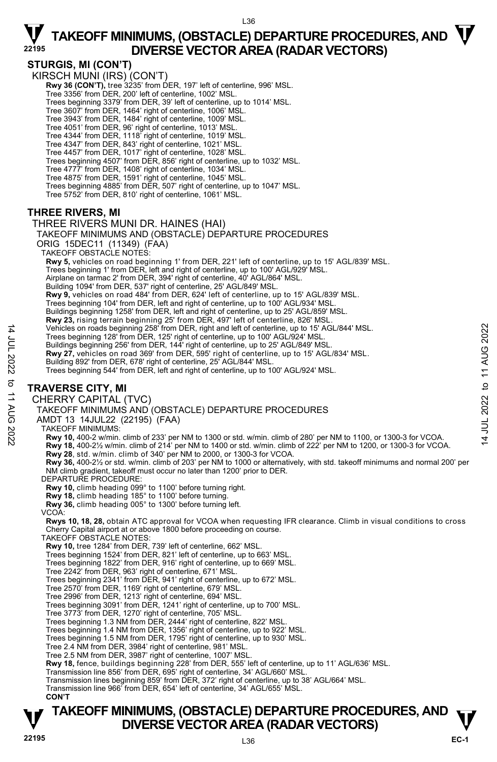### **STURGIS, MI (CON'T)**

KIRSCH MUNI (IRS) (CON'T) **Rwy 36 (CON'T),** tree 3235' from DER, 197' left of centerline, 996' MSL.<br>Tree 3356' from DER, 200' left of centerline, 1002' MSL. Trees beginning 3379' from DER, 39' left of centerline, up to 1014' MSL. Tree 3607' from DER, 1464' right of centerline, 1006' MSL. Tree 3943' from DER, 1484' right of centerline, 1009' MSL. Tree 4051' from DER, 96' right of centerline, 1013' MSL. Tree 4344' from DER, 1118' right of centerline, 1019' MSL. Tree 4347' from DER, 843' right of centerline, 1021' MSL.<br>Tree 4457' from DER, 1017' right of centerline, 1028' MSL.<br>Trees beginning 4507' from DER, 856' right of centerline, up to 1032' MSL. Tree 4777' from DER, 1408' right of centerline, 1034' MSL. Tree 4875' from DER, 1591' right of centerline, 1045' MSL. Trees beginning 4885' from DER, 507' right of centerline, up to 1047' MSL. Tree 5752' from DER, 810' right of centerline, 1061' MSL.

### **THREE RIVERS, MI**

#### THREE RIVERS MUNI DR. HAINES (HAI) TAKEOFF MINIMUMS AND (OBSTACLE) DEPARTURE PROCEDURES

ORIG 15DEC11 (11349) (FAA) TAKEOFF OBSTACLE NOTES:

 **Rwy 5,** vehicles on road beginning 1' from DER, 221' left of centerline, up to 15' AGL/839' MSL. Trees beginning 1' from DER, left and right of centerline, up to 100' AGL/929' MSL.

Airplane on tarmac 2' from DER, 394' right of centerline, 40' AGL/864' MSL.

Building 1094' from DER, 537' right of centerline, 25' AGL/849' MSL.

**Rwy 9,** vehicles on road 484' from DER, 624' left of centerline, up to 15' AGL/839' MSL.

Trees beginning 104' from DER, left and right of centerline, up to 100' AGL/934' MSL. Buildings beginning 1258' from DER, left and right of centerline, up to 25' AGL/859' MSL.

**Rwy 23,** rising terrain beginning 25' from DER, 497' left of centerline, 826' MSL.<br>Vehicles on roads beginning 258' from DER, right and left of centerline, up to 15' AGL/844' MSL.

Trees beginning 128' from DER, 125' right of centerline, up to 100' AGL/924' MSL.

- 
- Buildings beginning 256' from DER, 144' right of centerline, up to 25' AGL/849' MSL.<br>**Rwy 27,** vehicles on road 369' from DER, 595' right of centerline, up to 15' AGL/834' MSL.
- Building 892' from DER, 678' right of centerline, 25' AGL/844' MSL.
- Trees beginning 544' from DER, left and right of centerline, up to 100' AGL/924' MSL.

### **TRAVERSE CITY, MI**

14 JUL 2022 to 11 AUG 2022

 $\vec{\sigma}$ **11 AUG** 

:2022

14 JUL 2022

CHERRY CAPITAL (TVC)

TAKEOFF MINIMUMS AND (OBSTACLE) DEPARTURE PROCEDURES

AMDT 13 14JUL22 (22195) (FAA)

TAKEOFF MINIMUMS:

**Rwy 10,** 400-2 w/min. climb of 233' per NM to 1300 or std. w/min. climb of 280' per NM to 1100, or 1300-3 for VCOA.

- **Rwy 18,** 400-2½ w/min. climb of 214' per NM to 1400 or std. w/min. climb of 222' per NM to 1200, or 1300-3 for VCOA.
- **Rwy 28**, std. w/min. climb of 340' per NM to 2000, or 1300-3 for VCOA.
- **Rwy 36,** 400-2½ or std. w/min. climb of 203' per NM to 1000 or alternatively, with std. takeoff minimums and normal 200' per NM climb gradient, takeoff must occur no later than 1200' prior to DER.

DEPARTURE PROCEDURE:

- **Rwy 10,** climb heading 099° to 1100' before turning right.  **Rwy 18,** climb heading 185° to 1100' before turning.
- **Rwy 36,** climb heading 005° to 1300' before turning left.
- VCOA:

**Rwys 10, 18, 28,** obtain ATC approval for VCOA when requesting IFR clearance. Climb in visual conditions to cross Cherry Capital airport at or above 1800 before proceeding on course.

- TAKEOFF OBSTACLE NOTES:
- **Rwy 10,** tree 1284' from DER, 739' left of centerline, 662' MSL.
- Trees beginning 1524' from DER, 821' left of centerline, up to 663' MSL.
- Trees beginning 1822' from DER, 916' right of centerline, up to 669' MSL.
- Tree 2242' from DER, 963' right of centerline, 671' MSL.
- Trees beginning 2341' from DER, 941' right of centerline, up to 672' MSL.
- Tree 2570' from DER, 1169' right of centerline, 679' MSL.
- Tree 2996' from DER, 1213' right of centerline, 694' MSL.
- Trees beginning 3091' from DER, 1241' right of centerline, up to 700' MSL. Tree 3773' from DER, 1270' right of centerline, 705' MSL.
- 
- Trees beginning 1.3 NM from DER, 2444' right of centerline, 822' MSL.
- Trees beginning 1.4 NM from DER, 1356' right of centerline, up to 922' MSL. Trees beginning 1.5 NM from DER, 1795' right of centerline, up to 930' MSL.
- 
- Tree 2.4 NM from DER, 3984' right of centerline, 981' MSL. Tree 2.5 NM from DER, 3987' right of centerline, 1007' MSL.
- **Rwy 18,** fence, buildings beginning 228' from DER, 555' left of centerline, up to 11' AGL/636' MSL.
- Transmission line 856' from DER, 695' right of centerline, 34' AGL/660' MSL.
- Transmission lines beginning 859' from DER, 372' right of centerline, up to 38' AGL/664' MSL.
- Transmission line 966' from DER, 654' left of centerline, 34' AGL/655' MSL.
- **CON'T**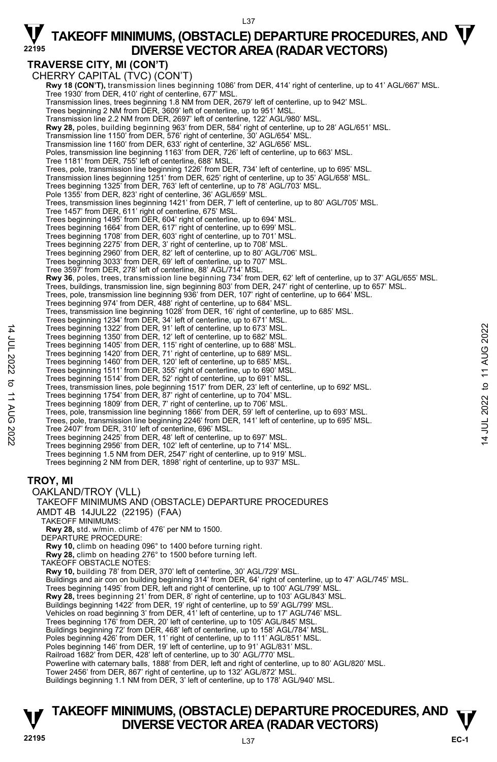L37

### **TRAVERSE CITY, MI (CON'T)**

CHERRY CAPITAL (TVC) (CON'T) **Rwy 18 (CON'T),** transmission lines beginning 1086' from DER, 414' right of centerline, up to 41' AGL/667' MSL. Tree 1930' from DER, 410' right of centerline, 677' MSL. Transmission lines, trees beginning 1.8 NM from DER, 2679' left of centerline, up to 942' MSL. Trees beginning 2 NM from DER, 3609' left of centerline, up to 951' MSL. Transmission line 2.2 NM from DER, 2697' left of centerline, 122' AGL/980' MSL. **Rwy 28,** poles, building beginning 963' from DER, 584' right of centerline, up to 28' AGL/651' MSL. Transmission line 1150' from DER, 576' right of centerline, 30' AGL/654' MSL. Transmission line 1160' from DER, 633' right of centerline, 32' AGL/656' MSL. Poles, transmission line beginning 1163' from DER, 726' left of centerline, up to 663' MSL. Tree 1181' from DER, 755' left of centerline, 688' MSL. Trees, pole, transmission line beginning 1226' from DER, 734' left of centerline, up to 695' MSL.<br>Transmission lines beginning 1251' from DER, 625' right of centerline, up to 35' AGL/658' MSL. Trees beginning 1325' from DER, 763' left of centerline, up to 78' AGL/703' MSL. Pole 1355' from DER, 823' right of centerline, 36' AGL/659' MSL. Trees, transmission lines beginning 1421' from DER, 7' left of centerline, up to 80' AGL/705' MSL. Tree 1457' from DER, 611' right of centerline, 675' MSL. Trees beginning 1495' from DER, 604' right of centerline, up to 694' MSL. Trees beginning 1664' from DER, 617' right of centerline, up to 699' MSL. Trees beginning 1708' from DER, 603' right of centerline, up to 701' MSL. Trees beginning 2275' from DER, 3' right of centerline, up to 708' MSL. Trees beginning 2960' from DER, 82' left of centerline, up to 80' AGL/706' MSL. Trees beginning 3033' from DER, 69' left of centerline, up to 707' MSL. Tree 3597' from DER, 278' left of centerline, 88' AGL/714' MSL. **Rwy 36**, poles, trees, transmission line beginning 734' from DER, 62' left of centerline, up to 37' AGL/655' MSL. Trees, buildings, transmission line, sign beginning 803' from DER, 247' right of centerline, up to 657' MSL.<br>Trees, pole, transmission line beginning 936' from DER, 107' right of centerline, up to 664' MSL. Trees beginning 974' from DER, 488' right of centerline, up to 684' MSL. Trees, transmission line beginning 1028' from DER, 16' right of centerline, up to 685' MSL. Trees beginning 1234' from DER, 34' left of centerline, up to 671' MSL. Trees beginning 1322' from DER, 91' left of centerline, up to 673' MSL. Trees beginning 1350' from DER, 12' left of centerline, up to 682' MSL. Trees beginning 1405' from DER, 115' right of centerline, up to 688' MSL. Trees beginning 1420' from DER, 71' right of centerline, up to 689' MSL. Trees beginning 1460' from DER, 120' left of centerline, up to 685' MSL. Trees beginning 1511' from DER, 355' right of centerline, up to 690' MSL. Trees beginning 1514' from DER, 52' right of centerline, up to 691' MSL. Trees, transmission lines, pole beginning 1517' from DER, 23' left of centerline, up to 692' MSL. Trees beginning 1754' from DER, 87' right of centerline, up to 704' MSL. Trees beginning 1809' from DER, 7' right of centerline, up to 706' MSL.<br>Trees, pole, transmission line beginning 1866' from DER, 59' left of centerline, up to 693' MSL. Trees, pole, transmission line beginning 2246' from DER, 141' left of centerline, up to 695' MSL. Tree 2407' from DER, 310' left of centerline, 696' MSL. Trees beginning 2425' from DER, 48' left of centerline, up to 697' MSL. Trees beginning 2956' from DER, 102' left of centerline, up to 714' MSL. Trees beginning 1.5 NM from DER, 2547' right of centerline, up to 919' MSL. Trees beginning 2 NM from DER, 1898' right of centerline, up to 937' MSL. **TROY, MI**  OAKLAND/TROY (VLL) TAKEOFF MINIMUMS AND (OBSTACLE) DEPARTURE PROCEDURES AMDT 4B 14JUL22 (22195) (FAA) TAKEOFF MINIMUMS: **Rwy 28,** std. w/min. climb of 476' per NM to 1500. DEPARTURE PROCEDURE:  **Rwy 10,** climb on heading 096° to 1400 before turning right. **Rwy 28,** climb on heading 276° to 1500 before turning left. TAKEOFF OBSTACLE NOTES: **Rwy 10,** building 78' from DER, 370' left of centerline, 30' AGL/729' MSL. Buildings and air con on building beginning 314' from DER, 64' right of centerline, up to 47' AGL/745' MSL. Trees beginning 1495' from DER, left and right of centerline, up to 100' AGL/799' MSL. **Rwy 28,** trees beginning 21' from DER, 8' right of centerline, up to 103' AGL/843' MSL. Buildings beginning 1422' from DER, 19' right of centerline, up to 59' AGL/799' MSL.<br>Vehicles on road beginning 3' from DER, 41' left of centerline, up to 17' AGL/746' MSL. Trees beginning 176' from DER, 20' left of centerline, up to 105' AGL/845' MSL. Buildings beginning 72' from DER, 468' left of centerline, up to 158' AGL/784' MSL. Poles beginning 426' from DER, 11' right of centerline, up to 111' AGL/851' MSL. Poles beginning 146' from DER, 19' left of centerline, up to 91' AGL/831' MSL. Railroad 1682' from DER, 428' left of centerline, up to 30' AGL/770' MSL. Powerline with caternary balls, 1888' from DER, left and right of centerline, up to 80' AGL/820' MSL. Tower 2456' from DER, 867' right of centerline, up to 132' AGL/872' MSL. Buildings beginning 1.1 NM from DER, 3' left of centerline, up to 178' AGL/940' MSL.

### **TAKEOFF MINIMUMS, (OBSTACLE) DEPARTURE PROCEDURES, AND**  $\mathbf{\nabla}$ **DIVERSE VECTOR AREA (RADAR VECTORS) 22195** L37

14 JUL 2022 to 11 AUG 2022

 $\vec{\sigma}$ **11 AUG** 

:2022